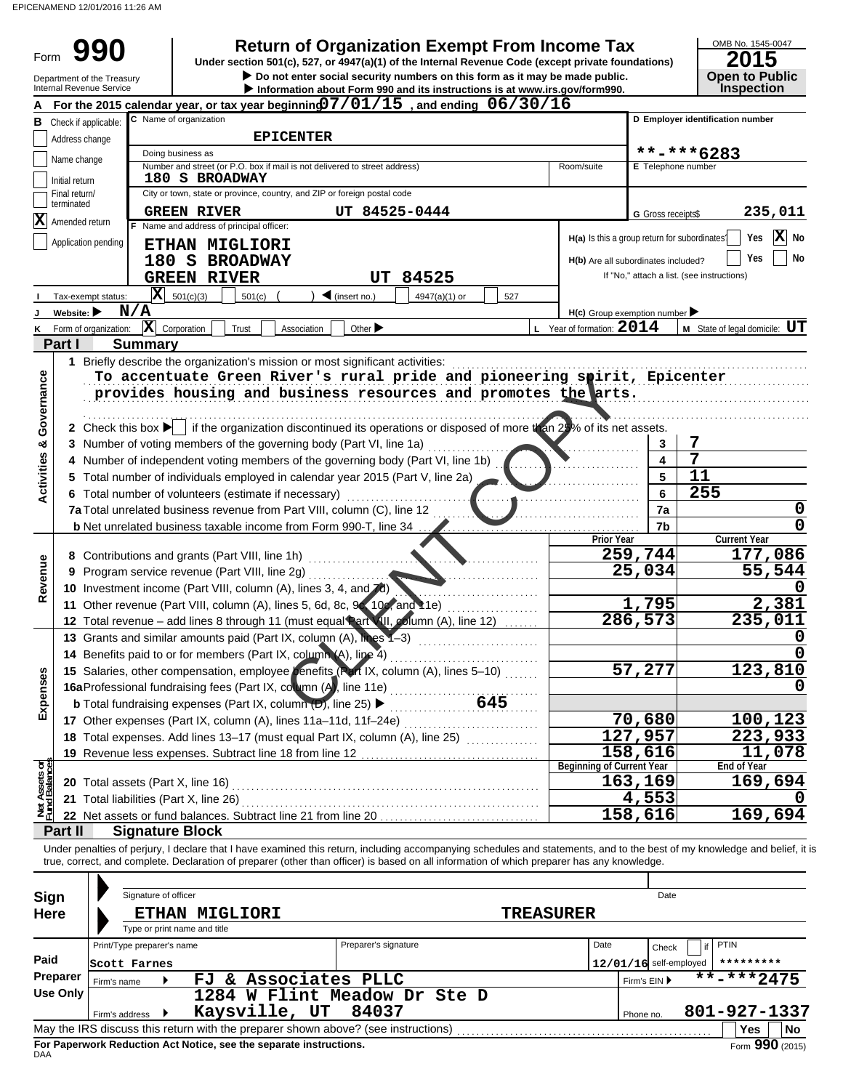Form

**• Do not enter social security numbers on this form as it may be made public. Open to Public 990** Return of Organization Exempt From Income Tax <br>
Under section 501(c), 527, or 4947(a)(1) of the Internal Revenue Code (except private foundations) 2015 **Under section 501(c), 527, or 4947(a)(1) of the Internal Revenue Code (except private foundations)**

OMB No. 1545-0047

|                                | Department of the Treasury<br>Internal Revenue Service |                            |                                                                                                                                                                                                                                                                                                                          |                                   | Do not enter social security numbers on this form as it may be made public.<br>Information about Form 990 and its instructions is at www.irs.gov/form990. |                                               |                          | <b>Open to Public</b><br><b>Inspection</b> |
|--------------------------------|--------------------------------------------------------|----------------------------|--------------------------------------------------------------------------------------------------------------------------------------------------------------------------------------------------------------------------------------------------------------------------------------------------------------------------|-----------------------------------|-----------------------------------------------------------------------------------------------------------------------------------------------------------|-----------------------------------------------|--------------------------|--------------------------------------------|
|                                |                                                        |                            | For the 2015 calendar year, or tax year beginning $7/01/15$ , and ending $06/30/16$                                                                                                                                                                                                                                      |                                   |                                                                                                                                                           |                                               |                          |                                            |
| В                              | Check if applicable:                                   |                            | C Name of organization                                                                                                                                                                                                                                                                                                   |                                   |                                                                                                                                                           |                                               |                          | D Employer identification number           |
|                                | Address change                                         |                            | <b>EPICENTER</b>                                                                                                                                                                                                                                                                                                         |                                   |                                                                                                                                                           |                                               |                          |                                            |
|                                | Name change                                            |                            | Doing business as                                                                                                                                                                                                                                                                                                        |                                   |                                                                                                                                                           |                                               |                          | **-***6283                                 |
|                                |                                                        |                            | Number and street (or P.O. box if mail is not delivered to street address)                                                                                                                                                                                                                                               |                                   |                                                                                                                                                           | Room/suite                                    | E Telephone number       |                                            |
|                                | Initial return                                         |                            | 180 S BROADWAY                                                                                                                                                                                                                                                                                                           |                                   |                                                                                                                                                           |                                               |                          |                                            |
|                                | Final return/<br>terminated                            |                            | City or town, state or province, country, and ZIP or foreign postal code                                                                                                                                                                                                                                                 |                                   |                                                                                                                                                           |                                               |                          |                                            |
| $ \mathbf{X} $                 | Amended return                                         |                            | <b>GREEN RIVER</b>                                                                                                                                                                                                                                                                                                       | UT 84525-0444                     |                                                                                                                                                           |                                               | G Gross receipts\$       | 235,011                                    |
|                                |                                                        |                            | Name and address of principal officer:                                                                                                                                                                                                                                                                                   |                                   |                                                                                                                                                           | H(a) Is this a group return for subordinates? |                          | X No<br>Yes                                |
|                                | Application pending                                    |                            | ETHAN MIGLIORI                                                                                                                                                                                                                                                                                                           |                                   |                                                                                                                                                           |                                               |                          |                                            |
|                                |                                                        |                            | 180 S BROADWAY                                                                                                                                                                                                                                                                                                           |                                   |                                                                                                                                                           | H(b) Are all subordinates included?           |                          | Yes<br>No                                  |
|                                |                                                        |                            | <b>GREEN RIVER</b>                                                                                                                                                                                                                                                                                                       |                                   | <b>UT 84525</b>                                                                                                                                           |                                               |                          | If "No," attach a list. (see instructions) |
|                                | Tax-exempt status:                                     | $\vert \mathbf{X} \vert$   | 501(c)(3)<br>501(c)                                                                                                                                                                                                                                                                                                      | $\blacktriangleleft$ (insert no.) | 527<br>4947(a)(1) or                                                                                                                                      |                                               |                          |                                            |
|                                | Website: $\blacktriangleright$                         | N/A                        |                                                                                                                                                                                                                                                                                                                          |                                   |                                                                                                                                                           | $H(c)$ Group exemption number                 |                          |                                            |
| κ                              | Form of organization:                                  |                            | $ \mathbf{X} $ Corporation<br>Trust<br>Association                                                                                                                                                                                                                                                                       | Other $\blacktriangleright$       |                                                                                                                                                           | $L$ Year of formation: $2014$                 |                          | <b>M</b> State of legal domicile: $UT$     |
|                                | Part I                                                 | <b>Summary</b>             |                                                                                                                                                                                                                                                                                                                          |                                   |                                                                                                                                                           |                                               |                          |                                            |
|                                |                                                        |                            | 1 Briefly describe the organization's mission or most significant activities:                                                                                                                                                                                                                                            |                                   |                                                                                                                                                           |                                               |                          |                                            |
|                                |                                                        |                            | To accentuate Green River's rural pride and pioneering spirit, Epicenter                                                                                                                                                                                                                                                 |                                   |                                                                                                                                                           |                                               |                          |                                            |
|                                |                                                        |                            | provides housing and business resources and promotes the arts.                                                                                                                                                                                                                                                           |                                   |                                                                                                                                                           |                                               |                          |                                            |
|                                |                                                        |                            |                                                                                                                                                                                                                                                                                                                          |                                   |                                                                                                                                                           |                                               |                          |                                            |
| Governance                     |                                                        |                            | 2 Check this box $\blacktriangleright$ if the organization discontinued its operations or disposed of more than 25% of its net assets.                                                                                                                                                                                   |                                   |                                                                                                                                                           |                                               |                          |                                            |
|                                |                                                        |                            | 3 Number of voting members of the governing body (Part VI, line 1a)                                                                                                                                                                                                                                                      |                                   |                                                                                                                                                           |                                               | 3                        | 7                                          |
| <b>Activities &amp;</b>        |                                                        |                            | Number of independent voting members of the governing body (Part VI, line 1b)                                                                                                                                                                                                                                            |                                   |                                                                                                                                                           |                                               | 4                        | 7                                          |
|                                |                                                        |                            | Total number of individuals employed in calendar year 2015 (Part V, line 2a)                                                                                                                                                                                                                                             |                                   |                                                                                                                                                           |                                               | 5                        | 11                                         |
|                                |                                                        |                            | 6 Total number of volunteers (estimate if necessary)                                                                                                                                                                                                                                                                     |                                   |                                                                                                                                                           |                                               | 6                        | 255                                        |
|                                |                                                        |                            | 7a Total unrelated business revenue from Part VIII, column (C), line 12                                                                                                                                                                                                                                                  |                                   |                                                                                                                                                           |                                               | 7a                       | 0                                          |
|                                |                                                        |                            |                                                                                                                                                                                                                                                                                                                          |                                   |                                                                                                                                                           |                                               | 7b                       |                                            |
|                                |                                                        |                            | <b>b</b> Net unrelated business taxable income from Form 990-T, line 34                                                                                                                                                                                                                                                  |                                   |                                                                                                                                                           | <b>Prior Year</b>                             |                          | <b>Current Year</b>                        |
|                                |                                                        |                            | 8 Contributions and grants (Part VIII, line 1h)                                                                                                                                                                                                                                                                          |                                   |                                                                                                                                                           |                                               | 259,744                  | 177,086                                    |
| Revenue                        | 9                                                      |                            | Program service revenue (Part VIII, line 2g)                                                                                                                                                                                                                                                                             |                                   |                                                                                                                                                           |                                               | 25,034                   | 55,544                                     |
|                                |                                                        |                            | 10 Investment income (Part VIII, column (A), lines 3, 4, and 7d)                                                                                                                                                                                                                                                         |                                   |                                                                                                                                                           |                                               |                          |                                            |
|                                |                                                        |                            | 11 Other revenue (Part VIII, column (A), lines 5, 6d, 8c, 9c, 10c, and 11e)                                                                                                                                                                                                                                              |                                   |                                                                                                                                                           |                                               | 1,795                    | 2,381                                      |
|                                |                                                        |                            | 12 Total revenue - add lines 8 through 11 (must equal Part VII, column (A), line 12)                                                                                                                                                                                                                                     |                                   |                                                                                                                                                           |                                               | 286,573                  | 235,011                                    |
|                                |                                                        |                            | 13 Grants and similar amounts paid (Part IX, column (A), lines 1-3)                                                                                                                                                                                                                                                      |                                   |                                                                                                                                                           |                                               |                          |                                            |
|                                |                                                        |                            |                                                                                                                                                                                                                                                                                                                          |                                   |                                                                                                                                                           |                                               |                          |                                            |
|                                |                                                        |                            | 14 Benefits paid to or for members (Part IX, column (A), line 4)                                                                                                                                                                                                                                                         |                                   |                                                                                                                                                           |                                               |                          |                                            |
| n<br>9S                        |                                                        |                            | 15 Salaries, other compensation, employee penefits (Part IX, column (A), lines 5-10)                                                                                                                                                                                                                                     |                                   |                                                                                                                                                           |                                               | 57,277                   | 123,810                                    |
|                                |                                                        |                            | 16aProfessional fundraising fees (Part IX, column (A), line 11e)                                                                                                                                                                                                                                                         |                                   |                                                                                                                                                           |                                               |                          |                                            |
| Exper                          |                                                        |                            | <b>b</b> Total fundraising expenses (Part IX, column $(D)$ , line 25) $\blacktriangleright$                                                                                                                                                                                                                              |                                   | 645<br>.                                                                                                                                                  |                                               |                          |                                            |
|                                |                                                        |                            | 17 Other expenses (Part IX, column (A), lines 11a-11d, 11f-24e)                                                                                                                                                                                                                                                          |                                   |                                                                                                                                                           |                                               | 70,680                   | 100,123                                    |
|                                |                                                        |                            | 18 Total expenses. Add lines 13-17 (must equal Part IX, column (A), line 25)                                                                                                                                                                                                                                             |                                   |                                                                                                                                                           |                                               | 127,957                  | 223,933                                    |
|                                |                                                        |                            | 19 Revenue less expenses. Subtract line 18 from line 12                                                                                                                                                                                                                                                                  |                                   |                                                                                                                                                           |                                               | 158,616                  | 11,078                                     |
| Net Assets or<br>Fund Balances |                                                        |                            |                                                                                                                                                                                                                                                                                                                          |                                   |                                                                                                                                                           | <b>Beginning of Current Year</b>              |                          | End of Year<br>169,694                     |
|                                | 20 Total assets (Part X, line 16)                      |                            |                                                                                                                                                                                                                                                                                                                          |                                   |                                                                                                                                                           |                                               | 163,169                  |                                            |
|                                |                                                        |                            | 21 Total liabilities (Part X, line 26)                                                                                                                                                                                                                                                                                   |                                   |                                                                                                                                                           |                                               | 4,553                    |                                            |
|                                |                                                        |                            | 22 Net assets or fund balances. Subtract line 21 from line 20                                                                                                                                                                                                                                                            |                                   |                                                                                                                                                           |                                               | 158,616                  | 169,694                                    |
|                                | Part II                                                |                            | <b>Signature Block</b>                                                                                                                                                                                                                                                                                                   |                                   |                                                                                                                                                           |                                               |                          |                                            |
|                                |                                                        |                            | Under penalties of perjury, I declare that I have examined this return, including accompanying schedules and statements, and to the best of my knowledge and belief, it is<br>true, correct, and complete. Declaration of preparer (other than officer) is based on all information of which preparer has any knowledge. |                                   |                                                                                                                                                           |                                               |                          |                                            |
|                                |                                                        |                            |                                                                                                                                                                                                                                                                                                                          |                                   |                                                                                                                                                           |                                               |                          |                                            |
|                                |                                                        |                            |                                                                                                                                                                                                                                                                                                                          |                                   |                                                                                                                                                           |                                               |                          |                                            |
| Sign                           |                                                        | Signature of officer       |                                                                                                                                                                                                                                                                                                                          |                                   |                                                                                                                                                           |                                               | Date                     |                                            |
| <b>Here</b>                    |                                                        |                            | <b>ETHAN MIGLIORI</b>                                                                                                                                                                                                                                                                                                    |                                   |                                                                                                                                                           | <b>TREASURER</b>                              |                          |                                            |
|                                |                                                        |                            | Type or print name and title                                                                                                                                                                                                                                                                                             |                                   |                                                                                                                                                           |                                               |                          |                                            |
|                                |                                                        | Print/Type preparer's name |                                                                                                                                                                                                                                                                                                                          | Preparer's signature              |                                                                                                                                                           | Date                                          | Check                    | <b>PTIN</b><br>if                          |
| Paid                           |                                                        | Scott Farnes               |                                                                                                                                                                                                                                                                                                                          |                                   |                                                                                                                                                           |                                               | $12/01/16$ self-employed | *********                                  |
|                                | <b>Preparer</b><br>Firm's name                         |                            | FJ & Associates PLLC                                                                                                                                                                                                                                                                                                     |                                   |                                                                                                                                                           |                                               | Firm's EIN ▶             | $\overline{***}$ -***2475                  |
|                                | <b>Use Only</b>                                        |                            | 1284 W Flint Meadow Dr Ste D                                                                                                                                                                                                                                                                                             |                                   |                                                                                                                                                           |                                               |                          |                                            |
|                                |                                                        | Firm's address ▶           | Kaysville, UT                                                                                                                                                                                                                                                                                                            | 84037                             |                                                                                                                                                           |                                               | Phone no.                | 801-927-1337                               |
|                                |                                                        |                            | May the IRS discuss this return with the preparer shown above? (see instructions)                                                                                                                                                                                                                                        |                                   |                                                                                                                                                           |                                               |                          | Yes<br>No                                  |

| Sign        | Signature of officer       |                                                                    |                                                                                   |                  | Date                     |                   |
|-------------|----------------------------|--------------------------------------------------------------------|-----------------------------------------------------------------------------------|------------------|--------------------------|-------------------|
| <b>Here</b> |                            | ETHAN MIGLIORI                                                     |                                                                                   | <b>TREASURER</b> |                          |                   |
|             |                            | Type or print name and title                                       |                                                                                   |                  |                          |                   |
|             | Print/Type preparer's name |                                                                    | Preparer's signature                                                              | Date             | Check                    | <b>PTIN</b><br>if |
| Paid        | Scott Farnes               |                                                                    |                                                                                   |                  | $12/01/16$ self-employed | *********         |
| Preparer    | Firm's name                | FJ & Associates PLLC                                               |                                                                                   |                  | Firm's $EIN$             | **-***2475        |
| Use Only    |                            |                                                                    | 1284 W Flint Meadow Dr Ste D                                                      |                  |                          |                   |
|             | Firm's address /           | Kaysville, UT                                                      | 84037                                                                             |                  | Phone no.                | 801-927-1337      |
|             |                            |                                                                    | May the IRS discuss this return with the preparer shown above? (see instructions) |                  |                          | ∣No<br>Yes        |
| <b>DAA</b>  |                            | For Paperwork Reduction Act Notice, see the separate instructions. |                                                                                   |                  |                          | Form 990 (2015)   |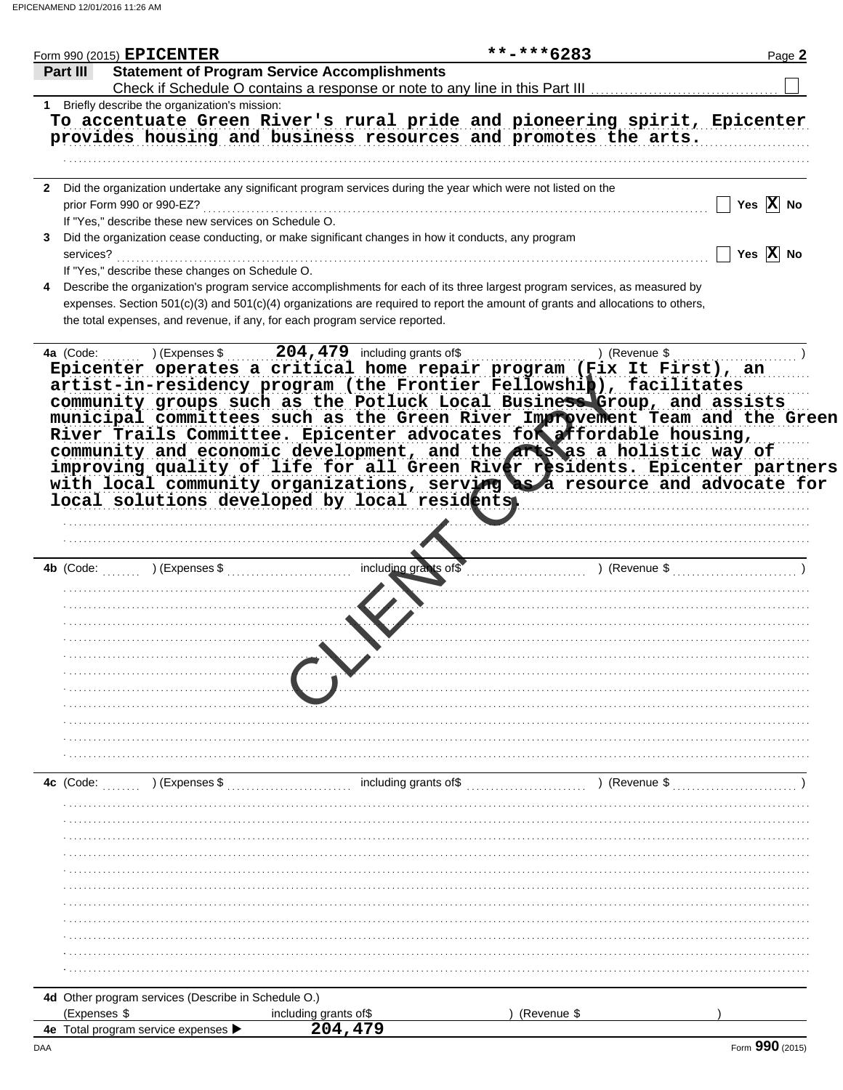|              | Form 990 (2015) EPICENTER                                                   |                                                                                                                                | $***$ -*** 6283 | Page 2                |
|--------------|-----------------------------------------------------------------------------|--------------------------------------------------------------------------------------------------------------------------------|-----------------|-----------------------|
| Part III     | <b>Statement of Program Service Accomplishments</b>                         |                                                                                                                                |                 |                       |
|              |                                                                             | Check if Schedule O contains a response or note to any line in this Part III                                                   |                 |                       |
|              | 1 Briefly describe the organization's mission:                              | To accentuate Green River's rural pride and pioneering spirit, Epicenter                                                       |                 |                       |
|              |                                                                             | provides housing and business resources and promotes the arts.                                                                 |                 |                       |
|              |                                                                             |                                                                                                                                |                 |                       |
|              |                                                                             |                                                                                                                                |                 |                       |
|              |                                                                             | 2 Did the organization undertake any significant program services during the year which were not listed on the                 |                 |                       |
|              | prior Form 990 or 990-EZ?                                                   |                                                                                                                                |                 | Yes $\overline{X}$ No |
|              | If "Yes," describe these new services on Schedule O.                        |                                                                                                                                |                 |                       |
| 3.           |                                                                             | Did the organization cease conducting, or make significant changes in how it conducts, any program                             |                 |                       |
| services?    |                                                                             |                                                                                                                                |                 | Yes $\overline{X}$ No |
|              | If "Yes," describe these changes on Schedule O.                             |                                                                                                                                |                 |                       |
|              |                                                                             | Describe the organization's program service accomplishments for each of its three largest program services, as measured by     |                 |                       |
|              |                                                                             | expenses. Section 501(c)(3) and 501(c)(4) organizations are required to report the amount of grants and allocations to others, |                 |                       |
|              | the total expenses, and revenue, if any, for each program service reported. |                                                                                                                                |                 |                       |
|              |                                                                             |                                                                                                                                |                 |                       |
| 4a (Code:    |                                                                             | ) (Expenses $$204,479$ including grants of \$                                                                                  | ) (Revenue \$   |                       |
|              |                                                                             | Epicenter operates a critical home repair program (Fix It First), an                                                           |                 |                       |
|              |                                                                             | artist-in-residency program (the Frontier Fellowship), facilitates                                                             |                 |                       |
|              |                                                                             | community groups such as the Potluck Local Business Group, and assists                                                         |                 |                       |
|              |                                                                             | municipal committees such as the Green River Improvement Team and the Green                                                    |                 |                       |
|              |                                                                             |                                                                                                                                |                 |                       |
|              |                                                                             | River Trails Committee. Epicenter advocates for affordable housing,                                                            |                 |                       |
|              |                                                                             | community and economic development, and the arts as a holistic way of                                                          |                 |                       |
|              |                                                                             | improving quality of life for all Green River residents. Epicenter partners                                                    |                 |                       |
|              |                                                                             | with local community organizations, serving as a resource and advocate for                                                     |                 |                       |
|              |                                                                             | local solutions developed by local residents                                                                                   |                 |                       |
|              |                                                                             |                                                                                                                                |                 |                       |
|              |                                                                             |                                                                                                                                |                 |                       |
|              |                                                                             |                                                                                                                                |                 |                       |
| 4b (Code:    | ) (Expenses \$                                                              | including grants of \$                                                                                                         | ) (Revenue \$   |                       |
|              |                                                                             |                                                                                                                                |                 |                       |
|              |                                                                             |                                                                                                                                |                 |                       |
|              |                                                                             |                                                                                                                                |                 |                       |
|              |                                                                             |                                                                                                                                |                 |                       |
|              |                                                                             |                                                                                                                                |                 |                       |
|              |                                                                             |                                                                                                                                |                 |                       |
|              |                                                                             |                                                                                                                                |                 |                       |
|              |                                                                             |                                                                                                                                |                 |                       |
|              |                                                                             |                                                                                                                                |                 |                       |
|              |                                                                             |                                                                                                                                |                 |                       |
|              |                                                                             |                                                                                                                                |                 |                       |
|              |                                                                             |                                                                                                                                |                 |                       |
|              |                                                                             | including grants of\$                                                                                                          | ) (Revenue \$   |                       |
| 4c (Code:    | ) (Expenses \$                                                              |                                                                                                                                |                 |                       |
|              |                                                                             |                                                                                                                                |                 |                       |
|              |                                                                             |                                                                                                                                |                 |                       |
|              |                                                                             |                                                                                                                                |                 |                       |
|              |                                                                             |                                                                                                                                |                 |                       |
|              |                                                                             |                                                                                                                                |                 |                       |
|              |                                                                             |                                                                                                                                |                 |                       |
|              |                                                                             |                                                                                                                                |                 |                       |
|              |                                                                             |                                                                                                                                |                 |                       |
|              |                                                                             |                                                                                                                                |                 |                       |
|              |                                                                             |                                                                                                                                |                 |                       |
|              |                                                                             |                                                                                                                                |                 |                       |
|              |                                                                             |                                                                                                                                |                 |                       |
|              |                                                                             |                                                                                                                                |                 |                       |
|              |                                                                             |                                                                                                                                |                 |                       |
|              | 4d Other program services (Describe in Schedule O.)                         |                                                                                                                                |                 |                       |
| (Expenses \$ | 4e Total program service expenses ▶                                         | including grants of\$<br>204, 479                                                                                              | (Revenue \$     |                       |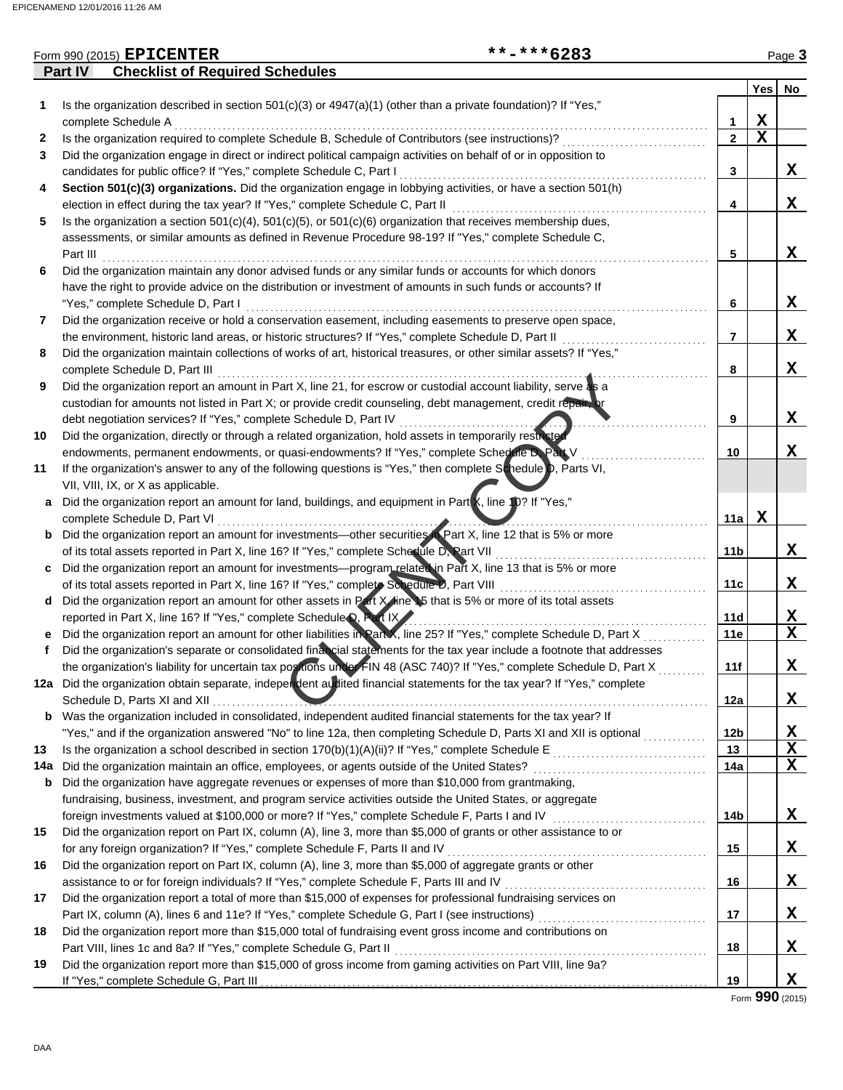|     |          | **-***6283<br>Form 990 (2015) EPICENTER                                                                                  |                |             | Page 3      |
|-----|----------|--------------------------------------------------------------------------------------------------------------------------|----------------|-------------|-------------|
|     | Part IV  | <b>Checklist of Required Schedules</b>                                                                                   |                |             |             |
|     |          |                                                                                                                          |                | Yes         | No          |
| 1.  |          | Is the organization described in section $501(c)(3)$ or $4947(a)(1)$ (other than a private foundation)? If "Yes,"        |                |             |             |
|     |          | complete Schedule A                                                                                                      | 1              | X           |             |
| 2   |          | Is the organization required to complete Schedule B, Schedule of Contributors (see instructions)?                        | $\overline{2}$ | $\mathbf x$ |             |
| 3   |          | Did the organization engage in direct or indirect political campaign activities on behalf of or in opposition to         |                |             |             |
|     |          | candidates for public office? If "Yes," complete Schedule C, Part I                                                      | 3              |             | X           |
| 4   |          | Section 501(c)(3) organizations. Did the organization engage in lobbying activities, or have a section 501(h)            |                |             |             |
|     |          | election in effect during the tax year? If "Yes," complete Schedule C, Part II                                           | 4              |             | X           |
| 5   |          | Is the organization a section $501(c)(4)$ , $501(c)(5)$ , or $501(c)(6)$ organization that receives membership dues,     |                |             |             |
|     |          | assessments, or similar amounts as defined in Revenue Procedure 98-19? If "Yes," complete Schedule C,                    |                |             |             |
|     | Part III |                                                                                                                          | 5              |             | X           |
| 6   |          | Did the organization maintain any donor advised funds or any similar funds or accounts for which donors                  |                |             |             |
|     |          | have the right to provide advice on the distribution or investment of amounts in such funds or accounts? If              |                |             |             |
|     |          | "Yes," complete Schedule D, Part I                                                                                       | 6              |             | X           |
| 7   |          | Did the organization receive or hold a conservation easement, including easements to preserve open space,                |                |             |             |
|     |          | the environment, historic land areas, or historic structures? If "Yes," complete Schedule D, Part II                     | 7              |             | X           |
| 8   |          | Did the organization maintain collections of works of art, historical treasures, or other similar assets? If "Yes,"      |                |             |             |
|     |          | complete Schedule D, Part III                                                                                            | 8              |             | X           |
| 9   |          | Did the organization report an amount in Part X, line 21, for escrow or custodial account liability, serve as a          |                |             |             |
|     |          | custodian for amounts not listed in Part X; or provide credit counseling, debt management, credit repain or              |                |             |             |
|     |          | debt negotiation services? If "Yes," complete Schedule D, Part IV                                                        | 9              |             | X           |
| 10  |          | Did the organization, directly or through a related organization, hold assets in temporarily restricted                  |                |             |             |
|     |          | endowments, permanent endowments, or quasi-endowments? If "Yes," complete Schedule D. Part V                             | 10             |             | X           |
| 11  |          | If the organization's answer to any of the following questions is "Yes," then complete Schedule D, Parts VI,             |                |             |             |
|     |          | VII, VIII, IX, or X as applicable.                                                                                       |                |             |             |
| a   |          | Did the organization report an amount for land, buildings, and equipment in Part X, line 10? If "Yes,"                   |                |             |             |
|     |          | complete Schedule D, Part VI                                                                                             | 11a            | X           |             |
| b   |          | Did the organization report an amount for investments—other securities in Part X, line 12 that is 5% or more             |                |             |             |
|     |          | of its total assets reported in Part X, line 16? If "Yes," complete Schedule D, Part VII                                 | 11b            |             | X           |
| c   |          | Did the organization report an amount for investments—program related in Part X, line 13 that is 5% or more              |                |             |             |
|     |          | of its total assets reported in Part X, line 16? If "Yes," complete Schedule D, Part VIII                                | 11c            |             | X           |
| d   |          | Did the organization report an amount for other assets in Part X/line 15 that is 5% or more of its total assets          |                |             |             |
|     |          | reported in Part X, line 16? If "Yes," complete Schedule D, Part IX                                                      | 11d            |             | X           |
|     |          | Did the organization report an amount for other liabilities in Part X, line 25? If "Yes," complete Schedule D, Part X    | 11e            |             | $\mathbf X$ |
|     |          | Did the organization's separate or consolidated final cial statements for the tax year include a footnote that addresses |                |             |             |
|     |          | the organization's liability for uncertain tax positions under FIN 48 (ASC 740)? If "Yes," complete Schedule D, Part X   | 11f            |             | X           |
|     |          | 12a Did the organization obtain separate, independent audited financial statements for the tax year? If "Yes," complete  |                |             |             |
|     |          |                                                                                                                          | 12a            |             | X           |
| b   |          | Was the organization included in consolidated, independent audited financial statements for the tax year? If             |                |             |             |
|     |          |                                                                                                                          | 12b            |             | Х           |
| 13  |          |                                                                                                                          | 13             |             | X           |
| 14a |          | Did the organization maintain an office, employees, or agents outside of the United States?                              | 14a            |             | X           |
| b   |          | Did the organization have aggregate revenues or expenses of more than \$10,000 from grantmaking,                         |                |             |             |
|     |          | fundraising, business, investment, and program service activities outside the United States, or aggregate                |                |             |             |
|     |          | foreign investments valued at \$100,000 or more? If "Yes," complete Schedule F, Parts I and IV                           | 14b            |             | X           |
| 15  |          | Did the organization report on Part IX, column (A), line 3, more than \$5,000 of grants or other assistance to or        |                |             |             |
|     |          | for any foreign organization? If "Yes," complete Schedule F, Parts II and IV                                             | 15             |             | X           |
| 16  |          | Did the organization report on Part IX, column (A), line 3, more than \$5,000 of aggregate grants or other               |                |             |             |
|     |          | assistance to or for foreign individuals? If "Yes," complete Schedule F, Parts III and IV                                | 16             |             | X           |
| 17  |          | Did the organization report a total of more than \$15,000 of expenses for professional fundraising services on           |                |             |             |
|     |          | Part IX, column (A), lines 6 and 11e? If "Yes," complete Schedule G, Part I (see instructions)                           | 17             |             | X           |
| 18  |          | Did the organization report more than \$15,000 total of fundraising event gross income and contributions on              |                |             |             |
|     |          | Part VIII, lines 1c and 8a? If "Yes," complete Schedule G, Part II                                                       | 18             |             | X           |
| 19  |          | Did the organization report more than \$15,000 of gross income from gaming activities on Part VIII, line 9a?             |                |             |             |
|     |          |                                                                                                                          | 19             |             | X           |
|     |          |                                                                                                                          |                |             |             |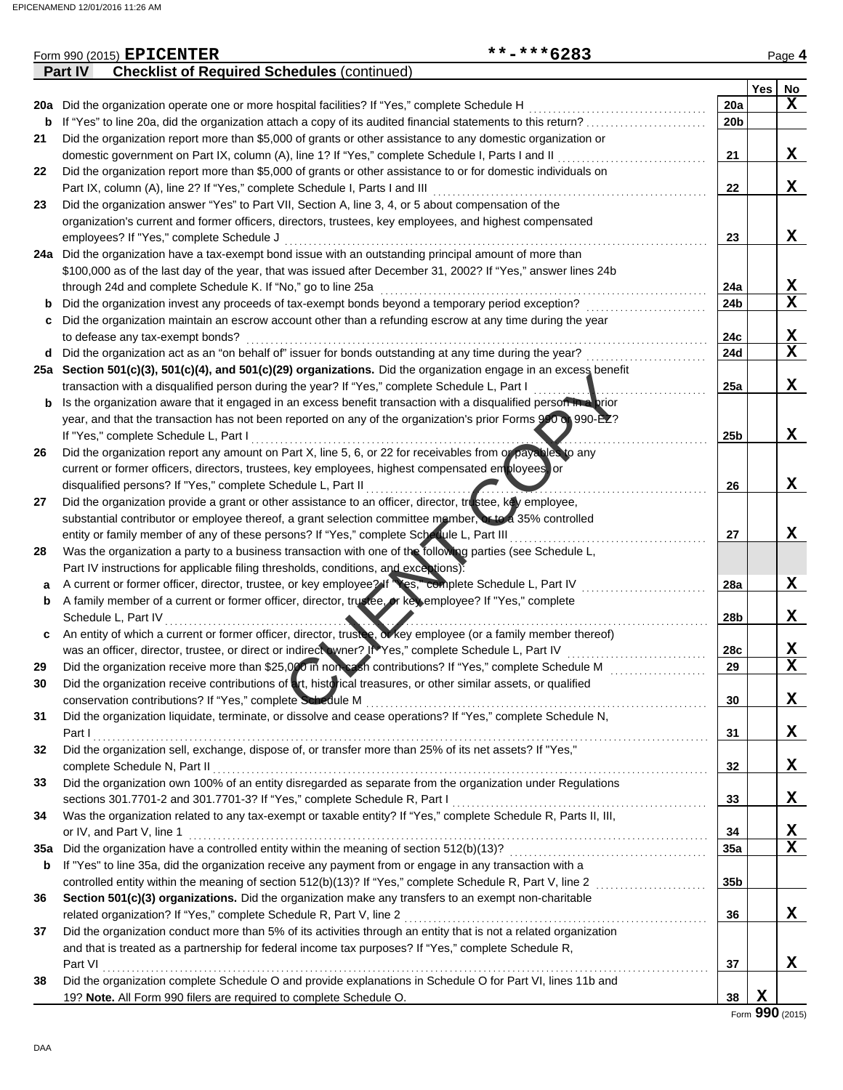|     | Part IV<br><b>Checklist of Required Schedules (continued)</b>                                                    |                 |             |             |
|-----|------------------------------------------------------------------------------------------------------------------|-----------------|-------------|-------------|
|     |                                                                                                                  |                 | Yes         | No          |
|     | 20a Did the organization operate one or more hospital facilities? If "Yes," complete Schedule H                  | 20a             |             | $\mathbf x$ |
| b   | If "Yes" to line 20a, did the organization attach a copy of its audited financial statements to this return?     | 20b             |             |             |
| 21  | Did the organization report more than \$5,000 of grants or other assistance to any domestic organization or      |                 |             |             |
|     | domestic government on Part IX, column (A), line 1? If "Yes," complete Schedule I, Parts I and II                | 21              |             | X           |
| 22  | Did the organization report more than \$5,000 of grants or other assistance to or for domestic individuals on    |                 |             |             |
|     | Part IX, column (A), line 2? If "Yes," complete Schedule I, Parts I and III                                      | 22              |             | X           |
| 23  | Did the organization answer "Yes" to Part VII, Section A, line 3, 4, or 5 about compensation of the              |                 |             |             |
|     | organization's current and former officers, directors, trustees, key employees, and highest compensated          |                 |             |             |
|     | employees? If "Yes," complete Schedule J                                                                         | 23              |             | X           |
|     | 24a Did the organization have a tax-exempt bond issue with an outstanding principal amount of more than          |                 |             |             |
|     | \$100,000 as of the last day of the year, that was issued after December 31, 2002? If "Yes," answer lines 24b    |                 |             |             |
|     | through 24d and complete Schedule K. If "No," go to line 25a                                                     | 24a             |             | X           |
| b   | Did the organization invest any proceeds of tax-exempt bonds beyond a temporary period exception?                | 24b             |             | $\mathbf x$ |
| c   | Did the organization maintain an escrow account other than a refunding escrow at any time during the year        |                 |             |             |
|     | to defease any tax-exempt bonds?                                                                                 | 24c             |             | X           |
| d   | Did the organization act as an "on behalf of" issuer for bonds outstanding at any time during the year?          | 24d             |             | $\mathbf x$ |
|     | 25a Section 501(c)(3), 501(c)(4), and 501(c)(29) organizations. Did the organization engage in an excess benefit |                 |             |             |
|     | transaction with a disqualified person during the year? If "Yes," complete Schedule L, Part I                    | 25a             |             | X           |
| b   | Is the organization aware that it engaged in an excess benefit transaction with a disqualified person the prior  |                 |             |             |
|     | year, and that the transaction has not been reported on any of the organization's prior Forms 990 or 990-EZ?     |                 |             |             |
|     | If "Yes," complete Schedule L, Part I                                                                            | 25 <sub>b</sub> |             | X           |
| 26  | Did the organization report any amount on Part X, line 5, 6, or 22 for receivables from or payables to any       |                 |             |             |
|     | current or former officers, directors, trustees, key employees, highest compensated employees, or                |                 |             |             |
|     | disqualified persons? If "Yes," complete Schedule L, Part II                                                     | 26              |             | X           |
| 27  | Did the organization provide a grant or other assistance to an officer, director, trustee, key employee,         |                 |             |             |
|     | substantial contributor or employee thereof, a grant selection committee member, or to a 35% controlled          |                 |             |             |
|     | entity or family member of any of these persons? If "Yes," complete Schedule L, Part III                         | 27              |             | X           |
| 28  | Was the organization a party to a business transaction with one of the following parties (see Schedule L,        |                 |             |             |
|     | Part IV instructions for applicable filing thresholds, conditions, and exceptions):                              |                 |             |             |
| а   | A current or former officer, director, trustee, or key employee? If Wes," complete Schedule L, Part IV           | 28a             |             | X           |
| b   | A family member of a current or former officer, director, trustee, or key employee? If "Yes," complete           |                 |             |             |
|     | Schedule L, Part IV                                                                                              | 28b             |             | X           |
| c   | An entity of which a current or former officer, director, trustee, of key employee (or a family member thereof)  |                 |             |             |
|     | was an officer, director, trustee, or direct or indirect wner? It Yes," complete Schedule L, Part IV             | 28c             |             | X           |
| 29  | Did the organization receive more than \$25,000 in non-eash contributions? If "Yes," complete Schedule M         | 29              |             | $\mathbf x$ |
|     | Did the organization receive contributions of art, historical treasures, or other similar assets, or qualified   |                 |             |             |
|     | conservation contributions? If "Yes," complete Schedule M                                                        | 30              |             | X           |
| 31  | Did the organization liquidate, terminate, or dissolve and cease operations? If "Yes," complete Schedule N,      |                 |             |             |
|     | Part I                                                                                                           | 31              |             | X           |
| 32  | Did the organization sell, exchange, dispose of, or transfer more than 25% of its net assets? If "Yes,"          |                 |             |             |
|     | complete Schedule N, Part II                                                                                     | 32              |             | X           |
| 33  | Did the organization own 100% of an entity disregarded as separate from the organization under Regulations       |                 |             |             |
|     | sections 301.7701-2 and 301.7701-3? If "Yes," complete Schedule R, Part I                                        | 33              |             | X           |
| 34  | Was the organization related to any tax-exempt or taxable entity? If "Yes," complete Schedule R, Parts II, III,  |                 |             |             |
|     | or IV, and Part V, line 1                                                                                        | 34              |             | X           |
| 35a | Did the organization have a controlled entity within the meaning of section 512(b)(13)?                          | 35a             |             | $\mathbf x$ |
| b   | If "Yes" to line 35a, did the organization receive any payment from or engage in any transaction with a          |                 |             |             |
|     | controlled entity within the meaning of section 512(b)(13)? If "Yes," complete Schedule R, Part V, line 2        | 35b             |             |             |
| 36  | Section 501(c)(3) organizations. Did the organization make any transfers to an exempt non-charitable             |                 |             |             |
|     | related organization? If "Yes," complete Schedule R, Part V, line 2                                              | 36              |             | X           |
| 37  | Did the organization conduct more than 5% of its activities through an entity that is not a related organization |                 |             |             |
|     | and that is treated as a partnership for federal income tax purposes? If "Yes," complete Schedule R,             |                 |             |             |
|     | Part VI                                                                                                          | 37              |             | X           |
| 38  | Did the organization complete Schedule O and provide explanations in Schedule O for Part VI, lines 11b and       |                 |             |             |
|     | 19? Note. All Form 990 filers are required to complete Schedule O.                                               | 38              | $\mathbf X$ |             |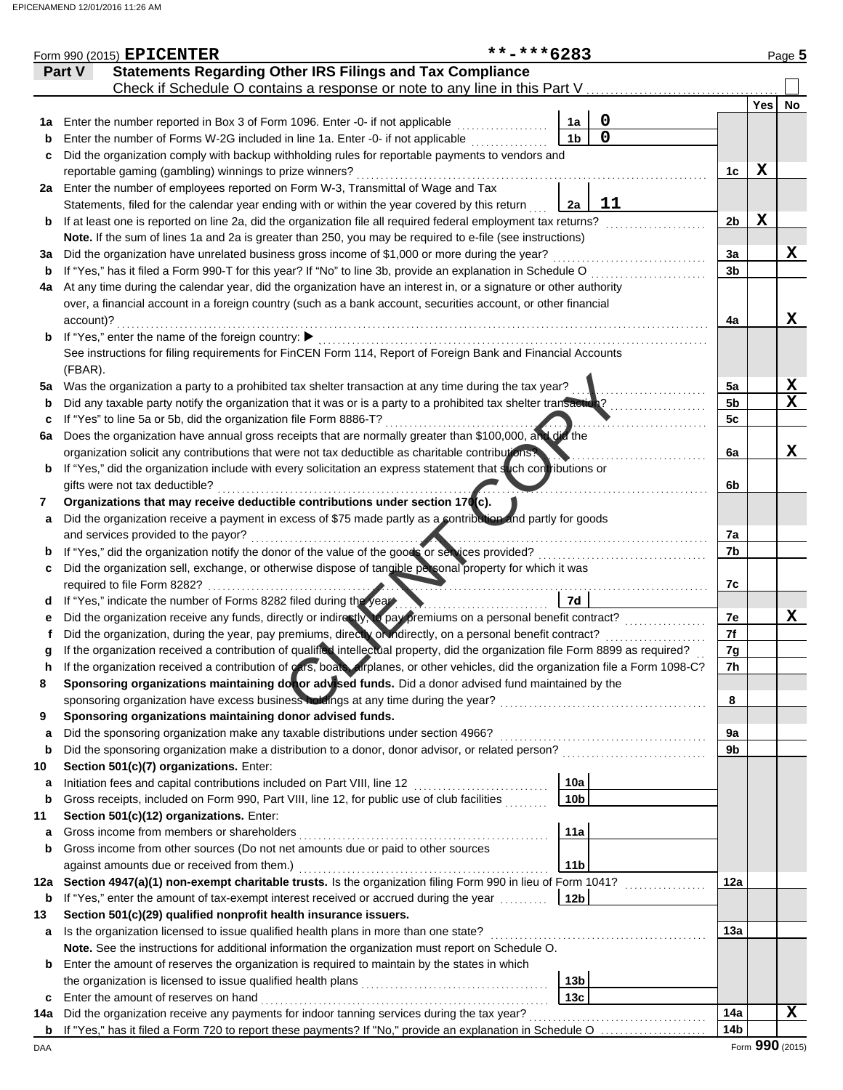| <b>Statements Regarding Other IRS Filings and Tax Compliance</b><br>Part V<br>Check if Schedule O contains a response or note to any line in this Part V<br>Yes<br>No<br>0<br>Enter the number reported in Box 3 of Form 1096. Enter -0- if not applicable<br>1a<br>1a<br>$\mathbf 0$<br>1 <sub>b</sub><br>Enter the number of Forms W-2G included in line 1a. Enter -0- if not applicable<br>b<br>Did the organization comply with backup withholding rules for reportable payments to vendors and<br>c<br>X<br>reportable gaming (gambling) winnings to prize winners?<br>1c<br>Enter the number of employees reported on Form W-3, Transmittal of Wage and Tax<br>2a<br>11<br>Statements, filed for the calendar year ending with or within the year covered by this return<br>2a<br>$\mathbf x$<br>If at least one is reported on line 2a, did the organization file all required federal employment tax returns?<br>2 <sub>b</sub><br>b<br>Note. If the sum of lines 1a and 2a is greater than 250, you may be required to e-file (see instructions)<br>X<br>Did the organization have unrelated business gross income of \$1,000 or more during the year?<br>3a<br>За<br>If "Yes," has it filed a Form 990-T for this year? If "No" to line 3b, provide an explanation in Schedule O<br>3 <sub>b</sub><br>b<br>At any time during the calendar year, did the organization have an interest in, or a signature or other authority<br>4a<br>over, a financial account in a foreign country (such as a bank account, securities account, or other financial<br>X<br>account)?<br>4a<br>If "Yes," enter the name of the foreign country: ▶<br>b<br>See instructions for filing requirements for FinCEN Form 114, Report of Foreign Bank and Financial Accounts<br>(FBAR).<br>X<br>Was the organization a party to a prohibited tax shelter transaction at any time during the tax year?<br>5a<br>5a<br>X<br>Did any taxable party notify the organization that it was or is a party to a prohibited tax shelter transaction?<br>5 <sub>b</sub><br>b<br>If "Yes" to line 5a or 5b, did the organization file Form 8886-T?<br>5c<br>c<br>Does the organization have annual gross receipts that are normally greater than \$100,000, and did the<br>6a<br>X<br>organization solicit any contributions that were not tax deductible as charitable contributions?<br>6a<br>If "Yes," did the organization include with every solicitation an express statement that such contributions or<br>b<br>gifts were not tax deductible?<br>6b<br>Organizations that may receive deductible contributions under section 170(c).<br>7<br>Did the organization receive a payment in excess of \$75 made partly as a contribution and partly for goods<br>а<br>7a<br>and services provided to the payor?<br>If "Yes," did the organization notify the donor of the value of the goods or services provided?<br>7b<br>b<br>Did the organization sell, exchange, or otherwise dispose of tangible personal property for which it was<br>c<br>required to file Form 8282?<br>7c<br>If "Yes," indicate the number of Forms 8282 filed during the year<br>7d<br>d<br>Did the organization receive any funds, directly or indirectly, to pay premiums on a personal benefit contract?<br>X<br>7е<br>е<br>7f<br>Did the organization, during the year, pay premiums, directly or indirectly, on a personal benefit contract?<br>If the organization received a contribution of qualified intellectual property, did the organization file Form 8899 as required?<br>7g<br>If the organization received a contribution of cars, boat airplanes, or other vehicles, did the organization file a Form 1098-C?<br>7h<br>Sponsoring organizations maintaining don or advised funds. Did a donor advised fund maintained by the<br>8<br>sponsoring organization have excess business holdings at any time during the year?<br>8<br>and a complete the contract of the complete state of the complete state of the complete state of the complete<br>Sponsoring organizations maintaining donor advised funds.<br>9<br>Did the sponsoring organization make any taxable distributions under section 4966?<br>9a<br>a<br>Did the sponsoring organization make a distribution to a donor, donor advisor, or related person?<br>9b<br>b<br>Section 501(c)(7) organizations. Enter:<br>10<br>10a<br>Initiation fees and capital contributions included on Part VIII, line 12<br>a<br>Gross receipts, included on Form 990, Part VIII, line 12, for public use of club facilities<br>10 <sub>b</sub><br>b<br>Section 501(c)(12) organizations. Enter:<br>11<br>Gross income from members or shareholders<br>11a<br>a<br>Gross income from other sources (Do not net amounts due or paid to other sources<br>b<br>11 <sub>b</sub><br>against amounts due or received from them.)<br>Section 4947(a)(1) non-exempt charitable trusts. Is the organization filing Form 990 in lieu of Form 1041?<br>12a<br>12a<br>If "Yes," enter the amount of tax-exempt interest received or accrued during the year<br>12 <sub>b</sub><br>b<br>Section 501(c)(29) qualified nonprofit health insurance issuers.<br>13<br>Is the organization licensed to issue qualified health plans in more than one state?<br>13а<br>a<br>Note. See the instructions for additional information the organization must report on Schedule O.<br>Enter the amount of reserves the organization is required to maintain by the states in which<br>b<br>the organization is licensed to issue qualified health plans<br>13 <sub>b</sub><br>13c<br>Enter the amount of reserves on hand<br>c<br>Did the organization receive any payments for indoor tanning services during the tax year?<br>14a<br>x<br>14a<br>14 <sub>b</sub><br>b<br>Form 990 (2015) | Form 990 (2015) EPICENTER | **-***6283 |  |  | Page 5 |
|----------------------------------------------------------------------------------------------------------------------------------------------------------------------------------------------------------------------------------------------------------------------------------------------------------------------------------------------------------------------------------------------------------------------------------------------------------------------------------------------------------------------------------------------------------------------------------------------------------------------------------------------------------------------------------------------------------------------------------------------------------------------------------------------------------------------------------------------------------------------------------------------------------------------------------------------------------------------------------------------------------------------------------------------------------------------------------------------------------------------------------------------------------------------------------------------------------------------------------------------------------------------------------------------------------------------------------------------------------------------------------------------------------------------------------------------------------------------------------------------------------------------------------------------------------------------------------------------------------------------------------------------------------------------------------------------------------------------------------------------------------------------------------------------------------------------------------------------------------------------------------------------------------------------------------------------------------------------------------------------------------------------------------------------------------------------------------------------------------------------------------------------------------------------------------------------------------------------------------------------------------------------------------------------------------------------------------------------------------------------------------------------------------------------------------------------------------------------------------------------------------------------------------------------------------------------------------------------------------------------------------------------------------------------------------------------------------------------------------------------------------------------------------------------------------------------------------------------------------------------------------------------------------------------------------------------------------------------------------------------------------------------------------------------------------------------------------------------------------------------------------------------------------------------------------------------------------------------------------------------------------------------------------------------------------------------------------------------------------------------------------------------------------------------------------------------------------------------------------------------------------------------------------------------------------------------------------------------------------------------------------------------------------------------------------------------------------------------------------------------------------------------------------------------------------------------------------------------------------------------------------------------------------------------------------------------------------------------------------------------------------------------------------------------------------------------------------------------------------------------------------------------------------------------------------------------------------------------------------------------------------------------------------------------------------------------------------------------------------------------------------------------------------------------------------------------------------------------------------------------------------------------------------------------------------------------------------------------------------------------------------------------------------------------------------------------------------------------------------------------------------------------------------------------------------------------------------------------------------------------------------------------------------------------------------------------------------------------------------------------------------------------------------------------------------------------------------------------------------------------------------------------------------------------------------------------------------------------------------------------------------------------------------------------------------------------------------------------------------------------------------------------------------------------------------------------------------------------------------------------------------------------------------------------------------------------------------------------------------------------------------------------------------------------------------------------------------------------------------------------------------------------------------------|---------------------------|------------|--|--|--------|
|                                                                                                                                                                                                                                                                                                                                                                                                                                                                                                                                                                                                                                                                                                                                                                                                                                                                                                                                                                                                                                                                                                                                                                                                                                                                                                                                                                                                                                                                                                                                                                                                                                                                                                                                                                                                                                                                                                                                                                                                                                                                                                                                                                                                                                                                                                                                                                                                                                                                                                                                                                                                                                                                                                                                                                                                                                                                                                                                                                                                                                                                                                                                                                                                                                                                                                                                                                                                                                                                                                                                                                                                                                                                                                                                                                                                                                                                                                                                                                                                                                                                                                                                                                                                                                                                                                                                                                                                                                                                                                                                                                                                                                                                                                                                                                                                                                                                                                                                                                                                                                                                                                                                                                                                                                                                                                                                                                                                                                                                                                                                                                                                                                                                                                                                                                                        |                           |            |  |  |        |
|                                                                                                                                                                                                                                                                                                                                                                                                                                                                                                                                                                                                                                                                                                                                                                                                                                                                                                                                                                                                                                                                                                                                                                                                                                                                                                                                                                                                                                                                                                                                                                                                                                                                                                                                                                                                                                                                                                                                                                                                                                                                                                                                                                                                                                                                                                                                                                                                                                                                                                                                                                                                                                                                                                                                                                                                                                                                                                                                                                                                                                                                                                                                                                                                                                                                                                                                                                                                                                                                                                                                                                                                                                                                                                                                                                                                                                                                                                                                                                                                                                                                                                                                                                                                                                                                                                                                                                                                                                                                                                                                                                                                                                                                                                                                                                                                                                                                                                                                                                                                                                                                                                                                                                                                                                                                                                                                                                                                                                                                                                                                                                                                                                                                                                                                                                                        |                           |            |  |  |        |
|                                                                                                                                                                                                                                                                                                                                                                                                                                                                                                                                                                                                                                                                                                                                                                                                                                                                                                                                                                                                                                                                                                                                                                                                                                                                                                                                                                                                                                                                                                                                                                                                                                                                                                                                                                                                                                                                                                                                                                                                                                                                                                                                                                                                                                                                                                                                                                                                                                                                                                                                                                                                                                                                                                                                                                                                                                                                                                                                                                                                                                                                                                                                                                                                                                                                                                                                                                                                                                                                                                                                                                                                                                                                                                                                                                                                                                                                                                                                                                                                                                                                                                                                                                                                                                                                                                                                                                                                                                                                                                                                                                                                                                                                                                                                                                                                                                                                                                                                                                                                                                                                                                                                                                                                                                                                                                                                                                                                                                                                                                                                                                                                                                                                                                                                                                                        |                           |            |  |  |        |
|                                                                                                                                                                                                                                                                                                                                                                                                                                                                                                                                                                                                                                                                                                                                                                                                                                                                                                                                                                                                                                                                                                                                                                                                                                                                                                                                                                                                                                                                                                                                                                                                                                                                                                                                                                                                                                                                                                                                                                                                                                                                                                                                                                                                                                                                                                                                                                                                                                                                                                                                                                                                                                                                                                                                                                                                                                                                                                                                                                                                                                                                                                                                                                                                                                                                                                                                                                                                                                                                                                                                                                                                                                                                                                                                                                                                                                                                                                                                                                                                                                                                                                                                                                                                                                                                                                                                                                                                                                                                                                                                                                                                                                                                                                                                                                                                                                                                                                                                                                                                                                                                                                                                                                                                                                                                                                                                                                                                                                                                                                                                                                                                                                                                                                                                                                                        |                           |            |  |  |        |
|                                                                                                                                                                                                                                                                                                                                                                                                                                                                                                                                                                                                                                                                                                                                                                                                                                                                                                                                                                                                                                                                                                                                                                                                                                                                                                                                                                                                                                                                                                                                                                                                                                                                                                                                                                                                                                                                                                                                                                                                                                                                                                                                                                                                                                                                                                                                                                                                                                                                                                                                                                                                                                                                                                                                                                                                                                                                                                                                                                                                                                                                                                                                                                                                                                                                                                                                                                                                                                                                                                                                                                                                                                                                                                                                                                                                                                                                                                                                                                                                                                                                                                                                                                                                                                                                                                                                                                                                                                                                                                                                                                                                                                                                                                                                                                                                                                                                                                                                                                                                                                                                                                                                                                                                                                                                                                                                                                                                                                                                                                                                                                                                                                                                                                                                                                                        |                           |            |  |  |        |
|                                                                                                                                                                                                                                                                                                                                                                                                                                                                                                                                                                                                                                                                                                                                                                                                                                                                                                                                                                                                                                                                                                                                                                                                                                                                                                                                                                                                                                                                                                                                                                                                                                                                                                                                                                                                                                                                                                                                                                                                                                                                                                                                                                                                                                                                                                                                                                                                                                                                                                                                                                                                                                                                                                                                                                                                                                                                                                                                                                                                                                                                                                                                                                                                                                                                                                                                                                                                                                                                                                                                                                                                                                                                                                                                                                                                                                                                                                                                                                                                                                                                                                                                                                                                                                                                                                                                                                                                                                                                                                                                                                                                                                                                                                                                                                                                                                                                                                                                                                                                                                                                                                                                                                                                                                                                                                                                                                                                                                                                                                                                                                                                                                                                                                                                                                                        |                           |            |  |  |        |
|                                                                                                                                                                                                                                                                                                                                                                                                                                                                                                                                                                                                                                                                                                                                                                                                                                                                                                                                                                                                                                                                                                                                                                                                                                                                                                                                                                                                                                                                                                                                                                                                                                                                                                                                                                                                                                                                                                                                                                                                                                                                                                                                                                                                                                                                                                                                                                                                                                                                                                                                                                                                                                                                                                                                                                                                                                                                                                                                                                                                                                                                                                                                                                                                                                                                                                                                                                                                                                                                                                                                                                                                                                                                                                                                                                                                                                                                                                                                                                                                                                                                                                                                                                                                                                                                                                                                                                                                                                                                                                                                                                                                                                                                                                                                                                                                                                                                                                                                                                                                                                                                                                                                                                                                                                                                                                                                                                                                                                                                                                                                                                                                                                                                                                                                                                                        |                           |            |  |  |        |
|                                                                                                                                                                                                                                                                                                                                                                                                                                                                                                                                                                                                                                                                                                                                                                                                                                                                                                                                                                                                                                                                                                                                                                                                                                                                                                                                                                                                                                                                                                                                                                                                                                                                                                                                                                                                                                                                                                                                                                                                                                                                                                                                                                                                                                                                                                                                                                                                                                                                                                                                                                                                                                                                                                                                                                                                                                                                                                                                                                                                                                                                                                                                                                                                                                                                                                                                                                                                                                                                                                                                                                                                                                                                                                                                                                                                                                                                                                                                                                                                                                                                                                                                                                                                                                                                                                                                                                                                                                                                                                                                                                                                                                                                                                                                                                                                                                                                                                                                                                                                                                                                                                                                                                                                                                                                                                                                                                                                                                                                                                                                                                                                                                                                                                                                                                                        |                           |            |  |  |        |
|                                                                                                                                                                                                                                                                                                                                                                                                                                                                                                                                                                                                                                                                                                                                                                                                                                                                                                                                                                                                                                                                                                                                                                                                                                                                                                                                                                                                                                                                                                                                                                                                                                                                                                                                                                                                                                                                                                                                                                                                                                                                                                                                                                                                                                                                                                                                                                                                                                                                                                                                                                                                                                                                                                                                                                                                                                                                                                                                                                                                                                                                                                                                                                                                                                                                                                                                                                                                                                                                                                                                                                                                                                                                                                                                                                                                                                                                                                                                                                                                                                                                                                                                                                                                                                                                                                                                                                                                                                                                                                                                                                                                                                                                                                                                                                                                                                                                                                                                                                                                                                                                                                                                                                                                                                                                                                                                                                                                                                                                                                                                                                                                                                                                                                                                                                                        |                           |            |  |  |        |
|                                                                                                                                                                                                                                                                                                                                                                                                                                                                                                                                                                                                                                                                                                                                                                                                                                                                                                                                                                                                                                                                                                                                                                                                                                                                                                                                                                                                                                                                                                                                                                                                                                                                                                                                                                                                                                                                                                                                                                                                                                                                                                                                                                                                                                                                                                                                                                                                                                                                                                                                                                                                                                                                                                                                                                                                                                                                                                                                                                                                                                                                                                                                                                                                                                                                                                                                                                                                                                                                                                                                                                                                                                                                                                                                                                                                                                                                                                                                                                                                                                                                                                                                                                                                                                                                                                                                                                                                                                                                                                                                                                                                                                                                                                                                                                                                                                                                                                                                                                                                                                                                                                                                                                                                                                                                                                                                                                                                                                                                                                                                                                                                                                                                                                                                                                                        |                           |            |  |  |        |
|                                                                                                                                                                                                                                                                                                                                                                                                                                                                                                                                                                                                                                                                                                                                                                                                                                                                                                                                                                                                                                                                                                                                                                                                                                                                                                                                                                                                                                                                                                                                                                                                                                                                                                                                                                                                                                                                                                                                                                                                                                                                                                                                                                                                                                                                                                                                                                                                                                                                                                                                                                                                                                                                                                                                                                                                                                                                                                                                                                                                                                                                                                                                                                                                                                                                                                                                                                                                                                                                                                                                                                                                                                                                                                                                                                                                                                                                                                                                                                                                                                                                                                                                                                                                                                                                                                                                                                                                                                                                                                                                                                                                                                                                                                                                                                                                                                                                                                                                                                                                                                                                                                                                                                                                                                                                                                                                                                                                                                                                                                                                                                                                                                                                                                                                                                                        |                           |            |  |  |        |
|                                                                                                                                                                                                                                                                                                                                                                                                                                                                                                                                                                                                                                                                                                                                                                                                                                                                                                                                                                                                                                                                                                                                                                                                                                                                                                                                                                                                                                                                                                                                                                                                                                                                                                                                                                                                                                                                                                                                                                                                                                                                                                                                                                                                                                                                                                                                                                                                                                                                                                                                                                                                                                                                                                                                                                                                                                                                                                                                                                                                                                                                                                                                                                                                                                                                                                                                                                                                                                                                                                                                                                                                                                                                                                                                                                                                                                                                                                                                                                                                                                                                                                                                                                                                                                                                                                                                                                                                                                                                                                                                                                                                                                                                                                                                                                                                                                                                                                                                                                                                                                                                                                                                                                                                                                                                                                                                                                                                                                                                                                                                                                                                                                                                                                                                                                                        |                           |            |  |  |        |
|                                                                                                                                                                                                                                                                                                                                                                                                                                                                                                                                                                                                                                                                                                                                                                                                                                                                                                                                                                                                                                                                                                                                                                                                                                                                                                                                                                                                                                                                                                                                                                                                                                                                                                                                                                                                                                                                                                                                                                                                                                                                                                                                                                                                                                                                                                                                                                                                                                                                                                                                                                                                                                                                                                                                                                                                                                                                                                                                                                                                                                                                                                                                                                                                                                                                                                                                                                                                                                                                                                                                                                                                                                                                                                                                                                                                                                                                                                                                                                                                                                                                                                                                                                                                                                                                                                                                                                                                                                                                                                                                                                                                                                                                                                                                                                                                                                                                                                                                                                                                                                                                                                                                                                                                                                                                                                                                                                                                                                                                                                                                                                                                                                                                                                                                                                                        |                           |            |  |  |        |
|                                                                                                                                                                                                                                                                                                                                                                                                                                                                                                                                                                                                                                                                                                                                                                                                                                                                                                                                                                                                                                                                                                                                                                                                                                                                                                                                                                                                                                                                                                                                                                                                                                                                                                                                                                                                                                                                                                                                                                                                                                                                                                                                                                                                                                                                                                                                                                                                                                                                                                                                                                                                                                                                                                                                                                                                                                                                                                                                                                                                                                                                                                                                                                                                                                                                                                                                                                                                                                                                                                                                                                                                                                                                                                                                                                                                                                                                                                                                                                                                                                                                                                                                                                                                                                                                                                                                                                                                                                                                                                                                                                                                                                                                                                                                                                                                                                                                                                                                                                                                                                                                                                                                                                                                                                                                                                                                                                                                                                                                                                                                                                                                                                                                                                                                                                                        |                           |            |  |  |        |
|                                                                                                                                                                                                                                                                                                                                                                                                                                                                                                                                                                                                                                                                                                                                                                                                                                                                                                                                                                                                                                                                                                                                                                                                                                                                                                                                                                                                                                                                                                                                                                                                                                                                                                                                                                                                                                                                                                                                                                                                                                                                                                                                                                                                                                                                                                                                                                                                                                                                                                                                                                                                                                                                                                                                                                                                                                                                                                                                                                                                                                                                                                                                                                                                                                                                                                                                                                                                                                                                                                                                                                                                                                                                                                                                                                                                                                                                                                                                                                                                                                                                                                                                                                                                                                                                                                                                                                                                                                                                                                                                                                                                                                                                                                                                                                                                                                                                                                                                                                                                                                                                                                                                                                                                                                                                                                                                                                                                                                                                                                                                                                                                                                                                                                                                                                                        |                           |            |  |  |        |
|                                                                                                                                                                                                                                                                                                                                                                                                                                                                                                                                                                                                                                                                                                                                                                                                                                                                                                                                                                                                                                                                                                                                                                                                                                                                                                                                                                                                                                                                                                                                                                                                                                                                                                                                                                                                                                                                                                                                                                                                                                                                                                                                                                                                                                                                                                                                                                                                                                                                                                                                                                                                                                                                                                                                                                                                                                                                                                                                                                                                                                                                                                                                                                                                                                                                                                                                                                                                                                                                                                                                                                                                                                                                                                                                                                                                                                                                                                                                                                                                                                                                                                                                                                                                                                                                                                                                                                                                                                                                                                                                                                                                                                                                                                                                                                                                                                                                                                                                                                                                                                                                                                                                                                                                                                                                                                                                                                                                                                                                                                                                                                                                                                                                                                                                                                                        |                           |            |  |  |        |
|                                                                                                                                                                                                                                                                                                                                                                                                                                                                                                                                                                                                                                                                                                                                                                                                                                                                                                                                                                                                                                                                                                                                                                                                                                                                                                                                                                                                                                                                                                                                                                                                                                                                                                                                                                                                                                                                                                                                                                                                                                                                                                                                                                                                                                                                                                                                                                                                                                                                                                                                                                                                                                                                                                                                                                                                                                                                                                                                                                                                                                                                                                                                                                                                                                                                                                                                                                                                                                                                                                                                                                                                                                                                                                                                                                                                                                                                                                                                                                                                                                                                                                                                                                                                                                                                                                                                                                                                                                                                                                                                                                                                                                                                                                                                                                                                                                                                                                                                                                                                                                                                                                                                                                                                                                                                                                                                                                                                                                                                                                                                                                                                                                                                                                                                                                                        |                           |            |  |  |        |
|                                                                                                                                                                                                                                                                                                                                                                                                                                                                                                                                                                                                                                                                                                                                                                                                                                                                                                                                                                                                                                                                                                                                                                                                                                                                                                                                                                                                                                                                                                                                                                                                                                                                                                                                                                                                                                                                                                                                                                                                                                                                                                                                                                                                                                                                                                                                                                                                                                                                                                                                                                                                                                                                                                                                                                                                                                                                                                                                                                                                                                                                                                                                                                                                                                                                                                                                                                                                                                                                                                                                                                                                                                                                                                                                                                                                                                                                                                                                                                                                                                                                                                                                                                                                                                                                                                                                                                                                                                                                                                                                                                                                                                                                                                                                                                                                                                                                                                                                                                                                                                                                                                                                                                                                                                                                                                                                                                                                                                                                                                                                                                                                                                                                                                                                                                                        |                           |            |  |  |        |
|                                                                                                                                                                                                                                                                                                                                                                                                                                                                                                                                                                                                                                                                                                                                                                                                                                                                                                                                                                                                                                                                                                                                                                                                                                                                                                                                                                                                                                                                                                                                                                                                                                                                                                                                                                                                                                                                                                                                                                                                                                                                                                                                                                                                                                                                                                                                                                                                                                                                                                                                                                                                                                                                                                                                                                                                                                                                                                                                                                                                                                                                                                                                                                                                                                                                                                                                                                                                                                                                                                                                                                                                                                                                                                                                                                                                                                                                                                                                                                                                                                                                                                                                                                                                                                                                                                                                                                                                                                                                                                                                                                                                                                                                                                                                                                                                                                                                                                                                                                                                                                                                                                                                                                                                                                                                                                                                                                                                                                                                                                                                                                                                                                                                                                                                                                                        |                           |            |  |  |        |
|                                                                                                                                                                                                                                                                                                                                                                                                                                                                                                                                                                                                                                                                                                                                                                                                                                                                                                                                                                                                                                                                                                                                                                                                                                                                                                                                                                                                                                                                                                                                                                                                                                                                                                                                                                                                                                                                                                                                                                                                                                                                                                                                                                                                                                                                                                                                                                                                                                                                                                                                                                                                                                                                                                                                                                                                                                                                                                                                                                                                                                                                                                                                                                                                                                                                                                                                                                                                                                                                                                                                                                                                                                                                                                                                                                                                                                                                                                                                                                                                                                                                                                                                                                                                                                                                                                                                                                                                                                                                                                                                                                                                                                                                                                                                                                                                                                                                                                                                                                                                                                                                                                                                                                                                                                                                                                                                                                                                                                                                                                                                                                                                                                                                                                                                                                                        |                           |            |  |  |        |
|                                                                                                                                                                                                                                                                                                                                                                                                                                                                                                                                                                                                                                                                                                                                                                                                                                                                                                                                                                                                                                                                                                                                                                                                                                                                                                                                                                                                                                                                                                                                                                                                                                                                                                                                                                                                                                                                                                                                                                                                                                                                                                                                                                                                                                                                                                                                                                                                                                                                                                                                                                                                                                                                                                                                                                                                                                                                                                                                                                                                                                                                                                                                                                                                                                                                                                                                                                                                                                                                                                                                                                                                                                                                                                                                                                                                                                                                                                                                                                                                                                                                                                                                                                                                                                                                                                                                                                                                                                                                                                                                                                                                                                                                                                                                                                                                                                                                                                                                                                                                                                                                                                                                                                                                                                                                                                                                                                                                                                                                                                                                                                                                                                                                                                                                                                                        |                           |            |  |  |        |
|                                                                                                                                                                                                                                                                                                                                                                                                                                                                                                                                                                                                                                                                                                                                                                                                                                                                                                                                                                                                                                                                                                                                                                                                                                                                                                                                                                                                                                                                                                                                                                                                                                                                                                                                                                                                                                                                                                                                                                                                                                                                                                                                                                                                                                                                                                                                                                                                                                                                                                                                                                                                                                                                                                                                                                                                                                                                                                                                                                                                                                                                                                                                                                                                                                                                                                                                                                                                                                                                                                                                                                                                                                                                                                                                                                                                                                                                                                                                                                                                                                                                                                                                                                                                                                                                                                                                                                                                                                                                                                                                                                                                                                                                                                                                                                                                                                                                                                                                                                                                                                                                                                                                                                                                                                                                                                                                                                                                                                                                                                                                                                                                                                                                                                                                                                                        |                           |            |  |  |        |
|                                                                                                                                                                                                                                                                                                                                                                                                                                                                                                                                                                                                                                                                                                                                                                                                                                                                                                                                                                                                                                                                                                                                                                                                                                                                                                                                                                                                                                                                                                                                                                                                                                                                                                                                                                                                                                                                                                                                                                                                                                                                                                                                                                                                                                                                                                                                                                                                                                                                                                                                                                                                                                                                                                                                                                                                                                                                                                                                                                                                                                                                                                                                                                                                                                                                                                                                                                                                                                                                                                                                                                                                                                                                                                                                                                                                                                                                                                                                                                                                                                                                                                                                                                                                                                                                                                                                                                                                                                                                                                                                                                                                                                                                                                                                                                                                                                                                                                                                                                                                                                                                                                                                                                                                                                                                                                                                                                                                                                                                                                                                                                                                                                                                                                                                                                                        |                           |            |  |  |        |
|                                                                                                                                                                                                                                                                                                                                                                                                                                                                                                                                                                                                                                                                                                                                                                                                                                                                                                                                                                                                                                                                                                                                                                                                                                                                                                                                                                                                                                                                                                                                                                                                                                                                                                                                                                                                                                                                                                                                                                                                                                                                                                                                                                                                                                                                                                                                                                                                                                                                                                                                                                                                                                                                                                                                                                                                                                                                                                                                                                                                                                                                                                                                                                                                                                                                                                                                                                                                                                                                                                                                                                                                                                                                                                                                                                                                                                                                                                                                                                                                                                                                                                                                                                                                                                                                                                                                                                                                                                                                                                                                                                                                                                                                                                                                                                                                                                                                                                                                                                                                                                                                                                                                                                                                                                                                                                                                                                                                                                                                                                                                                                                                                                                                                                                                                                                        |                           |            |  |  |        |
|                                                                                                                                                                                                                                                                                                                                                                                                                                                                                                                                                                                                                                                                                                                                                                                                                                                                                                                                                                                                                                                                                                                                                                                                                                                                                                                                                                                                                                                                                                                                                                                                                                                                                                                                                                                                                                                                                                                                                                                                                                                                                                                                                                                                                                                                                                                                                                                                                                                                                                                                                                                                                                                                                                                                                                                                                                                                                                                                                                                                                                                                                                                                                                                                                                                                                                                                                                                                                                                                                                                                                                                                                                                                                                                                                                                                                                                                                                                                                                                                                                                                                                                                                                                                                                                                                                                                                                                                                                                                                                                                                                                                                                                                                                                                                                                                                                                                                                                                                                                                                                                                                                                                                                                                                                                                                                                                                                                                                                                                                                                                                                                                                                                                                                                                                                                        |                           |            |  |  |        |
|                                                                                                                                                                                                                                                                                                                                                                                                                                                                                                                                                                                                                                                                                                                                                                                                                                                                                                                                                                                                                                                                                                                                                                                                                                                                                                                                                                                                                                                                                                                                                                                                                                                                                                                                                                                                                                                                                                                                                                                                                                                                                                                                                                                                                                                                                                                                                                                                                                                                                                                                                                                                                                                                                                                                                                                                                                                                                                                                                                                                                                                                                                                                                                                                                                                                                                                                                                                                                                                                                                                                                                                                                                                                                                                                                                                                                                                                                                                                                                                                                                                                                                                                                                                                                                                                                                                                                                                                                                                                                                                                                                                                                                                                                                                                                                                                                                                                                                                                                                                                                                                                                                                                                                                                                                                                                                                                                                                                                                                                                                                                                                                                                                                                                                                                                                                        |                           |            |  |  |        |
|                                                                                                                                                                                                                                                                                                                                                                                                                                                                                                                                                                                                                                                                                                                                                                                                                                                                                                                                                                                                                                                                                                                                                                                                                                                                                                                                                                                                                                                                                                                                                                                                                                                                                                                                                                                                                                                                                                                                                                                                                                                                                                                                                                                                                                                                                                                                                                                                                                                                                                                                                                                                                                                                                                                                                                                                                                                                                                                                                                                                                                                                                                                                                                                                                                                                                                                                                                                                                                                                                                                                                                                                                                                                                                                                                                                                                                                                                                                                                                                                                                                                                                                                                                                                                                                                                                                                                                                                                                                                                                                                                                                                                                                                                                                                                                                                                                                                                                                                                                                                                                                                                                                                                                                                                                                                                                                                                                                                                                                                                                                                                                                                                                                                                                                                                                                        |                           |            |  |  |        |
|                                                                                                                                                                                                                                                                                                                                                                                                                                                                                                                                                                                                                                                                                                                                                                                                                                                                                                                                                                                                                                                                                                                                                                                                                                                                                                                                                                                                                                                                                                                                                                                                                                                                                                                                                                                                                                                                                                                                                                                                                                                                                                                                                                                                                                                                                                                                                                                                                                                                                                                                                                                                                                                                                                                                                                                                                                                                                                                                                                                                                                                                                                                                                                                                                                                                                                                                                                                                                                                                                                                                                                                                                                                                                                                                                                                                                                                                                                                                                                                                                                                                                                                                                                                                                                                                                                                                                                                                                                                                                                                                                                                                                                                                                                                                                                                                                                                                                                                                                                                                                                                                                                                                                                                                                                                                                                                                                                                                                                                                                                                                                                                                                                                                                                                                                                                        |                           |            |  |  |        |
|                                                                                                                                                                                                                                                                                                                                                                                                                                                                                                                                                                                                                                                                                                                                                                                                                                                                                                                                                                                                                                                                                                                                                                                                                                                                                                                                                                                                                                                                                                                                                                                                                                                                                                                                                                                                                                                                                                                                                                                                                                                                                                                                                                                                                                                                                                                                                                                                                                                                                                                                                                                                                                                                                                                                                                                                                                                                                                                                                                                                                                                                                                                                                                                                                                                                                                                                                                                                                                                                                                                                                                                                                                                                                                                                                                                                                                                                                                                                                                                                                                                                                                                                                                                                                                                                                                                                                                                                                                                                                                                                                                                                                                                                                                                                                                                                                                                                                                                                                                                                                                                                                                                                                                                                                                                                                                                                                                                                                                                                                                                                                                                                                                                                                                                                                                                        |                           |            |  |  |        |
|                                                                                                                                                                                                                                                                                                                                                                                                                                                                                                                                                                                                                                                                                                                                                                                                                                                                                                                                                                                                                                                                                                                                                                                                                                                                                                                                                                                                                                                                                                                                                                                                                                                                                                                                                                                                                                                                                                                                                                                                                                                                                                                                                                                                                                                                                                                                                                                                                                                                                                                                                                                                                                                                                                                                                                                                                                                                                                                                                                                                                                                                                                                                                                                                                                                                                                                                                                                                                                                                                                                                                                                                                                                                                                                                                                                                                                                                                                                                                                                                                                                                                                                                                                                                                                                                                                                                                                                                                                                                                                                                                                                                                                                                                                                                                                                                                                                                                                                                                                                                                                                                                                                                                                                                                                                                                                                                                                                                                                                                                                                                                                                                                                                                                                                                                                                        |                           |            |  |  |        |
|                                                                                                                                                                                                                                                                                                                                                                                                                                                                                                                                                                                                                                                                                                                                                                                                                                                                                                                                                                                                                                                                                                                                                                                                                                                                                                                                                                                                                                                                                                                                                                                                                                                                                                                                                                                                                                                                                                                                                                                                                                                                                                                                                                                                                                                                                                                                                                                                                                                                                                                                                                                                                                                                                                                                                                                                                                                                                                                                                                                                                                                                                                                                                                                                                                                                                                                                                                                                                                                                                                                                                                                                                                                                                                                                                                                                                                                                                                                                                                                                                                                                                                                                                                                                                                                                                                                                                                                                                                                                                                                                                                                                                                                                                                                                                                                                                                                                                                                                                                                                                                                                                                                                                                                                                                                                                                                                                                                                                                                                                                                                                                                                                                                                                                                                                                                        |                           |            |  |  |        |
|                                                                                                                                                                                                                                                                                                                                                                                                                                                                                                                                                                                                                                                                                                                                                                                                                                                                                                                                                                                                                                                                                                                                                                                                                                                                                                                                                                                                                                                                                                                                                                                                                                                                                                                                                                                                                                                                                                                                                                                                                                                                                                                                                                                                                                                                                                                                                                                                                                                                                                                                                                                                                                                                                                                                                                                                                                                                                                                                                                                                                                                                                                                                                                                                                                                                                                                                                                                                                                                                                                                                                                                                                                                                                                                                                                                                                                                                                                                                                                                                                                                                                                                                                                                                                                                                                                                                                                                                                                                                                                                                                                                                                                                                                                                                                                                                                                                                                                                                                                                                                                                                                                                                                                                                                                                                                                                                                                                                                                                                                                                                                                                                                                                                                                                                                                                        |                           |            |  |  |        |
|                                                                                                                                                                                                                                                                                                                                                                                                                                                                                                                                                                                                                                                                                                                                                                                                                                                                                                                                                                                                                                                                                                                                                                                                                                                                                                                                                                                                                                                                                                                                                                                                                                                                                                                                                                                                                                                                                                                                                                                                                                                                                                                                                                                                                                                                                                                                                                                                                                                                                                                                                                                                                                                                                                                                                                                                                                                                                                                                                                                                                                                                                                                                                                                                                                                                                                                                                                                                                                                                                                                                                                                                                                                                                                                                                                                                                                                                                                                                                                                                                                                                                                                                                                                                                                                                                                                                                                                                                                                                                                                                                                                                                                                                                                                                                                                                                                                                                                                                                                                                                                                                                                                                                                                                                                                                                                                                                                                                                                                                                                                                                                                                                                                                                                                                                                                        |                           |            |  |  |        |
|                                                                                                                                                                                                                                                                                                                                                                                                                                                                                                                                                                                                                                                                                                                                                                                                                                                                                                                                                                                                                                                                                                                                                                                                                                                                                                                                                                                                                                                                                                                                                                                                                                                                                                                                                                                                                                                                                                                                                                                                                                                                                                                                                                                                                                                                                                                                                                                                                                                                                                                                                                                                                                                                                                                                                                                                                                                                                                                                                                                                                                                                                                                                                                                                                                                                                                                                                                                                                                                                                                                                                                                                                                                                                                                                                                                                                                                                                                                                                                                                                                                                                                                                                                                                                                                                                                                                                                                                                                                                                                                                                                                                                                                                                                                                                                                                                                                                                                                                                                                                                                                                                                                                                                                                                                                                                                                                                                                                                                                                                                                                                                                                                                                                                                                                                                                        |                           |            |  |  |        |
|                                                                                                                                                                                                                                                                                                                                                                                                                                                                                                                                                                                                                                                                                                                                                                                                                                                                                                                                                                                                                                                                                                                                                                                                                                                                                                                                                                                                                                                                                                                                                                                                                                                                                                                                                                                                                                                                                                                                                                                                                                                                                                                                                                                                                                                                                                                                                                                                                                                                                                                                                                                                                                                                                                                                                                                                                                                                                                                                                                                                                                                                                                                                                                                                                                                                                                                                                                                                                                                                                                                                                                                                                                                                                                                                                                                                                                                                                                                                                                                                                                                                                                                                                                                                                                                                                                                                                                                                                                                                                                                                                                                                                                                                                                                                                                                                                                                                                                                                                                                                                                                                                                                                                                                                                                                                                                                                                                                                                                                                                                                                                                                                                                                                                                                                                                                        |                           |            |  |  |        |
|                                                                                                                                                                                                                                                                                                                                                                                                                                                                                                                                                                                                                                                                                                                                                                                                                                                                                                                                                                                                                                                                                                                                                                                                                                                                                                                                                                                                                                                                                                                                                                                                                                                                                                                                                                                                                                                                                                                                                                                                                                                                                                                                                                                                                                                                                                                                                                                                                                                                                                                                                                                                                                                                                                                                                                                                                                                                                                                                                                                                                                                                                                                                                                                                                                                                                                                                                                                                                                                                                                                                                                                                                                                                                                                                                                                                                                                                                                                                                                                                                                                                                                                                                                                                                                                                                                                                                                                                                                                                                                                                                                                                                                                                                                                                                                                                                                                                                                                                                                                                                                                                                                                                                                                                                                                                                                                                                                                                                                                                                                                                                                                                                                                                                                                                                                                        |                           |            |  |  |        |
|                                                                                                                                                                                                                                                                                                                                                                                                                                                                                                                                                                                                                                                                                                                                                                                                                                                                                                                                                                                                                                                                                                                                                                                                                                                                                                                                                                                                                                                                                                                                                                                                                                                                                                                                                                                                                                                                                                                                                                                                                                                                                                                                                                                                                                                                                                                                                                                                                                                                                                                                                                                                                                                                                                                                                                                                                                                                                                                                                                                                                                                                                                                                                                                                                                                                                                                                                                                                                                                                                                                                                                                                                                                                                                                                                                                                                                                                                                                                                                                                                                                                                                                                                                                                                                                                                                                                                                                                                                                                                                                                                                                                                                                                                                                                                                                                                                                                                                                                                                                                                                                                                                                                                                                                                                                                                                                                                                                                                                                                                                                                                                                                                                                                                                                                                                                        |                           |            |  |  |        |
|                                                                                                                                                                                                                                                                                                                                                                                                                                                                                                                                                                                                                                                                                                                                                                                                                                                                                                                                                                                                                                                                                                                                                                                                                                                                                                                                                                                                                                                                                                                                                                                                                                                                                                                                                                                                                                                                                                                                                                                                                                                                                                                                                                                                                                                                                                                                                                                                                                                                                                                                                                                                                                                                                                                                                                                                                                                                                                                                                                                                                                                                                                                                                                                                                                                                                                                                                                                                                                                                                                                                                                                                                                                                                                                                                                                                                                                                                                                                                                                                                                                                                                                                                                                                                                                                                                                                                                                                                                                                                                                                                                                                                                                                                                                                                                                                                                                                                                                                                                                                                                                                                                                                                                                                                                                                                                                                                                                                                                                                                                                                                                                                                                                                                                                                                                                        |                           |            |  |  |        |
|                                                                                                                                                                                                                                                                                                                                                                                                                                                                                                                                                                                                                                                                                                                                                                                                                                                                                                                                                                                                                                                                                                                                                                                                                                                                                                                                                                                                                                                                                                                                                                                                                                                                                                                                                                                                                                                                                                                                                                                                                                                                                                                                                                                                                                                                                                                                                                                                                                                                                                                                                                                                                                                                                                                                                                                                                                                                                                                                                                                                                                                                                                                                                                                                                                                                                                                                                                                                                                                                                                                                                                                                                                                                                                                                                                                                                                                                                                                                                                                                                                                                                                                                                                                                                                                                                                                                                                                                                                                                                                                                                                                                                                                                                                                                                                                                                                                                                                                                                                                                                                                                                                                                                                                                                                                                                                                                                                                                                                                                                                                                                                                                                                                                                                                                                                                        |                           |            |  |  |        |
|                                                                                                                                                                                                                                                                                                                                                                                                                                                                                                                                                                                                                                                                                                                                                                                                                                                                                                                                                                                                                                                                                                                                                                                                                                                                                                                                                                                                                                                                                                                                                                                                                                                                                                                                                                                                                                                                                                                                                                                                                                                                                                                                                                                                                                                                                                                                                                                                                                                                                                                                                                                                                                                                                                                                                                                                                                                                                                                                                                                                                                                                                                                                                                                                                                                                                                                                                                                                                                                                                                                                                                                                                                                                                                                                                                                                                                                                                                                                                                                                                                                                                                                                                                                                                                                                                                                                                                                                                                                                                                                                                                                                                                                                                                                                                                                                                                                                                                                                                                                                                                                                                                                                                                                                                                                                                                                                                                                                                                                                                                                                                                                                                                                                                                                                                                                        |                           |            |  |  |        |
|                                                                                                                                                                                                                                                                                                                                                                                                                                                                                                                                                                                                                                                                                                                                                                                                                                                                                                                                                                                                                                                                                                                                                                                                                                                                                                                                                                                                                                                                                                                                                                                                                                                                                                                                                                                                                                                                                                                                                                                                                                                                                                                                                                                                                                                                                                                                                                                                                                                                                                                                                                                                                                                                                                                                                                                                                                                                                                                                                                                                                                                                                                                                                                                                                                                                                                                                                                                                                                                                                                                                                                                                                                                                                                                                                                                                                                                                                                                                                                                                                                                                                                                                                                                                                                                                                                                                                                                                                                                                                                                                                                                                                                                                                                                                                                                                                                                                                                                                                                                                                                                                                                                                                                                                                                                                                                                                                                                                                                                                                                                                                                                                                                                                                                                                                                                        |                           |            |  |  |        |
|                                                                                                                                                                                                                                                                                                                                                                                                                                                                                                                                                                                                                                                                                                                                                                                                                                                                                                                                                                                                                                                                                                                                                                                                                                                                                                                                                                                                                                                                                                                                                                                                                                                                                                                                                                                                                                                                                                                                                                                                                                                                                                                                                                                                                                                                                                                                                                                                                                                                                                                                                                                                                                                                                                                                                                                                                                                                                                                                                                                                                                                                                                                                                                                                                                                                                                                                                                                                                                                                                                                                                                                                                                                                                                                                                                                                                                                                                                                                                                                                                                                                                                                                                                                                                                                                                                                                                                                                                                                                                                                                                                                                                                                                                                                                                                                                                                                                                                                                                                                                                                                                                                                                                                                                                                                                                                                                                                                                                                                                                                                                                                                                                                                                                                                                                                                        |                           |            |  |  |        |
|                                                                                                                                                                                                                                                                                                                                                                                                                                                                                                                                                                                                                                                                                                                                                                                                                                                                                                                                                                                                                                                                                                                                                                                                                                                                                                                                                                                                                                                                                                                                                                                                                                                                                                                                                                                                                                                                                                                                                                                                                                                                                                                                                                                                                                                                                                                                                                                                                                                                                                                                                                                                                                                                                                                                                                                                                                                                                                                                                                                                                                                                                                                                                                                                                                                                                                                                                                                                                                                                                                                                                                                                                                                                                                                                                                                                                                                                                                                                                                                                                                                                                                                                                                                                                                                                                                                                                                                                                                                                                                                                                                                                                                                                                                                                                                                                                                                                                                                                                                                                                                                                                                                                                                                                                                                                                                                                                                                                                                                                                                                                                                                                                                                                                                                                                                                        |                           |            |  |  |        |
|                                                                                                                                                                                                                                                                                                                                                                                                                                                                                                                                                                                                                                                                                                                                                                                                                                                                                                                                                                                                                                                                                                                                                                                                                                                                                                                                                                                                                                                                                                                                                                                                                                                                                                                                                                                                                                                                                                                                                                                                                                                                                                                                                                                                                                                                                                                                                                                                                                                                                                                                                                                                                                                                                                                                                                                                                                                                                                                                                                                                                                                                                                                                                                                                                                                                                                                                                                                                                                                                                                                                                                                                                                                                                                                                                                                                                                                                                                                                                                                                                                                                                                                                                                                                                                                                                                                                                                                                                                                                                                                                                                                                                                                                                                                                                                                                                                                                                                                                                                                                                                                                                                                                                                                                                                                                                                                                                                                                                                                                                                                                                                                                                                                                                                                                                                                        |                           |            |  |  |        |
|                                                                                                                                                                                                                                                                                                                                                                                                                                                                                                                                                                                                                                                                                                                                                                                                                                                                                                                                                                                                                                                                                                                                                                                                                                                                                                                                                                                                                                                                                                                                                                                                                                                                                                                                                                                                                                                                                                                                                                                                                                                                                                                                                                                                                                                                                                                                                                                                                                                                                                                                                                                                                                                                                                                                                                                                                                                                                                                                                                                                                                                                                                                                                                                                                                                                                                                                                                                                                                                                                                                                                                                                                                                                                                                                                                                                                                                                                                                                                                                                                                                                                                                                                                                                                                                                                                                                                                                                                                                                                                                                                                                                                                                                                                                                                                                                                                                                                                                                                                                                                                                                                                                                                                                                                                                                                                                                                                                                                                                                                                                                                                                                                                                                                                                                                                                        |                           |            |  |  |        |
|                                                                                                                                                                                                                                                                                                                                                                                                                                                                                                                                                                                                                                                                                                                                                                                                                                                                                                                                                                                                                                                                                                                                                                                                                                                                                                                                                                                                                                                                                                                                                                                                                                                                                                                                                                                                                                                                                                                                                                                                                                                                                                                                                                                                                                                                                                                                                                                                                                                                                                                                                                                                                                                                                                                                                                                                                                                                                                                                                                                                                                                                                                                                                                                                                                                                                                                                                                                                                                                                                                                                                                                                                                                                                                                                                                                                                                                                                                                                                                                                                                                                                                                                                                                                                                                                                                                                                                                                                                                                                                                                                                                                                                                                                                                                                                                                                                                                                                                                                                                                                                                                                                                                                                                                                                                                                                                                                                                                                                                                                                                                                                                                                                                                                                                                                                                        |                           |            |  |  |        |
|                                                                                                                                                                                                                                                                                                                                                                                                                                                                                                                                                                                                                                                                                                                                                                                                                                                                                                                                                                                                                                                                                                                                                                                                                                                                                                                                                                                                                                                                                                                                                                                                                                                                                                                                                                                                                                                                                                                                                                                                                                                                                                                                                                                                                                                                                                                                                                                                                                                                                                                                                                                                                                                                                                                                                                                                                                                                                                                                                                                                                                                                                                                                                                                                                                                                                                                                                                                                                                                                                                                                                                                                                                                                                                                                                                                                                                                                                                                                                                                                                                                                                                                                                                                                                                                                                                                                                                                                                                                                                                                                                                                                                                                                                                                                                                                                                                                                                                                                                                                                                                                                                                                                                                                                                                                                                                                                                                                                                                                                                                                                                                                                                                                                                                                                                                                        |                           |            |  |  |        |
|                                                                                                                                                                                                                                                                                                                                                                                                                                                                                                                                                                                                                                                                                                                                                                                                                                                                                                                                                                                                                                                                                                                                                                                                                                                                                                                                                                                                                                                                                                                                                                                                                                                                                                                                                                                                                                                                                                                                                                                                                                                                                                                                                                                                                                                                                                                                                                                                                                                                                                                                                                                                                                                                                                                                                                                                                                                                                                                                                                                                                                                                                                                                                                                                                                                                                                                                                                                                                                                                                                                                                                                                                                                                                                                                                                                                                                                                                                                                                                                                                                                                                                                                                                                                                                                                                                                                                                                                                                                                                                                                                                                                                                                                                                                                                                                                                                                                                                                                                                                                                                                                                                                                                                                                                                                                                                                                                                                                                                                                                                                                                                                                                                                                                                                                                                                        |                           |            |  |  |        |
|                                                                                                                                                                                                                                                                                                                                                                                                                                                                                                                                                                                                                                                                                                                                                                                                                                                                                                                                                                                                                                                                                                                                                                                                                                                                                                                                                                                                                                                                                                                                                                                                                                                                                                                                                                                                                                                                                                                                                                                                                                                                                                                                                                                                                                                                                                                                                                                                                                                                                                                                                                                                                                                                                                                                                                                                                                                                                                                                                                                                                                                                                                                                                                                                                                                                                                                                                                                                                                                                                                                                                                                                                                                                                                                                                                                                                                                                                                                                                                                                                                                                                                                                                                                                                                                                                                                                                                                                                                                                                                                                                                                                                                                                                                                                                                                                                                                                                                                                                                                                                                                                                                                                                                                                                                                                                                                                                                                                                                                                                                                                                                                                                                                                                                                                                                                        |                           |            |  |  |        |
|                                                                                                                                                                                                                                                                                                                                                                                                                                                                                                                                                                                                                                                                                                                                                                                                                                                                                                                                                                                                                                                                                                                                                                                                                                                                                                                                                                                                                                                                                                                                                                                                                                                                                                                                                                                                                                                                                                                                                                                                                                                                                                                                                                                                                                                                                                                                                                                                                                                                                                                                                                                                                                                                                                                                                                                                                                                                                                                                                                                                                                                                                                                                                                                                                                                                                                                                                                                                                                                                                                                                                                                                                                                                                                                                                                                                                                                                                                                                                                                                                                                                                                                                                                                                                                                                                                                                                                                                                                                                                                                                                                                                                                                                                                                                                                                                                                                                                                                                                                                                                                                                                                                                                                                                                                                                                                                                                                                                                                                                                                                                                                                                                                                                                                                                                                                        |                           |            |  |  |        |
|                                                                                                                                                                                                                                                                                                                                                                                                                                                                                                                                                                                                                                                                                                                                                                                                                                                                                                                                                                                                                                                                                                                                                                                                                                                                                                                                                                                                                                                                                                                                                                                                                                                                                                                                                                                                                                                                                                                                                                                                                                                                                                                                                                                                                                                                                                                                                                                                                                                                                                                                                                                                                                                                                                                                                                                                                                                                                                                                                                                                                                                                                                                                                                                                                                                                                                                                                                                                                                                                                                                                                                                                                                                                                                                                                                                                                                                                                                                                                                                                                                                                                                                                                                                                                                                                                                                                                                                                                                                                                                                                                                                                                                                                                                                                                                                                                                                                                                                                                                                                                                                                                                                                                                                                                                                                                                                                                                                                                                                                                                                                                                                                                                                                                                                                                                                        |                           |            |  |  |        |
|                                                                                                                                                                                                                                                                                                                                                                                                                                                                                                                                                                                                                                                                                                                                                                                                                                                                                                                                                                                                                                                                                                                                                                                                                                                                                                                                                                                                                                                                                                                                                                                                                                                                                                                                                                                                                                                                                                                                                                                                                                                                                                                                                                                                                                                                                                                                                                                                                                                                                                                                                                                                                                                                                                                                                                                                                                                                                                                                                                                                                                                                                                                                                                                                                                                                                                                                                                                                                                                                                                                                                                                                                                                                                                                                                                                                                                                                                                                                                                                                                                                                                                                                                                                                                                                                                                                                                                                                                                                                                                                                                                                                                                                                                                                                                                                                                                                                                                                                                                                                                                                                                                                                                                                                                                                                                                                                                                                                                                                                                                                                                                                                                                                                                                                                                                                        |                           |            |  |  |        |
|                                                                                                                                                                                                                                                                                                                                                                                                                                                                                                                                                                                                                                                                                                                                                                                                                                                                                                                                                                                                                                                                                                                                                                                                                                                                                                                                                                                                                                                                                                                                                                                                                                                                                                                                                                                                                                                                                                                                                                                                                                                                                                                                                                                                                                                                                                                                                                                                                                                                                                                                                                                                                                                                                                                                                                                                                                                                                                                                                                                                                                                                                                                                                                                                                                                                                                                                                                                                                                                                                                                                                                                                                                                                                                                                                                                                                                                                                                                                                                                                                                                                                                                                                                                                                                                                                                                                                                                                                                                                                                                                                                                                                                                                                                                                                                                                                                                                                                                                                                                                                                                                                                                                                                                                                                                                                                                                                                                                                                                                                                                                                                                                                                                                                                                                                                                        |                           |            |  |  |        |
|                                                                                                                                                                                                                                                                                                                                                                                                                                                                                                                                                                                                                                                                                                                                                                                                                                                                                                                                                                                                                                                                                                                                                                                                                                                                                                                                                                                                                                                                                                                                                                                                                                                                                                                                                                                                                                                                                                                                                                                                                                                                                                                                                                                                                                                                                                                                                                                                                                                                                                                                                                                                                                                                                                                                                                                                                                                                                                                                                                                                                                                                                                                                                                                                                                                                                                                                                                                                                                                                                                                                                                                                                                                                                                                                                                                                                                                                                                                                                                                                                                                                                                                                                                                                                                                                                                                                                                                                                                                                                                                                                                                                                                                                                                                                                                                                                                                                                                                                                                                                                                                                                                                                                                                                                                                                                                                                                                                                                                                                                                                                                                                                                                                                                                                                                                                        |                           |            |  |  |        |
|                                                                                                                                                                                                                                                                                                                                                                                                                                                                                                                                                                                                                                                                                                                                                                                                                                                                                                                                                                                                                                                                                                                                                                                                                                                                                                                                                                                                                                                                                                                                                                                                                                                                                                                                                                                                                                                                                                                                                                                                                                                                                                                                                                                                                                                                                                                                                                                                                                                                                                                                                                                                                                                                                                                                                                                                                                                                                                                                                                                                                                                                                                                                                                                                                                                                                                                                                                                                                                                                                                                                                                                                                                                                                                                                                                                                                                                                                                                                                                                                                                                                                                                                                                                                                                                                                                                                                                                                                                                                                                                                                                                                                                                                                                                                                                                                                                                                                                                                                                                                                                                                                                                                                                                                                                                                                                                                                                                                                                                                                                                                                                                                                                                                                                                                                                                        |                           |            |  |  |        |
|                                                                                                                                                                                                                                                                                                                                                                                                                                                                                                                                                                                                                                                                                                                                                                                                                                                                                                                                                                                                                                                                                                                                                                                                                                                                                                                                                                                                                                                                                                                                                                                                                                                                                                                                                                                                                                                                                                                                                                                                                                                                                                                                                                                                                                                                                                                                                                                                                                                                                                                                                                                                                                                                                                                                                                                                                                                                                                                                                                                                                                                                                                                                                                                                                                                                                                                                                                                                                                                                                                                                                                                                                                                                                                                                                                                                                                                                                                                                                                                                                                                                                                                                                                                                                                                                                                                                                                                                                                                                                                                                                                                                                                                                                                                                                                                                                                                                                                                                                                                                                                                                                                                                                                                                                                                                                                                                                                                                                                                                                                                                                                                                                                                                                                                                                                                        |                           |            |  |  |        |
|                                                                                                                                                                                                                                                                                                                                                                                                                                                                                                                                                                                                                                                                                                                                                                                                                                                                                                                                                                                                                                                                                                                                                                                                                                                                                                                                                                                                                                                                                                                                                                                                                                                                                                                                                                                                                                                                                                                                                                                                                                                                                                                                                                                                                                                                                                                                                                                                                                                                                                                                                                                                                                                                                                                                                                                                                                                                                                                                                                                                                                                                                                                                                                                                                                                                                                                                                                                                                                                                                                                                                                                                                                                                                                                                                                                                                                                                                                                                                                                                                                                                                                                                                                                                                                                                                                                                                                                                                                                                                                                                                                                                                                                                                                                                                                                                                                                                                                                                                                                                                                                                                                                                                                                                                                                                                                                                                                                                                                                                                                                                                                                                                                                                                                                                                                                        |                           |            |  |  |        |
| DAA                                                                                                                                                                                                                                                                                                                                                                                                                                                                                                                                                                                                                                                                                                                                                                                                                                                                                                                                                                                                                                                                                                                                                                                                                                                                                                                                                                                                                                                                                                                                                                                                                                                                                                                                                                                                                                                                                                                                                                                                                                                                                                                                                                                                                                                                                                                                                                                                                                                                                                                                                                                                                                                                                                                                                                                                                                                                                                                                                                                                                                                                                                                                                                                                                                                                                                                                                                                                                                                                                                                                                                                                                                                                                                                                                                                                                                                                                                                                                                                                                                                                                                                                                                                                                                                                                                                                                                                                                                                                                                                                                                                                                                                                                                                                                                                                                                                                                                                                                                                                                                                                                                                                                                                                                                                                                                                                                                                                                                                                                                                                                                                                                                                                                                                                                                                    |                           |            |  |  |        |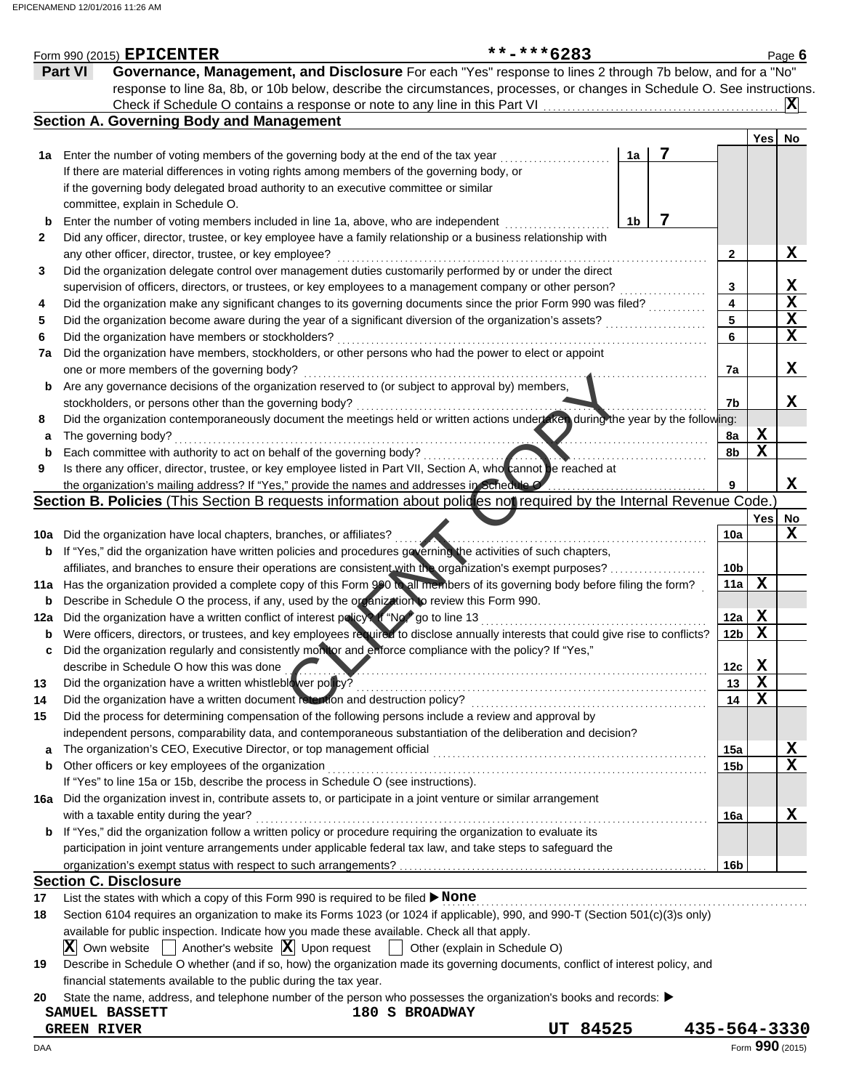|     | Form 990 (2015) EPICENTER                                                                                                                                                                                                                      | **-***6283                    |                |   |                 |             | Page $6$    |
|-----|------------------------------------------------------------------------------------------------------------------------------------------------------------------------------------------------------------------------------------------------|-------------------------------|----------------|---|-----------------|-------------|-------------|
|     | Governance, Management, and Disclosure For each "Yes" response to lines 2 through 7b below, and for a "No"<br>Part VI                                                                                                                          |                               |                |   |                 |             |             |
|     | response to line 8a, 8b, or 10b below, describe the circumstances, processes, or changes in Schedule O. See instructions.                                                                                                                      |                               |                |   |                 |             |             |
|     | Check if Schedule O contains a response or note to any line in this Part VI                                                                                                                                                                    |                               |                |   |                 |             | $ {\bf X} $ |
|     | <b>Section A. Governing Body and Management</b>                                                                                                                                                                                                |                               |                |   |                 |             |             |
|     |                                                                                                                                                                                                                                                |                               |                |   |                 | Yes         | No          |
| 1a  | Enter the number of voting members of the governing body at the end of the tax year                                                                                                                                                            |                               | 1a             | 7 |                 |             |             |
|     | If there are material differences in voting rights among members of the governing body, or                                                                                                                                                     |                               |                |   |                 |             |             |
|     | if the governing body delegated broad authority to an executive committee or similar                                                                                                                                                           |                               |                |   |                 |             |             |
|     | committee, explain in Schedule O.                                                                                                                                                                                                              |                               |                |   |                 |             |             |
| b   | Enter the number of voting members included in line 1a, above, who are independent                                                                                                                                                             |                               | 1 <sub>b</sub> | 7 |                 |             |             |
| 2   | Did any officer, director, trustee, or key employee have a family relationship or a business relationship with                                                                                                                                 |                               |                |   |                 |             |             |
|     | any other officer, director, trustee, or key employee?                                                                                                                                                                                         |                               |                |   | $\mathbf{2}$    |             | X           |
| 3   | Did the organization delegate control over management duties customarily performed by or under the direct                                                                                                                                      |                               |                |   |                 |             |             |
|     | supervision of officers, directors, or trustees, or key employees to a management company or other person?                                                                                                                                     |                               |                |   | 3               |             | X           |
| 4   | Did the organization make any significant changes to its governing documents since the prior Form 990 was filed?                                                                                                                               |                               |                |   | 4               |             | X           |
| 5   | Did the organization become aware during the year of a significant diversion of the organization's assets?                                                                                                                                     |                               |                |   | 5               |             | X           |
| 6   | Did the organization have members or stockholders?                                                                                                                                                                                             |                               |                |   | 6               |             | $\mathbf x$ |
| 7a  | Did the organization have members, stockholders, or other persons who had the power to elect or appoint                                                                                                                                        |                               |                |   |                 |             |             |
|     | one or more members of the governing body?                                                                                                                                                                                                     |                               |                |   | 7a              |             | X           |
| b   | Are any governance decisions of the organization reserved to (or subject to approval by) members,                                                                                                                                              |                               |                |   |                 |             |             |
|     | stockholders, or persons other than the governing body?                                                                                                                                                                                        |                               |                |   | 7b              |             | x           |
| 8   | Did the organization contemporaneously document the meetings held or written actions under aren during the year by the following:                                                                                                              |                               |                |   |                 |             |             |
| a   | The governing body?                                                                                                                                                                                                                            |                               |                |   | 8a              | X           |             |
| b   | Each committee with authority to act on behalf of the governing body?                                                                                                                                                                          |                               |                |   | 8b              | $\mathbf X$ |             |
| 9   | Is there any officer, director, trustee, or key employee listed in Part VII, Section A, who cannot be reached at                                                                                                                               |                               |                |   |                 |             |             |
|     | the organization's mailing address? If "Yes," provide the names and addresses in Schedule O.                                                                                                                                                   |                               |                |   | 9               |             | X           |
|     | Section B. Policies (This Section B requests information about policies not required by the Internal Revenue Code.                                                                                                                             |                               |                |   |                 |             |             |
|     |                                                                                                                                                                                                                                                |                               |                |   |                 | Yes         | No          |
|     | 10a Did the organization have local chapters, branches, or affiliates?                                                                                                                                                                         |                               |                |   | 10a             |             | X           |
|     | <b>b</b> If "Yes," did the organization have written policies and procedures geverning the activities of such chapters,                                                                                                                        |                               |                |   | 10 <sub>b</sub> |             |             |
|     | affiliates, and branches to ensure their operations are consistent with the organization's exempt purposes?<br>11a Has the organization provided a complete copy of this Form 990 to all members of its governing body before filing the form? |                               |                |   | 11a             | X           |             |
| b   | Describe in Schedule O the process, if any, used by the organization to review this Form 990.                                                                                                                                                  |                               |                |   |                 |             |             |
| 12a | Did the organization have a written conflict of interest policy? If "No" go to line 13                                                                                                                                                         |                               |                |   | 12a             | X           |             |
| b   | Were officers, directors, or trustees, and key employees required to disclose annually interests that could give rise to conflicts?                                                                                                            |                               |                |   | 12 <sub>b</sub> | $\mathbf X$ |             |
| c   | Did the organization regularly and consistently monitor and enforce compliance with the policy? If "Yes,"                                                                                                                                      |                               |                |   |                 |             |             |
|     | describe in Schedule O how this was done                                                                                                                                                                                                       |                               |                |   | 12c             | X           |             |
| 13  | Did the organization have a written whistleblower policy?                                                                                                                                                                                      |                               |                |   | 13              | X           |             |
| 14  | Did the organization have a written document retention and destruction policy?                                                                                                                                                                 |                               |                |   | 14              | $\mathbf X$ |             |
| 15  | Did the process for determining compensation of the following persons include a review and approval by                                                                                                                                         |                               |                |   |                 |             |             |
|     | independent persons, comparability data, and contemporaneous substantiation of the deliberation and decision?                                                                                                                                  |                               |                |   |                 |             |             |
| a   | The organization's CEO, Executive Director, or top management official                                                                                                                                                                         |                               |                |   | 15a             |             | х           |
| b   | Other officers or key employees of the organization                                                                                                                                                                                            |                               |                |   | 15 <sub>b</sub> |             | X           |
|     | If "Yes" to line 15a or 15b, describe the process in Schedule O (see instructions).                                                                                                                                                            |                               |                |   |                 |             |             |
|     | 16a Did the organization invest in, contribute assets to, or participate in a joint venture or similar arrangement                                                                                                                             |                               |                |   |                 |             |             |
|     | with a taxable entity during the year?                                                                                                                                                                                                         |                               |                |   | 16a             |             | X           |
| b   | If "Yes," did the organization follow a written policy or procedure requiring the organization to evaluate its                                                                                                                                 |                               |                |   |                 |             |             |
|     | participation in joint venture arrangements under applicable federal tax law, and take steps to safeguard the                                                                                                                                  |                               |                |   |                 |             |             |
|     |                                                                                                                                                                                                                                                |                               |                |   | 16b             |             |             |
|     | <b>Section C. Disclosure</b>                                                                                                                                                                                                                   |                               |                |   |                 |             |             |
| 17  | List the states with which a copy of this Form 990 is required to be filed > None                                                                                                                                                              |                               |                |   |                 |             |             |
| 18  | Section 6104 requires an organization to make its Forms 1023 (or 1024 if applicable), 990, and 990-T (Section 501(c)(3)s only)                                                                                                                 |                               |                |   |                 |             |             |
|     | available for public inspection. Indicate how you made these available. Check all that apply.                                                                                                                                                  |                               |                |   |                 |             |             |
|     | Another's website $ \mathbf{X} $ Upon request<br>$ \mathbf{X} $ Own website                                                                                                                                                                    | Other (explain in Schedule O) |                |   |                 |             |             |
| 19  | Describe in Schedule O whether (and if so, how) the organization made its governing documents, conflict of interest policy, and                                                                                                                |                               |                |   |                 |             |             |
|     | financial statements available to the public during the tax year.                                                                                                                                                                              |                               |                |   |                 |             |             |
| 20  | State the name, address, and telephone number of the person who possesses the organization's books and records: ▶                                                                                                                              |                               |                |   |                 |             |             |
|     | 180 S BROADWAY<br>SAMUEL BASSETT                                                                                                                                                                                                               |                               |                |   |                 |             |             |

**GREEN RIVER UT 84525 435-564-3330**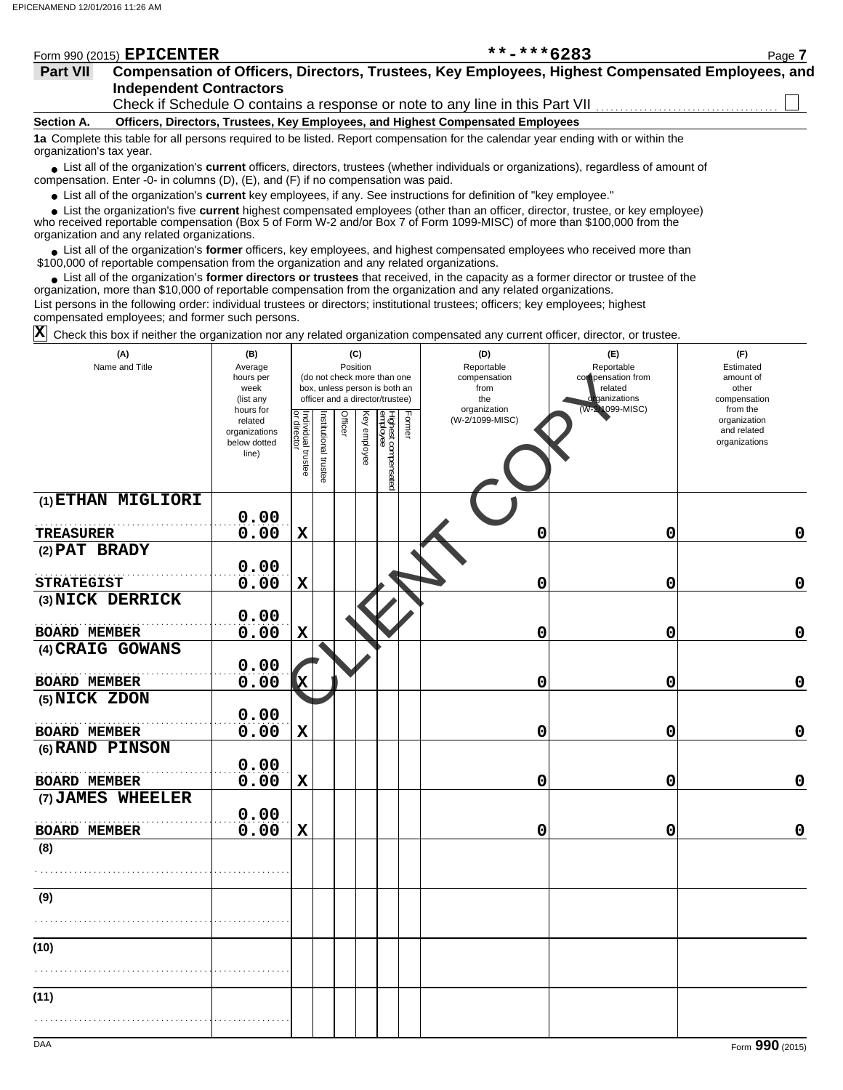| Form 990 (2015) EPICENTER | $***$ $***$ 6283               | Page 7                                                                                                                                                                                                                                                              |
|---------------------------|--------------------------------|---------------------------------------------------------------------------------------------------------------------------------------------------------------------------------------------------------------------------------------------------------------------|
|                           |                                |                                                                                                                                                                                                                                                                     |
|                           |                                |                                                                                                                                                                                                                                                                     |
|                           |                                |                                                                                                                                                                                                                                                                     |
|                           | <b>Independent Contractors</b> | Compensation of Officers, Directors, Trustees, Key Employees, Highest Compensated Employees, and<br>Check if Schedule O contains a response or note to any line in this Part VII<br>Officers, Directors, Trustees, Key Employees, and Highest Compensated Employees |

**1a** Complete this table for all persons required to be listed. Report compensation for the calendar year ending with or within the organization's tax year.

■ List all of the organization's **current** officers, directors, trustees (whether individuals or organizations), regardless of amount of compensation. Enter -0- in columns (D), (E), and (F) if no compensation was paid.

● List all of the organization's **current** key employees, if any. See instructions for definition of "key employee."

 $\bullet$  List the organization's five **current** highest compensated employees (other than an officer, director, trustee, or key employee)<br>a received reportable compensation (Box 5 of Form  $M-2$  and/or Box 7 of Form 1000-MISC)

who received reportable compensation (Box 5 of Form W-2 and/or Box 7 of Form 1099-MISC) of more than \$100,000 from the organization and any related organizations.

List all of the organization's **former** officers, key employees, and highest compensated employees who received more than • List all of the organization's **former** officers, key employees, and highest compensate \$100,000 of reportable compensation from the organization and any related organizations.

• List all of the organization's **former directors or trustees** that received, in the capacity as a former director or trustee of the organization, more than \$10,000 of reportable compensation from the organization and any related organizations. List persons in the following order: individual trustees or directors; institutional trustees; officers; key employees; highest compensated employees; and former such persons.

 $\overline{\textbf{X}}$  Check this box if neither the organization nor any related organization compensated any current officer, director, or trustee.

| (A)<br>Name and Title | (B)<br>Average<br>hours per<br>week<br>(list any               |                                   |                       | (C)<br>Position |              | (do not check more than one<br>box, unless person is both an<br>officer and a director/trustee) |        | (D)<br>Reportable<br>compensation<br>from<br>the<br>organization | (E)<br>Reportable<br>compensation from<br>related<br>ganizations<br>(W-2/1099-MISC) | (F)<br>Estimated<br>amount of<br>other<br>compensation<br>from the |
|-----------------------|----------------------------------------------------------------|-----------------------------------|-----------------------|-----------------|--------------|-------------------------------------------------------------------------------------------------|--------|------------------------------------------------------------------|-------------------------------------------------------------------------------------|--------------------------------------------------------------------|
|                       | hours for<br>related<br>organizations<br>below dotted<br>line) | Individual trustee<br>or director | Institutional trustee | <b>Officer</b>  | Key employee | Highest compensated<br>employee                                                                 | Former | (W-2/1099-MISC)                                                  |                                                                                     | organization<br>and related<br>organizations                       |
| (1) ETHAN MIGLIORI    |                                                                |                                   |                       |                 |              |                                                                                                 |        |                                                                  |                                                                                     |                                                                    |
| <b>TREASURER</b>      | 0.00<br>0.00                                                   | $\mathbf x$                       |                       |                 |              |                                                                                                 |        | 0                                                                | 0                                                                                   | $\mathbf 0$                                                        |
| (2) PAT BRADY         |                                                                |                                   |                       |                 |              |                                                                                                 |        |                                                                  |                                                                                     |                                                                    |
|                       | 0.00                                                           |                                   |                       |                 |              |                                                                                                 |        |                                                                  |                                                                                     |                                                                    |
| <b>STRATEGIST</b>     | 0.00                                                           | $\mathbf X$                       |                       |                 |              |                                                                                                 |        | 0                                                                | 0                                                                                   | $\mathbf 0$                                                        |
| (3) NICK DERRICK      |                                                                |                                   |                       |                 |              |                                                                                                 |        |                                                                  |                                                                                     |                                                                    |
| <b>BOARD MEMBER</b>   | 0.00<br>0.00                                                   | $\mathbf X$                       |                       |                 |              |                                                                                                 |        | 0                                                                | 0                                                                                   | $\mathbf 0$                                                        |
| (4) CRAIG GOWANS      |                                                                |                                   |                       |                 |              |                                                                                                 |        |                                                                  |                                                                                     |                                                                    |
|                       | 0.00                                                           |                                   |                       |                 |              |                                                                                                 |        |                                                                  |                                                                                     |                                                                    |
| <b>BOARD MEMBER</b>   | 0.00                                                           | x                                 |                       |                 |              |                                                                                                 |        | 0                                                                | 0                                                                                   | $\mathbf 0$                                                        |
| (5) NICK ZDON         |                                                                |                                   |                       |                 |              |                                                                                                 |        |                                                                  |                                                                                     |                                                                    |
|                       | 0.00                                                           |                                   |                       |                 |              |                                                                                                 |        |                                                                  |                                                                                     |                                                                    |
| <b>BOARD MEMBER</b>   | 0.00                                                           | $\mathbf X$                       |                       |                 |              |                                                                                                 |        | 0                                                                | 0                                                                                   | $\mathbf 0$                                                        |
| (6) RAND PINSON       | 0.00                                                           |                                   |                       |                 |              |                                                                                                 |        |                                                                  |                                                                                     |                                                                    |
| BOARD MEMBER          | 0.00                                                           | $\mathbf x$                       |                       |                 |              |                                                                                                 |        | 0                                                                | 0                                                                                   | $\mathbf 0$                                                        |
| (7) JAMES WHEELER     |                                                                |                                   |                       |                 |              |                                                                                                 |        |                                                                  |                                                                                     |                                                                    |
|                       | 0.00                                                           |                                   |                       |                 |              |                                                                                                 |        |                                                                  |                                                                                     |                                                                    |
| <b>BOARD MEMBER</b>   | 0.00                                                           | $\mathbf X$                       |                       |                 |              |                                                                                                 |        | 0                                                                | 0                                                                                   | 0                                                                  |
| (8)                   |                                                                |                                   |                       |                 |              |                                                                                                 |        |                                                                  |                                                                                     |                                                                    |
|                       |                                                                |                                   |                       |                 |              |                                                                                                 |        |                                                                  |                                                                                     |                                                                    |
| (9)                   |                                                                |                                   |                       |                 |              |                                                                                                 |        |                                                                  |                                                                                     |                                                                    |
|                       |                                                                |                                   |                       |                 |              |                                                                                                 |        |                                                                  |                                                                                     |                                                                    |
| (10)                  |                                                                |                                   |                       |                 |              |                                                                                                 |        |                                                                  |                                                                                     |                                                                    |
|                       |                                                                |                                   |                       |                 |              |                                                                                                 |        |                                                                  |                                                                                     |                                                                    |
| (11)                  |                                                                |                                   |                       |                 |              |                                                                                                 |        |                                                                  |                                                                                     |                                                                    |
|                       |                                                                |                                   |                       |                 |              |                                                                                                 |        |                                                                  |                                                                                     |                                                                    |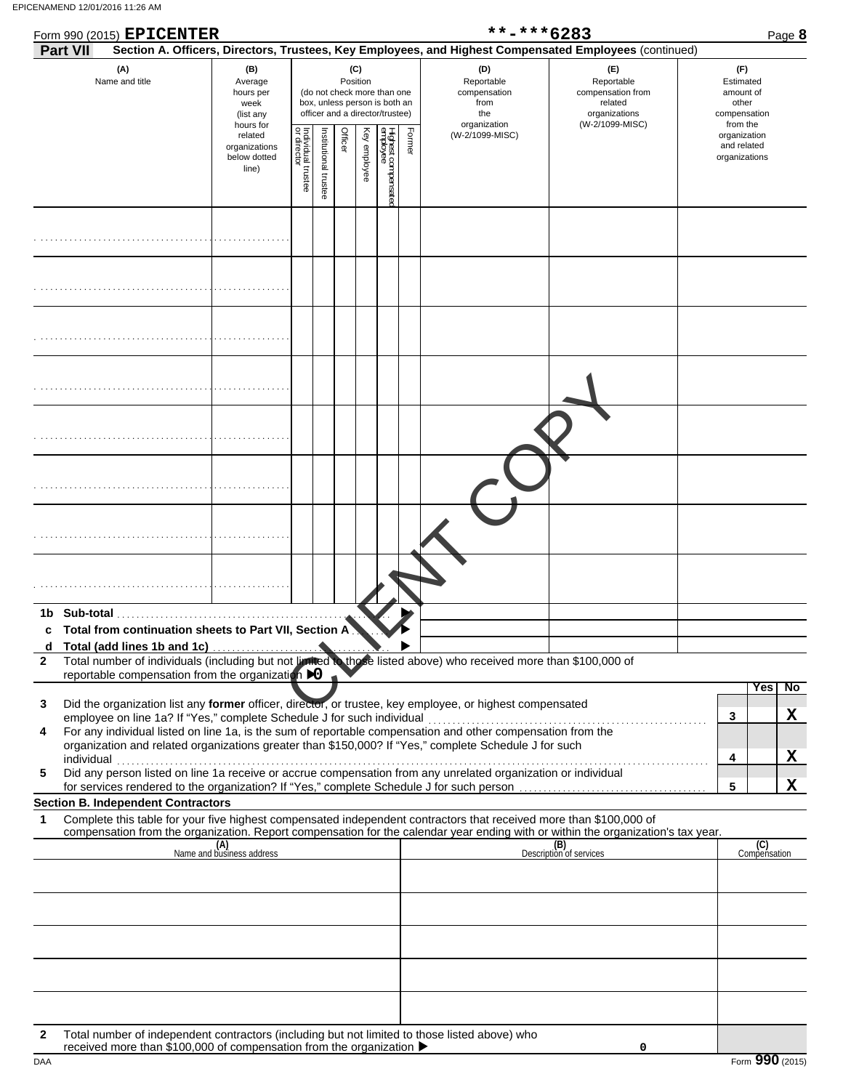|              | Form 990 (2015) EPICENTER                                                                                                                                                             |                                                               |                                   |                       |                                                                                                                    |              |                                 |        | **-***6283                                                       |                                                                                                                                            | Page 8                                                             |  |
|--------------|---------------------------------------------------------------------------------------------------------------------------------------------------------------------------------------|---------------------------------------------------------------|-----------------------------------|-----------------------|--------------------------------------------------------------------------------------------------------------------|--------------|---------------------------------|--------|------------------------------------------------------------------|--------------------------------------------------------------------------------------------------------------------------------------------|--------------------------------------------------------------------|--|
|              | <b>Part VII</b>                                                                                                                                                                       |                                                               |                                   |                       |                                                                                                                    |              |                                 |        |                                                                  | Section A. Officers, Directors, Trustees, Key Employees, and Highest Compensated Employees (continued)                                     |                                                                    |  |
|              | (A)<br>Name and title                                                                                                                                                                 | (B)<br>Average<br>hours per<br>week<br>(list any<br>hours for |                                   |                       | (C)<br>Position<br>(do not check more than one<br>box, unless person is both an<br>officer and a director/trustee) |              |                                 |        | (D)<br>Reportable<br>compensation<br>from<br>the<br>organization | (E)<br>Reportable<br>compensation from<br>related<br>organizations<br>(W-2/1099-MISC)                                                      | (F)<br>Estimated<br>amount of<br>other<br>compensation<br>from the |  |
|              |                                                                                                                                                                                       | related<br>organizations<br>below dotted<br>line)             | Individual trustee<br>or director | Institutional trustee | Officer                                                                                                            | Key employee | Highest compensatec<br>employee | Former | (W-2/1099-MISC)                                                  |                                                                                                                                            | organization<br>and related<br>organizations                       |  |
|              |                                                                                                                                                                                       |                                                               |                                   |                       |                                                                                                                    |              |                                 |        |                                                                  |                                                                                                                                            |                                                                    |  |
|              |                                                                                                                                                                                       |                                                               |                                   |                       |                                                                                                                    |              |                                 |        |                                                                  |                                                                                                                                            |                                                                    |  |
|              |                                                                                                                                                                                       |                                                               |                                   |                       |                                                                                                                    |              |                                 |        |                                                                  |                                                                                                                                            |                                                                    |  |
|              |                                                                                                                                                                                       |                                                               |                                   |                       |                                                                                                                    |              |                                 |        |                                                                  |                                                                                                                                            |                                                                    |  |
|              |                                                                                                                                                                                       |                                                               |                                   |                       |                                                                                                                    |              |                                 |        |                                                                  |                                                                                                                                            |                                                                    |  |
|              |                                                                                                                                                                                       |                                                               |                                   |                       |                                                                                                                    |              |                                 |        |                                                                  |                                                                                                                                            |                                                                    |  |
|              |                                                                                                                                                                                       |                                                               |                                   |                       |                                                                                                                    |              |                                 |        |                                                                  |                                                                                                                                            |                                                                    |  |
|              |                                                                                                                                                                                       |                                                               |                                   |                       |                                                                                                                    |              |                                 |        |                                                                  |                                                                                                                                            |                                                                    |  |
| c            | Total from continuation sheets to Part VII, Section A                                                                                                                                 |                                                               |                                   |                       |                                                                                                                    |              |                                 |        |                                                                  |                                                                                                                                            |                                                                    |  |
| d            | Total (add lines 1b and 1c)                                                                                                                                                           |                                                               |                                   |                       |                                                                                                                    |              |                                 |        |                                                                  |                                                                                                                                            |                                                                    |  |
| $\mathbf{2}$ | Total number of individuals (including but not limited to those listed above) who received more than \$100,000 of                                                                     |                                                               |                                   |                       |                                                                                                                    |              |                                 |        |                                                                  |                                                                                                                                            |                                                                    |  |
|              | reportable compensation from the organization DO                                                                                                                                      |                                                               |                                   |                       |                                                                                                                    |              |                                 |        |                                                                  |                                                                                                                                            | Yes<br>No                                                          |  |
| 3            | Did the organization list any former officer, director, or trustee, key employee, or highest compensated                                                                              |                                                               |                                   |                       |                                                                                                                    |              |                                 |        |                                                                  |                                                                                                                                            |                                                                    |  |
| 4            | employee on line 1a? If "Yes," complete Schedule J for such individual<br>For any individual listed on line 1a, is the sum of reportable compensation and other compensation from the |                                                               |                                   |                       |                                                                                                                    |              |                                 |        |                                                                  |                                                                                                                                            | X<br>3                                                             |  |
|              | organization and related organizations greater than \$150,000? If "Yes," complete Schedule J for such                                                                                 |                                                               |                                   |                       |                                                                                                                    |              |                                 |        |                                                                  |                                                                                                                                            |                                                                    |  |
| 5            | individual<br>ndividual<br>Did any person listed on line 1a receive or accrue compensation from any unrelated organization or individual                                              |                                                               |                                   |                       |                                                                                                                    |              |                                 |        |                                                                  |                                                                                                                                            | X<br>4                                                             |  |
|              |                                                                                                                                                                                       |                                                               |                                   |                       |                                                                                                                    |              |                                 |        |                                                                  | for services rendered to the organization? If "Yes," complete Schedule J for such person [11] [11] for such person [11] [12] $\frac{1}{2}$ | X<br>5                                                             |  |
|              | <b>Section B. Independent Contractors</b>                                                                                                                                             |                                                               |                                   |                       |                                                                                                                    |              |                                 |        |                                                                  |                                                                                                                                            |                                                                    |  |
| 1            | Complete this table for your five highest compensated independent contractors that received more than \$100,000 of                                                                    |                                                               |                                   |                       |                                                                                                                    |              |                                 |        |                                                                  | compensation from the organization. Report compensation for the calendar year ending with or within the organization's tax year.           |                                                                    |  |
|              |                                                                                                                                                                                       | (A)<br>Name and business address                              |                                   |                       |                                                                                                                    |              |                                 |        |                                                                  | (B)<br>Description of services                                                                                                             | (C)<br>Compensation                                                |  |
|              |                                                                                                                                                                                       |                                                               |                                   |                       |                                                                                                                    |              |                                 |        |                                                                  |                                                                                                                                            |                                                                    |  |
|              |                                                                                                                                                                                       |                                                               |                                   |                       |                                                                                                                    |              |                                 |        |                                                                  |                                                                                                                                            |                                                                    |  |
|              |                                                                                                                                                                                       |                                                               |                                   |                       |                                                                                                                    |              |                                 |        |                                                                  |                                                                                                                                            |                                                                    |  |
|              |                                                                                                                                                                                       |                                                               |                                   |                       |                                                                                                                    |              |                                 |        |                                                                  |                                                                                                                                            |                                                                    |  |
|              |                                                                                                                                                                                       |                                                               |                                   |                       |                                                                                                                    |              |                                 |        |                                                                  |                                                                                                                                            |                                                                    |  |
|              |                                                                                                                                                                                       |                                                               |                                   |                       |                                                                                                                    |              |                                 |        |                                                                  |                                                                                                                                            |                                                                    |  |
|              |                                                                                                                                                                                       |                                                               |                                   |                       |                                                                                                                    |              |                                 |        |                                                                  |                                                                                                                                            |                                                                    |  |

**2** Total number of independent contractors (including but not limited to those listed above) who received more than \$100,000 of compensation from the organization

**0**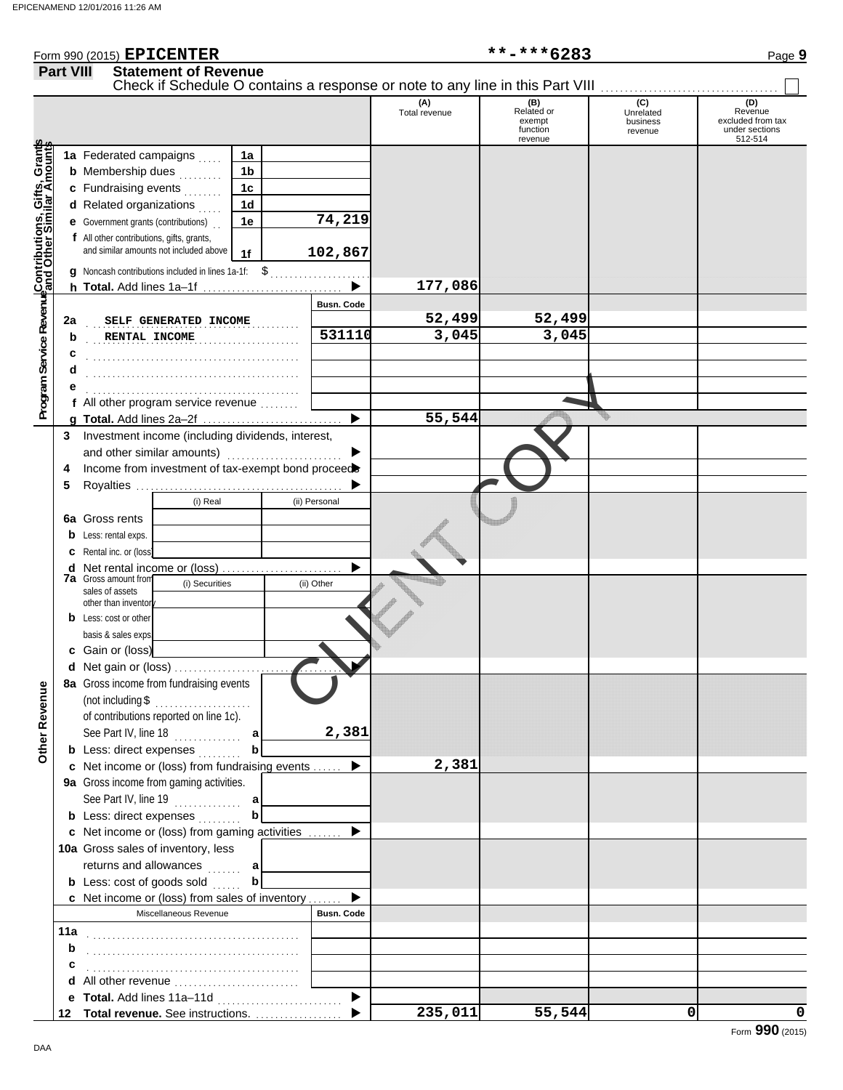## Form 990 (2015) Page **9**

**EPICENTER \*\*-\*\*\*6283**

|                                                             | <b>Part VIII</b> | <b>Statement of Revenue</b><br>Check if Schedule O contains a response or note to any line in this Part VIII |                |                   |                      |                                                    |                                         |                                                                  |
|-------------------------------------------------------------|------------------|--------------------------------------------------------------------------------------------------------------|----------------|-------------------|----------------------|----------------------------------------------------|-----------------------------------------|------------------------------------------------------------------|
|                                                             |                  |                                                                                                              |                |                   | (A)<br>Total revenue | (B)<br>Related or<br>exempt<br>function<br>revenue | (C)<br>Unrelated<br>business<br>revenue | (D)<br>Revenue<br>excluded from tax<br>under sections<br>512-514 |
|                                                             |                  | 1a Federated campaigns                                                                                       | 1a             |                   |                      |                                                    |                                         |                                                                  |
|                                                             |                  | <b>b</b> Membership dues<br>.                                                                                | 1 <sub>b</sub> |                   |                      |                                                    |                                         |                                                                  |
| <b>Program Service Revenue Contributions, Gifts, Grants</b> |                  | c Fundraising events<br>ala alalah                                                                           | 1c             |                   |                      |                                                    |                                         |                                                                  |
|                                                             |                  | d Related organizations                                                                                      | 1 <sub>d</sub> |                   |                      |                                                    |                                         |                                                                  |
|                                                             |                  | <b>e</b> Government grants (contributions)                                                                   | 1e             | 74,219            |                      |                                                    |                                         |                                                                  |
|                                                             |                  | f All other contributions, gifts, grants,                                                                    |                |                   |                      |                                                    |                                         |                                                                  |
|                                                             |                  | and similar amounts not included above                                                                       | 1f             | 102,867           |                      |                                                    |                                         |                                                                  |
|                                                             |                  | g Noncash contributions included in lines 1a-1f: \$                                                          |                |                   |                      |                                                    |                                         |                                                                  |
|                                                             |                  |                                                                                                              |                |                   | 177,086              |                                                    |                                         |                                                                  |
|                                                             |                  |                                                                                                              |                | <b>Busn. Code</b> |                      |                                                    |                                         |                                                                  |
|                                                             | 2a               | SELF GENERATED INCOME                                                                                        |                |                   | 52,499               | 52,499                                             |                                         |                                                                  |
|                                                             | b                | RENTAL INCOME                                                                                                |                | 531110            | 3,045                | 3,045                                              |                                         |                                                                  |
|                                                             |                  |                                                                                                              |                |                   |                      |                                                    |                                         |                                                                  |
|                                                             |                  |                                                                                                              |                |                   |                      |                                                    |                                         |                                                                  |
|                                                             |                  |                                                                                                              |                |                   |                      |                                                    |                                         |                                                                  |
|                                                             |                  | f All other program service revenue                                                                          |                |                   |                      |                                                    |                                         |                                                                  |
|                                                             |                  |                                                                                                              |                |                   | 55,544               |                                                    |                                         |                                                                  |
|                                                             | 3                | Investment income (including dividends, interest,                                                            |                |                   |                      |                                                    |                                         |                                                                  |
|                                                             |                  | and other similar amounts)                                                                                   |                |                   |                      |                                                    |                                         |                                                                  |
|                                                             | 4                | Income from investment of tax-exempt bond proceed                                                            |                |                   |                      |                                                    |                                         |                                                                  |
|                                                             | 5                |                                                                                                              |                |                   |                      |                                                    |                                         |                                                                  |
|                                                             |                  | (i) Real                                                                                                     |                | (ii) Personal     |                      |                                                    |                                         |                                                                  |
|                                                             |                  | 6a Gross rents                                                                                               |                |                   |                      |                                                    |                                         |                                                                  |
|                                                             | b                | Less: rental exps.                                                                                           |                |                   |                      |                                                    |                                         |                                                                  |
|                                                             | c                | Rental inc. or (loss)                                                                                        |                |                   |                      |                                                    |                                         |                                                                  |
|                                                             | d                | Net rental income or (loss)<br><b>7a</b> Gross amount from                                                   |                |                   |                      |                                                    |                                         |                                                                  |
|                                                             |                  | (i) Securities<br>sales of assets                                                                            |                | (ii) Other        |                      |                                                    |                                         |                                                                  |
|                                                             |                  | other than inventor                                                                                          |                |                   |                      |                                                    |                                         |                                                                  |
|                                                             | b                | Less: cost or other                                                                                          |                |                   |                      |                                                    |                                         |                                                                  |
|                                                             |                  | basis & sales exps                                                                                           |                |                   |                      |                                                    |                                         |                                                                  |
|                                                             |                  | c Gain or (loss)                                                                                             |                |                   |                      |                                                    |                                         |                                                                  |
|                                                             |                  | 8a Gross income from fundraising events                                                                      |                |                   |                      |                                                    |                                         |                                                                  |
|                                                             |                  | (not including \$                                                                                            |                |                   |                      |                                                    |                                         |                                                                  |
|                                                             |                  | .<br>of contributions reported on line 1c).                                                                  |                |                   |                      |                                                    |                                         |                                                                  |
|                                                             |                  | See Part IV, line 18                                                                                         | a              | 2,381             |                      |                                                    |                                         |                                                                  |
| Other Revenue                                               |                  | <b>b</b> Less: direct expenses                                                                               | b              |                   |                      |                                                    |                                         |                                                                  |
|                                                             |                  | c Net income or (loss) from fundraising events                                                               |                |                   | 2,381                |                                                    |                                         |                                                                  |
|                                                             |                  | 9a Gross income from gaming activities.                                                                      |                |                   |                      |                                                    |                                         |                                                                  |
|                                                             |                  |                                                                                                              |                |                   |                      |                                                    |                                         |                                                                  |
|                                                             |                  | <b>b</b> Less: direct expenses                                                                               | b              |                   |                      |                                                    |                                         |                                                                  |
|                                                             |                  | c Net income or (loss) from gaming activities                                                                |                |                   |                      |                                                    |                                         |                                                                  |
|                                                             |                  | 10a Gross sales of inventory, less                                                                           |                |                   |                      |                                                    |                                         |                                                                  |
|                                                             |                  | returns and allowances                                                                                       | a              |                   |                      |                                                    |                                         |                                                                  |
|                                                             |                  | <b>b</b> Less: cost of goods sold                                                                            | $\mathbf b$    |                   |                      |                                                    |                                         |                                                                  |
|                                                             |                  | c Net income or (loss) from sales of inventory                                                               |                |                   |                      |                                                    |                                         |                                                                  |
|                                                             |                  | Miscellaneous Revenue                                                                                        |                | <b>Busn. Code</b> |                      |                                                    |                                         |                                                                  |
|                                                             | 11a              |                                                                                                              |                |                   |                      |                                                    |                                         |                                                                  |
|                                                             | b                |                                                                                                              |                |                   |                      |                                                    |                                         |                                                                  |
|                                                             | c                |                                                                                                              |                |                   |                      |                                                    |                                         |                                                                  |
|                                                             | d                | All other revenue                                                                                            |                |                   |                      |                                                    |                                         |                                                                  |
|                                                             |                  |                                                                                                              |                |                   |                      |                                                    |                                         |                                                                  |
|                                                             |                  | 12 Total revenue. See instructions.                                                                          |                |                   | 235,011              | 55,544                                             | 0                                       | 0                                                                |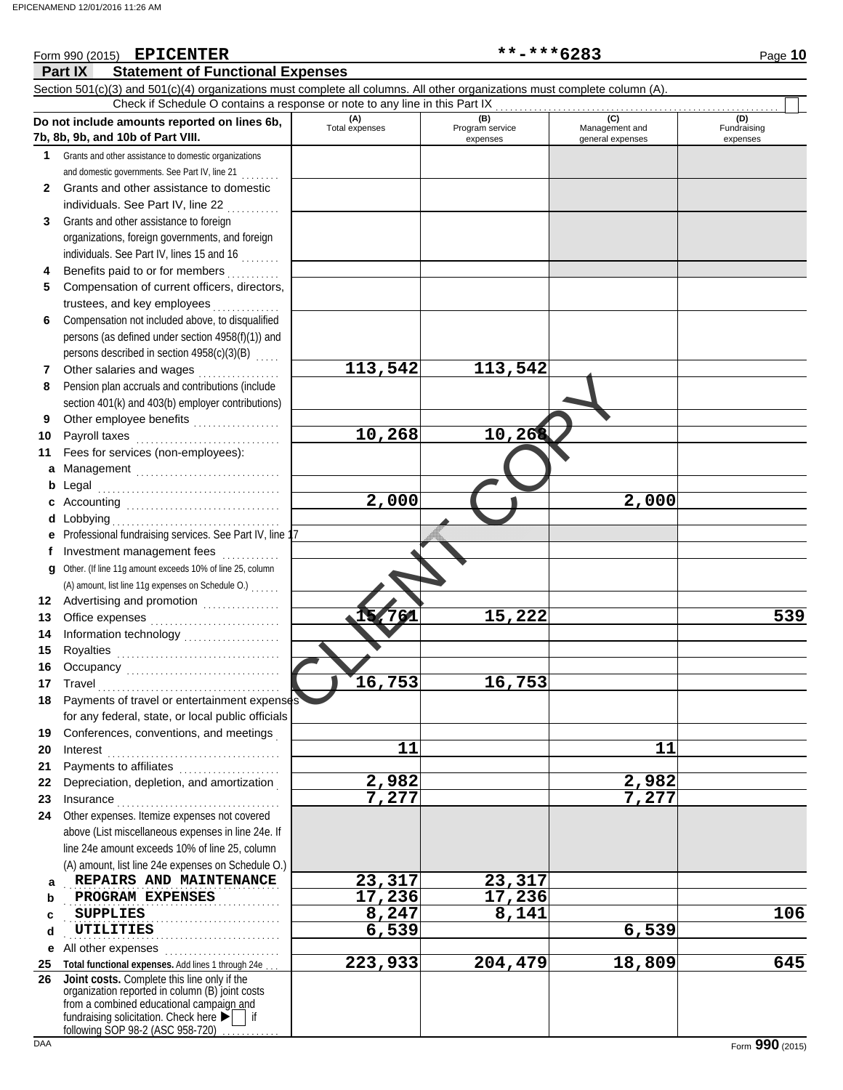### 10,268 10,26<br>
2,000 2,000 7<br>
16,753 16,753 **Part IX Statement of Functional Expenses** Form 990 (2015) Page **10** Section 501(c)(3) and 501(c)(4) organizations must complete all columns. All other organizations must complete column (A). **Do not include amounts reported on lines 6b, 7b, 8b, 9b, and 10b of Part VIII. 1 2 3 4 5 6 7 8 9 10 11 a** Management .............................. **b** Legal **c** Accounting . . . . . . . . . . . . . . . . . . . . . . . . . . . . . . . . **d** Lobbying . . . . . . . . . . . . . . . . . . . . . . . . . . . . . . . . . . . **e f g** Other. (If line 11g amount exceeds 10% of line 25, column **12** Advertising and promotion . . . . . . . . . . . . . . **13 14 15 16 17 18 19 20 21 22 23 24 a b c d e** All other expenses . . . . . . . . . . . . . . . . . . . . . . . . **25 Total functional expenses.** Add lines 1 through 24e . . . **26** Grants and other assistance to domestic organizations and domestic governments. See Part IV, line 21 . . . . . . . . Grants and other assistance to domestic individuals. See Part IV, line 22 Grants and other assistance to foreign organizations, foreign governments, and foreign individuals. See Part IV, lines 15 and 16 . . . . . . . . Benefits paid to or for members ........... Compensation of current officers, directors, trustees, and key employees Compensation not included above, to disqualified persons (as defined under section 4958(f)(1)) and persons described in section 4958(c)(3)(B) Other salaries and wages .................. Pension plan accruals and contributions (include section 401(k) and 403(b) employer contributions) Other employee benefits ................... Payroll taxes . . . . . . . . . . . . . . . . . . . . . . . . . . . . . . Fees for services (non-employees): Legal . . . . . . . . . . . . . . . . . . . . . . . . . . . . . . . . . . . . . . Professional fundraising services. See Part IV, line 1 Investment management fees ............. Office expenses . . . . . . . . . . . . . . . . . . . . . . . . . . . Information technology . . . . . . . . . . . . . . . . . . . . Royalties . . . . . . . . . . . . . . . . . . . . . . . . . . . . . . . . . . Occupancy . . . . . . . . . . . . . . . . . . . . . . . . . . . . . . . . Travel . . . . . . . . . . . . . . . . . . . . . . . . . . . . . . . . . . . . . . Payments of travel or entertainment expenses for any federal, state, or local public officials Conferences, conventions, and meetings . Interest . . . . . . . . . . . . . . . . . . . . . . . . . . . . . . . . . . . . Payments to affiliates ...................... Depreciation, depletion, and amortization . Insurance . . . . . . . . . . . . . . . . . . . . . . . . . . . . . . . . . . Other expenses. Itemize expenses not covered above (List miscellaneous expenses in line 24e. If line 24e amount exceeds 10% of line 25, column (A) amount, list line 24e expenses on Schedule O.) fundraising solicitation. Check here  $\blacktriangleright$  | if organization reported in column (B) joint costs from a combined educational campaign and following SOP 98-2 (ASC 958-720) **(A) (B) (B)** (C) (C) (D)<br>Total expenses Program service Management and Fundrai expenses general expenses (D)<br>Fundraising expenses **REPAIRS AND MAINTENANCE** 23,317 23,317 **PROGRAM EXPENSES** 17,236 17,236 SUPPLIES<br>UTILITIES . . . . . . . . . . . . . . . . . . . . . . . . . . . . . . . . . . . . . . . . . . . . . Check if Schedule O contains a response or note to any line in this Part IX **Joint costs.** Complete this line only if the (A) amount, list line 11g expenses on Schedule O.) . . . . . . . **EPICENTER \*\*-\*\*\*6283 113,542 113,542 10,268 10,268 2,000 2,000 15,761 15,222 539 16,753 16,753** 11 11 11 **2,982 2,982 7,277 7,277 SUPPLIES 8,247 8,141 106 UTILITIES 6,539 6,539 223,933 204,479 18,809 645**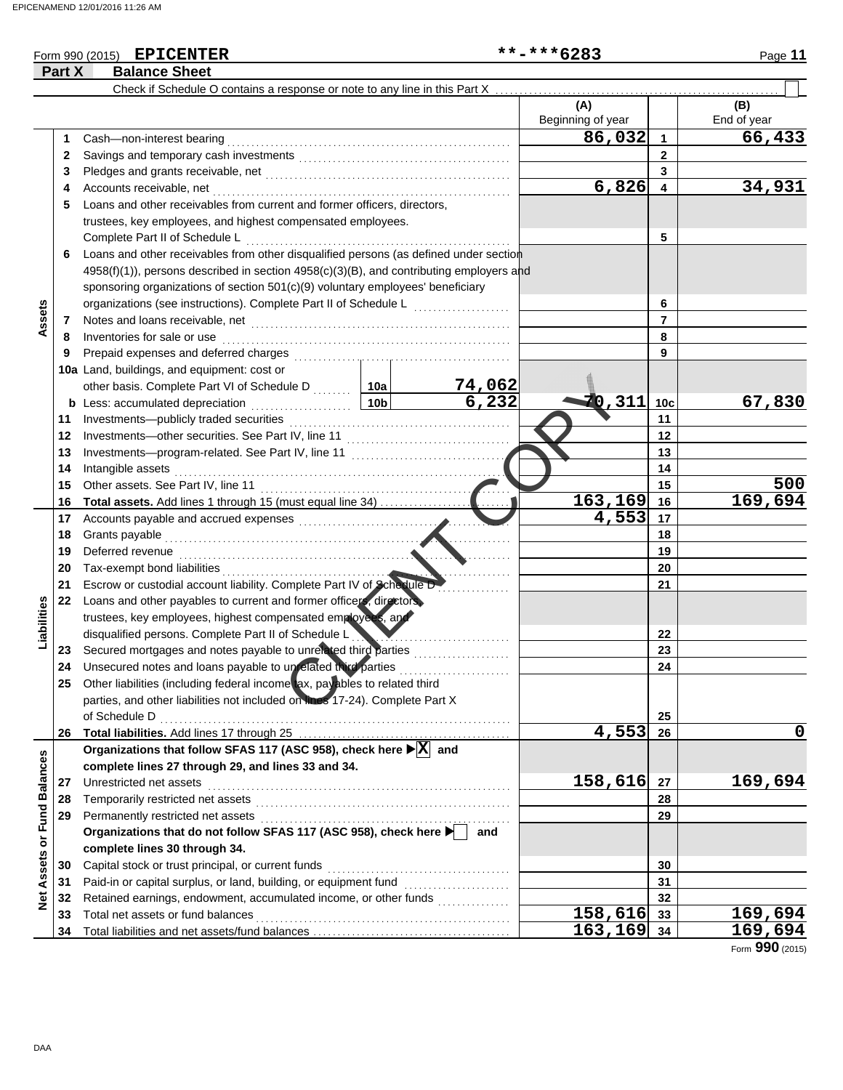## Form 990 (2015) Page **11**

|                         | Part X | <b>Balance Sheet</b>                                                                    |                 |                                         |                          |                 |                    |  |  |  |  |
|-------------------------|--------|-----------------------------------------------------------------------------------------|-----------------|-----------------------------------------|--------------------------|-----------------|--------------------|--|--|--|--|
|                         |        | Check if Schedule O contains a response or note to any line in this Part X              |                 |                                         |                          |                 |                    |  |  |  |  |
|                         |        |                                                                                         |                 |                                         | (A)<br>Beginning of year |                 | (B)<br>End of year |  |  |  |  |
|                         | 1      | Cash-non-interest bearing                                                               |                 |                                         | 86,032                   | 1               | 66,433             |  |  |  |  |
|                         | 2      |                                                                                         |                 |                                         |                          | $\mathbf{2}$    |                    |  |  |  |  |
|                         | 3      |                                                                                         |                 |                                         |                          | 3               |                    |  |  |  |  |
|                         | 4      | Accounts receivable, net                                                                |                 |                                         | 6,826                    | 4               | 34,931             |  |  |  |  |
|                         | 5      | Loans and other receivables from current and former officers, directors,                |                 |                                         |                          |                 |                    |  |  |  |  |
|                         |        | trustees, key employees, and highest compensated employees.                             |                 |                                         |                          |                 |                    |  |  |  |  |
|                         |        | Complete Part II of Schedule L                                                          |                 | 5                                       |                          |                 |                    |  |  |  |  |
|                         | 6      | Loans and other receivables from other disqualified persons (as defined under section   |                 |                                         |                          |                 |                    |  |  |  |  |
|                         |        | 4958(f)(1)), persons described in section 4958(c)(3)(B), and contributing employers and |                 |                                         |                          |                 |                    |  |  |  |  |
|                         |        | sponsoring organizations of section 501(c)(9) voluntary employees' beneficiary          |                 |                                         |                          |                 |                    |  |  |  |  |
|                         |        | organizations (see instructions). Complete Part II of Schedule L                        |                 | <u> 1986 - Johann Barnett, martin a</u> |                          | 6               |                    |  |  |  |  |
| Assets                  | 7      |                                                                                         | $\overline{7}$  |                                         |                          |                 |                    |  |  |  |  |
|                         | 8      | Inventories for sale or use                                                             |                 |                                         |                          | 8               |                    |  |  |  |  |
|                         | 9      | Prepaid expenses and deferred charges                                                   |                 |                                         |                          | 9               |                    |  |  |  |  |
|                         |        | 10a Land, buildings, and equipment: cost or                                             |                 |                                         |                          |                 |                    |  |  |  |  |
|                         |        | other basis. Complete Part VI of Schedule D  10a                                        |                 |                                         |                          |                 |                    |  |  |  |  |
|                         |        | <b>b</b> Less: accumulated depreciation<br>.                                            | 10 <sub>b</sub> | $\frac{74,062}{6,232}$                  | 70,311                   | 10 <sub>c</sub> | 67,830             |  |  |  |  |
|                         | 11     |                                                                                         |                 |                                         |                          | 11              |                    |  |  |  |  |
|                         | 12     | Investments-other securities. See Part IV, line 11                                      |                 |                                         |                          | 12              |                    |  |  |  |  |
|                         | 13     |                                                                                         |                 | 13                                      |                          |                 |                    |  |  |  |  |
|                         | 14     | Intangible assets                                                                       |                 |                                         |                          | 14              |                    |  |  |  |  |
|                         | 15     | Other assets. See Part IV, line 11                                                      |                 |                                         |                          | 15              | 500                |  |  |  |  |
|                         | 16     | <b>Total assets.</b> Add lines 1 through 15 (must equal line 34)                        |                 |                                         | 163,169                  | 16              | 169,694            |  |  |  |  |
|                         | 17     | Accounts payable and accrued expenses                                                   |                 |                                         | 4,553                    | 17              |                    |  |  |  |  |
|                         | 18     | Grants payable                                                                          |                 |                                         | 18                       |                 |                    |  |  |  |  |
|                         | 19     | Deferred revenue                                                                        |                 |                                         | 19                       |                 |                    |  |  |  |  |
|                         | 20     | Tax-exempt bond liabilities                                                             |                 |                                         | 20                       |                 |                    |  |  |  |  |
|                         | 21     | Escrow or custodial account liability. Complete Part IV of Schedule D-                  |                 |                                         | 21                       |                 |                    |  |  |  |  |
|                         | 22     | Loans and other payables to current and former officers, directors,                     |                 |                                         |                          |                 |                    |  |  |  |  |
| Liabilities             |        | trustees, key employees, highest compensated employees, and                             |                 |                                         |                          |                 |                    |  |  |  |  |
|                         |        | disqualified persons. Complete Part II of Schedule L                                    |                 |                                         |                          | 22              |                    |  |  |  |  |
|                         | 23     | Secured mortgages and notes payable to unrelated third parties                          |                 |                                         |                          | 23              |                    |  |  |  |  |
|                         | 24     | Unsecured notes and loans payable to unrelated third parties                            |                 |                                         |                          | 24              |                    |  |  |  |  |
|                         | 25     | Other liabilities (including federal income tax, pay ables to related third             |                 |                                         |                          |                 |                    |  |  |  |  |
|                         |        | parties, and other liabilities not included on lines 17-24). Complete Part X            |                 |                                         |                          |                 |                    |  |  |  |  |
|                         |        | of Schedule D                                                                           |                 |                                         |                          | 25              |                    |  |  |  |  |
|                         | 26     |                                                                                         |                 |                                         | 4,553                    | 26              | 0                  |  |  |  |  |
|                         |        | Organizations that follow SFAS 117 (ASC 958), check here ▶ X and                        |                 |                                         |                          |                 |                    |  |  |  |  |
|                         |        | complete lines 27 through 29, and lines 33 and 34.                                      |                 |                                         |                          |                 |                    |  |  |  |  |
|                         | 27     | Unrestricted net assets                                                                 |                 |                                         | 158,616                  | 27              | 169,694            |  |  |  |  |
|                         | 28     | Temporarily restricted net assets                                                       |                 |                                         |                          | 28              |                    |  |  |  |  |
|                         | 29     |                                                                                         |                 |                                         |                          | 29              |                    |  |  |  |  |
|                         |        | Organizations that do not follow SFAS 117 (ASC 958), check here                         |                 | and                                     |                          |                 |                    |  |  |  |  |
| Assets or Fund Balances |        | complete lines 30 through 34.                                                           |                 |                                         |                          |                 |                    |  |  |  |  |
|                         | 30     | Capital stock or trust principal, or current funds                                      |                 |                                         | 30<br>31                 |                 |                    |  |  |  |  |
|                         | 31     |                                                                                         |                 |                                         |                          |                 |                    |  |  |  |  |
| <b>Net</b>              | 32     | Retained earnings, endowment, accumulated income, or other funds                        |                 |                                         |                          | 32              |                    |  |  |  |  |
|                         | 33     | Total net assets or fund balances                                                       |                 |                                         | 158,616                  | 33              | 169,694            |  |  |  |  |
|                         | 34     |                                                                                         |                 |                                         | 163, 169 34              |                 | 169,694            |  |  |  |  |

Form **990** (2015)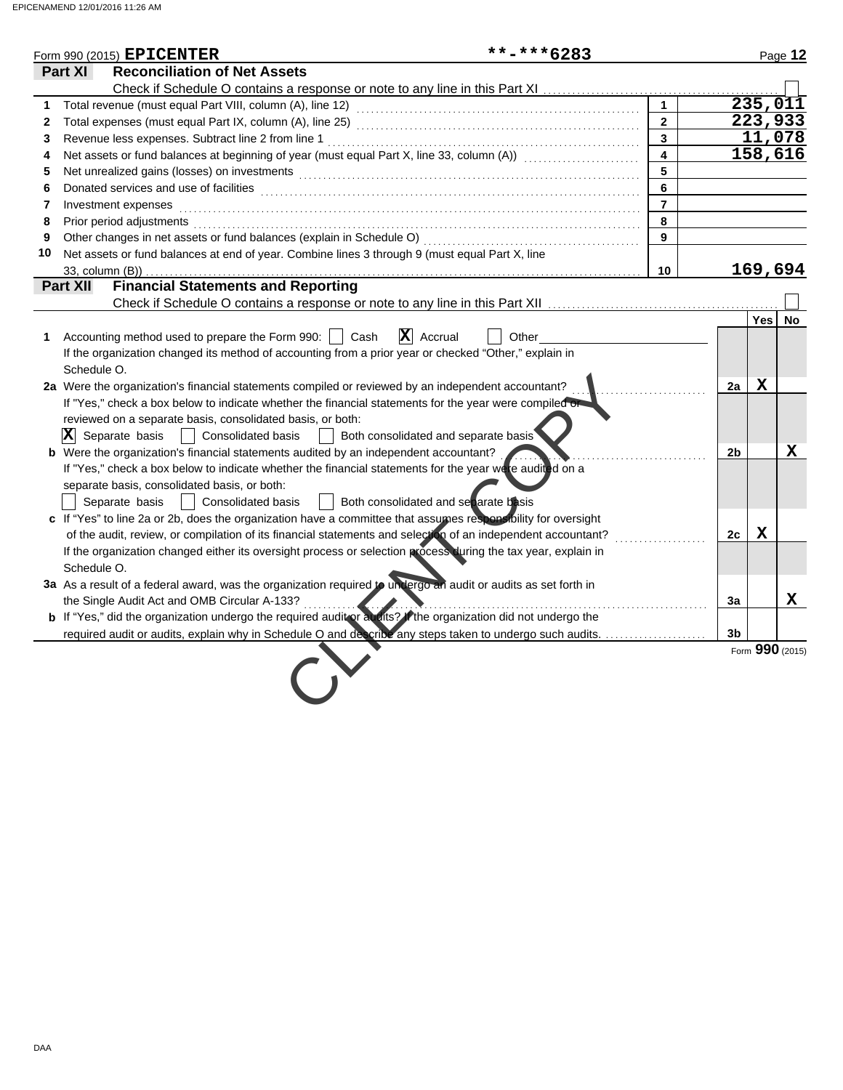|                | **-***6283<br>Form 990 (2015) $\textbf{EPICENTER}$                                                                                                                                                                             |                         |                |             | Page 12         |
|----------------|--------------------------------------------------------------------------------------------------------------------------------------------------------------------------------------------------------------------------------|-------------------------|----------------|-------------|-----------------|
|                | Part XI<br><b>Reconciliation of Net Assets</b>                                                                                                                                                                                 |                         |                |             |                 |
|                |                                                                                                                                                                                                                                |                         |                |             |                 |
| 1              |                                                                                                                                                                                                                                | $\mathbf{1}$            |                |             | 235,011         |
| $\mathbf{2}$   |                                                                                                                                                                                                                                | $\overline{2}$          |                |             | 223,933         |
| 3              |                                                                                                                                                                                                                                | $\overline{3}$          |                |             | 11,078          |
| 4              | Net assets or fund balances at beginning of year (must equal Part X, line 33, column (A)) [[[[[[[[[[[[[[[[[[[                                                                                                                  | $\overline{\mathbf{4}}$ |                |             | 158,616         |
| 5              | Net unrealized gains (losses) on investments [11] with the content of the content of the state of the state of the state of the state of the state of the state of the state of the state of the state of the state of the sta | 5                       |                |             |                 |
| 6              |                                                                                                                                                                                                                                | 6                       |                |             |                 |
| $\overline{7}$ | Investment expenses                                                                                                                                                                                                            | $\overline{7}$          |                |             |                 |
| 8              | Prior period adjustments [11, 12] and the contract of the contract of the contract of the contract of the contract of the contract of the contract of the contract of the contract of the contract of the contract of the cont | 8                       |                |             |                 |
| 9              |                                                                                                                                                                                                                                | 9                       |                |             |                 |
| 10             | Net assets or fund balances at end of year. Combine lines 3 through 9 (must equal Part X, line                                                                                                                                 |                         |                |             |                 |
|                | 33, column (B))                                                                                                                                                                                                                | 10                      |                |             | 169,694         |
|                | <b>Financial Statements and Reporting</b><br>Part XII                                                                                                                                                                          |                         |                |             |                 |
|                |                                                                                                                                                                                                                                |                         |                |             |                 |
|                |                                                                                                                                                                                                                                |                         |                | Yes         | No              |
|                | $\mathbf{X}$ Accrual<br>Accounting method used to prepare the Form 990:     Cash<br>Other                                                                                                                                      |                         |                |             |                 |
|                | If the organization changed its method of accounting from a prior year or checked "Other," explain in                                                                                                                          |                         |                |             |                 |
|                | Schedule O.                                                                                                                                                                                                                    |                         |                |             |                 |
|                | 2a Were the organization's financial statements compiled or reviewed by an independent accountant?                                                                                                                             |                         | 2a             | $\mathbf X$ |                 |
|                | If "Yes," check a box below to indicate whether the financial statements for the year were compiled on                                                                                                                         |                         |                |             |                 |
|                | reviewed on a separate basis, consolidated basis, or both:                                                                                                                                                                     |                         |                |             |                 |
|                | Both consolidated and separate basis<br>$ \mathbf{X} $ Separate basis<br><b>Consolidated basis</b>                                                                                                                             |                         |                |             |                 |
|                | <b>b</b> Were the organization's financial statements audited by an independent accountant?                                                                                                                                    |                         | 2 <sub>b</sub> |             | x               |
|                | If "Yes," check a box below to indicate whether the financial statements for the year were audited on a                                                                                                                        |                         |                |             |                 |
|                | separate basis, consolidated basis, or both:                                                                                                                                                                                   |                         |                |             |                 |
|                | Both consolidated and separate basis<br>Separate basis<br>Consolidated basis                                                                                                                                                   |                         |                |             |                 |
|                | c If "Yes" to line 2a or 2b, does the organization have a committee that assumes responsibility for oversight                                                                                                                  |                         |                |             |                 |
|                | of the audit, review, or compilation of its financial statements and selection of an independent accountant?                                                                                                                   |                         | 2c             | $\mathbf X$ |                 |
|                | If the organization changed either its oversight process or selection process during the tax year, explain in                                                                                                                  |                         |                |             |                 |
|                | Schedule O.                                                                                                                                                                                                                    |                         |                |             |                 |
|                | 3a As a result of a federal award, was the organization required to undergo an audit or audits as set forth in                                                                                                                 |                         |                |             |                 |
|                | the Single Audit Act and OMB Circular A-133?<br>.                                                                                                                                                                              |                         | 3a             |             | X               |
|                | <b>b</b> If "Yes," did the organization undergo the required auditor audits? If the organization did not undergo the                                                                                                           |                         |                |             |                 |
|                |                                                                                                                                                                                                                                |                         | 3 <sub>b</sub> |             |                 |
|                |                                                                                                                                                                                                                                |                         |                |             | Form 990 (2015) |
|                |                                                                                                                                                                                                                                |                         |                |             |                 |
|                |                                                                                                                                                                                                                                |                         |                |             |                 |
|                |                                                                                                                                                                                                                                |                         |                |             |                 |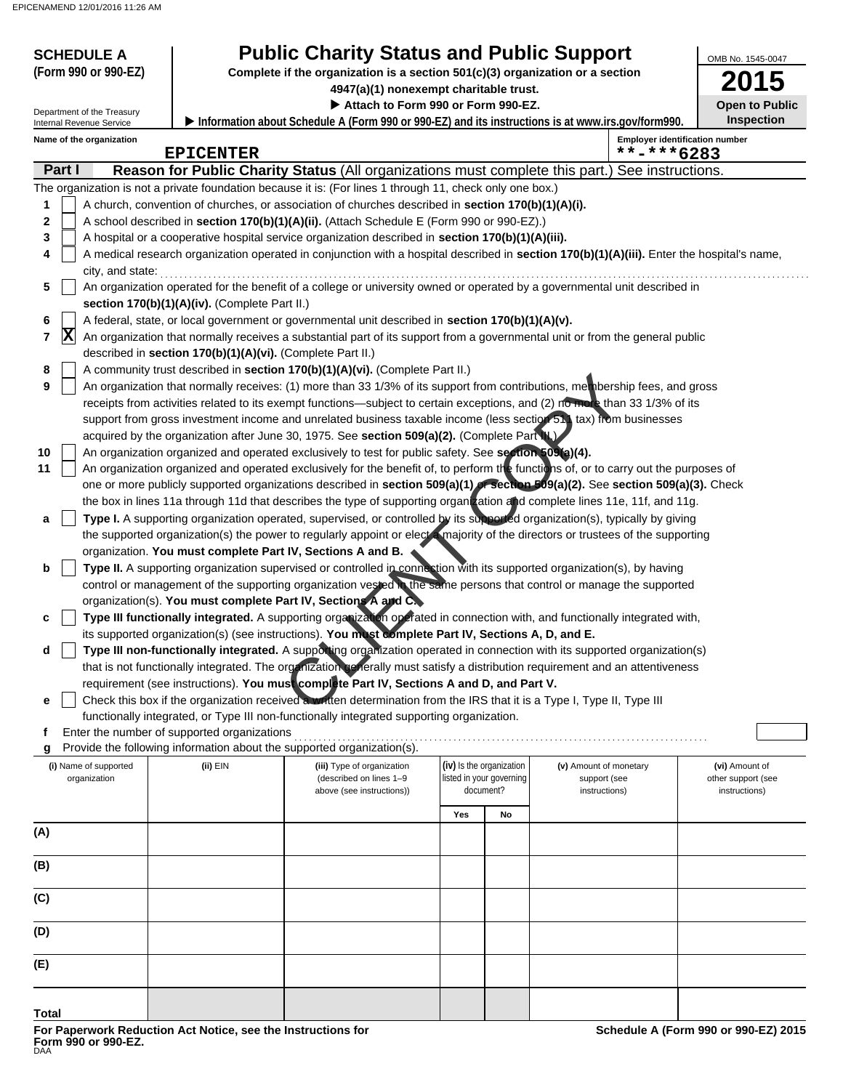| <b>SCHEDULE A</b>                                      |                                                                                                                                                                                                                                                      | <b>Public Charity Status and Public Support</b>                                                                                                                                                                                                          |                                                                              |                                                      |                                        | OMB No. 1545-0047                     |  |  |
|--------------------------------------------------------|------------------------------------------------------------------------------------------------------------------------------------------------------------------------------------------------------------------------------------------------------|----------------------------------------------------------------------------------------------------------------------------------------------------------------------------------------------------------------------------------------------------------|------------------------------------------------------------------------------|------------------------------------------------------|----------------------------------------|---------------------------------------|--|--|
| (Form 990 or 990-EZ)                                   |                                                                                                                                                                                                                                                      | Complete if the organization is a section 501(c)(3) organization or a section                                                                                                                                                                            |                                                                              |                                                      |                                        | 2015                                  |  |  |
|                                                        |                                                                                                                                                                                                                                                      |                                                                                                                                                                                                                                                          | 4947(a)(1) nonexempt charitable trust.<br>Attach to Form 990 or Form 990-EZ. |                                                      |                                        |                                       |  |  |
| Department of the Treasury<br>Internal Revenue Service |                                                                                                                                                                                                                                                      | Information about Schedule A (Form 990 or 990-EZ) and its instructions is at www.irs.gov/form990.                                                                                                                                                        |                                                                              |                                                      |                                        | <b>Open to Public</b><br>Inspection   |  |  |
| Name of the organization                               | <b>EPICENTER</b>                                                                                                                                                                                                                                     |                                                                                                                                                                                                                                                          |                                                                              |                                                      | **-***6283                             | <b>Employer identification number</b> |  |  |
| Part I                                                 |                                                                                                                                                                                                                                                      | Reason for Public Charity Status (All organizations must complete this part.) See instructions.                                                                                                                                                          |                                                                              |                                                      |                                        |                                       |  |  |
|                                                        |                                                                                                                                                                                                                                                      | The organization is not a private foundation because it is: (For lines 1 through 11, check only one box.)                                                                                                                                                |                                                                              |                                                      |                                        |                                       |  |  |
| 1                                                      |                                                                                                                                                                                                                                                      | A church, convention of churches, or association of churches described in section 170(b)(1)(A)(i).                                                                                                                                                       |                                                                              |                                                      |                                        |                                       |  |  |
| 2                                                      |                                                                                                                                                                                                                                                      | A school described in section 170(b)(1)(A)(ii). (Attach Schedule E (Form 990 or 990-EZ).)                                                                                                                                                                |                                                                              |                                                      |                                        |                                       |  |  |
| 4                                                      | 3<br>A hospital or a cooperative hospital service organization described in section 170(b)(1)(A)(iii).<br>A medical research organization operated in conjunction with a hospital described in section 170(b)(1)(A)(iii). Enter the hospital's name, |                                                                                                                                                                                                                                                          |                                                                              |                                                      |                                        |                                       |  |  |
| city, and state:                                       |                                                                                                                                                                                                                                                      |                                                                                                                                                                                                                                                          |                                                                              |                                                      |                                        |                                       |  |  |
| 5                                                      |                                                                                                                                                                                                                                                      | An organization operated for the benefit of a college or university owned or operated by a governmental unit described in                                                                                                                                |                                                                              |                                                      |                                        |                                       |  |  |
|                                                        | section $170(b)(1)(A)(iv)$ . (Complete Part II.)                                                                                                                                                                                                     |                                                                                                                                                                                                                                                          |                                                                              |                                                      |                                        |                                       |  |  |
| 6<br>$ {\bf X} $<br>7                                  |                                                                                                                                                                                                                                                      | A federal, state, or local government or governmental unit described in section 170(b)(1)(A)(v).<br>An organization that normally receives a substantial part of its support from a governmental unit or from the general public                         |                                                                              |                                                      |                                        |                                       |  |  |
|                                                        | described in section 170(b)(1)(A)(vi). (Complete Part II.)                                                                                                                                                                                           |                                                                                                                                                                                                                                                          |                                                                              |                                                      |                                        |                                       |  |  |
| 8                                                      |                                                                                                                                                                                                                                                      | A community trust described in section 170(b)(1)(A)(vi). (Complete Part II.)                                                                                                                                                                             |                                                                              |                                                      |                                        |                                       |  |  |
| 9                                                      |                                                                                                                                                                                                                                                      | An organization that normally receives: (1) more than 33 1/3% of its support from contributions, mer bership fees, and gross                                                                                                                             |                                                                              |                                                      |                                        |                                       |  |  |
|                                                        |                                                                                                                                                                                                                                                      | receipts from activities related to its exempt functions—subject to certain exceptions, and (2) no more than 33 1/3% of its                                                                                                                              |                                                                              |                                                      |                                        |                                       |  |  |
|                                                        |                                                                                                                                                                                                                                                      | support from gross investment income and unrelated business taxable income (less section 51) tax) from businesses<br>acquired by the organization after June 30, 1975. See section 509(a)(2). (Complete Part NV                                          |                                                                              |                                                      |                                        |                                       |  |  |
| 10                                                     |                                                                                                                                                                                                                                                      | An organization organized and operated exclusively to test for public safety. See section 509(a)(4).                                                                                                                                                     |                                                                              |                                                      |                                        |                                       |  |  |
| 11                                                     |                                                                                                                                                                                                                                                      | An organization organized and operated exclusively for the benefit of, to perform the functions of, or to carry out the purposes of                                                                                                                      |                                                                              |                                                      |                                        |                                       |  |  |
|                                                        |                                                                                                                                                                                                                                                      | one or more publicly supported organizations described in section 509(a)(1) or section 509(a)(2). See section 509(a)(3). Check                                                                                                                           |                                                                              |                                                      |                                        |                                       |  |  |
|                                                        |                                                                                                                                                                                                                                                      | the box in lines 11a through 11d that describes the type of supporting organtzation and complete lines 11e, 11f, and 11g.<br>Type I. A supporting organization operated, supervised, or controlled by its supported organization(s), typically by giving |                                                                              |                                                      |                                        |                                       |  |  |
| а                                                      |                                                                                                                                                                                                                                                      | the supported organization(s) the power to regularly appoint or elect a majority of the directors or trustees of the supporting                                                                                                                          |                                                                              |                                                      |                                        |                                       |  |  |
|                                                        | organization. You must complete Part IV, Sections A and B. <                                                                                                                                                                                         |                                                                                                                                                                                                                                                          |                                                                              |                                                      |                                        |                                       |  |  |
| b                                                      |                                                                                                                                                                                                                                                      | Type II. A supporting organization supervised or controlled in connection with its supported organization(s), by having                                                                                                                                  |                                                                              |                                                      |                                        |                                       |  |  |
|                                                        |                                                                                                                                                                                                                                                      | control or management of the supporting organization vested in the same persons that control or manage the supported                                                                                                                                     |                                                                              |                                                      |                                        |                                       |  |  |
| c                                                      |                                                                                                                                                                                                                                                      | organization(s). You must complete Part IV, Sections A and C.<br>Type III functionally integrated. A supporting organization operated in connection with, and functionally integrated with,                                                              |                                                                              |                                                      |                                        |                                       |  |  |
|                                                        |                                                                                                                                                                                                                                                      | its supported organization(s) (see instructions). You must complete Part IV, Sections A, D, and E.                                                                                                                                                       |                                                                              |                                                      |                                        |                                       |  |  |
|                                                        |                                                                                                                                                                                                                                                      | Type III non-functionally integrated. A supporting organization operated in connection with its supported organization(s)                                                                                                                                |                                                                              |                                                      |                                        |                                       |  |  |
|                                                        |                                                                                                                                                                                                                                                      | that is not functionally integrated. The organization generally must satisfy a distribution requirement and an attentiveness                                                                                                                             |                                                                              |                                                      |                                        |                                       |  |  |
|                                                        |                                                                                                                                                                                                                                                      | requirement (see instructions). You must complete Part IV, Sections A and D, and Part V.                                                                                                                                                                 |                                                                              |                                                      |                                        |                                       |  |  |
| е                                                      |                                                                                                                                                                                                                                                      | Check this box if the organization received a written determination from the IRS that it is a Type I, Type II, Type III<br>functionally integrated, or Type III non-functionally integrated supporting organization.                                     |                                                                              |                                                      |                                        |                                       |  |  |
| f                                                      | Enter the number of supported organizations                                                                                                                                                                                                          |                                                                                                                                                                                                                                                          |                                                                              |                                                      |                                        |                                       |  |  |
|                                                        |                                                                                                                                                                                                                                                      | Provide the following information about the supported organization(s).                                                                                                                                                                                   |                                                                              |                                                      |                                        |                                       |  |  |
| (i) Name of supported<br>organization                  | (ii) EIN                                                                                                                                                                                                                                             | (iii) Type of organization<br>(described on lines 1-9                                                                                                                                                                                                    |                                                                              | (iv) Is the organization<br>listed in your governing | (v) Amount of monetary<br>support (see | (vi) Amount of<br>other support (see  |  |  |
|                                                        |                                                                                                                                                                                                                                                      | above (see instructions))                                                                                                                                                                                                                                |                                                                              | document?                                            | instructions)                          | instructions)                         |  |  |
|                                                        |                                                                                                                                                                                                                                                      |                                                                                                                                                                                                                                                          | Yes                                                                          | No                                                   |                                        |                                       |  |  |
| (A)                                                    |                                                                                                                                                                                                                                                      |                                                                                                                                                                                                                                                          |                                                                              |                                                      |                                        |                                       |  |  |
|                                                        |                                                                                                                                                                                                                                                      |                                                                                                                                                                                                                                                          |                                                                              |                                                      |                                        |                                       |  |  |
| (B)                                                    |                                                                                                                                                                                                                                                      |                                                                                                                                                                                                                                                          |                                                                              |                                                      |                                        |                                       |  |  |
| (C)                                                    |                                                                                                                                                                                                                                                      |                                                                                                                                                                                                                                                          |                                                                              |                                                      |                                        |                                       |  |  |
| (D)                                                    |                                                                                                                                                                                                                                                      |                                                                                                                                                                                                                                                          |                                                                              |                                                      |                                        |                                       |  |  |
| (E)                                                    |                                                                                                                                                                                                                                                      |                                                                                                                                                                                                                                                          |                                                                              |                                                      |                                        |                                       |  |  |
|                                                        |                                                                                                                                                                                                                                                      |                                                                                                                                                                                                                                                          |                                                                              |                                                      |                                        |                                       |  |  |
| Total                                                  |                                                                                                                                                                                                                                                      |                                                                                                                                                                                                                                                          |                                                                              |                                                      |                                        |                                       |  |  |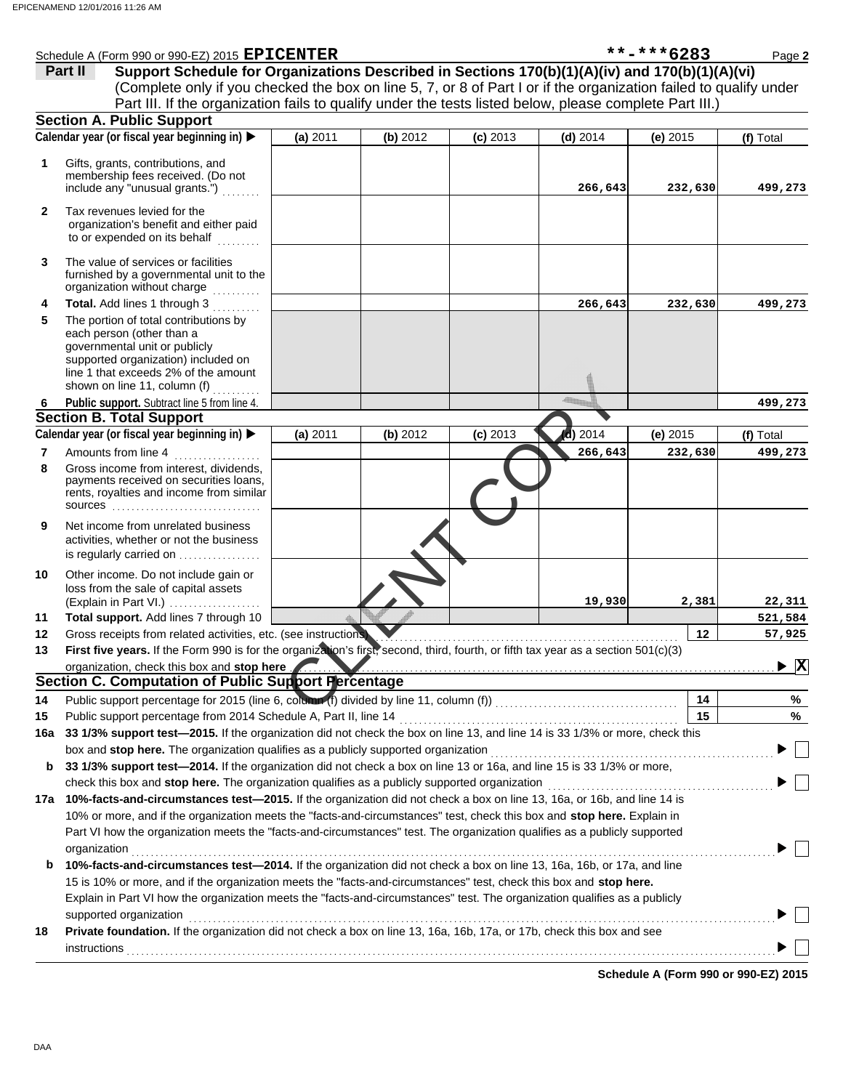|              | Schedule A (Form 990 or 990-EZ) 2015 EPICENTER                                                                                                                                                                                       |          |          |            |            | **-***6283 | Page 2                                   |
|--------------|--------------------------------------------------------------------------------------------------------------------------------------------------------------------------------------------------------------------------------------|----------|----------|------------|------------|------------|------------------------------------------|
|              | Support Schedule for Organizations Described in Sections 170(b)(1)(A)(iv) and 170(b)(1)(A)(vi)<br>Part II                                                                                                                            |          |          |            |            |            |                                          |
|              | (Complete only if you checked the box on line 5, 7, or 8 of Part I or if the organization failed to qualify under                                                                                                                    |          |          |            |            |            |                                          |
|              | Part III. If the organization fails to qualify under the tests listed below, please complete Part III.)                                                                                                                              |          |          |            |            |            |                                          |
|              | <b>Section A. Public Support</b>                                                                                                                                                                                                     |          |          |            |            |            |                                          |
|              | Calendar year (or fiscal year beginning in)                                                                                                                                                                                          | (a) 2011 | (b) 2012 | $(c)$ 2013 | $(d)$ 2014 | (e) $2015$ | (f) Total                                |
|              |                                                                                                                                                                                                                                      |          |          |            |            |            |                                          |
| 1            | Gifts, grants, contributions, and                                                                                                                                                                                                    |          |          |            |            |            |                                          |
|              | membership fees received. (Do not<br>include any "unusual grants.")                                                                                                                                                                  |          |          |            | 266,643    | 232,630    | 499,273                                  |
|              |                                                                                                                                                                                                                                      |          |          |            |            |            |                                          |
| $\mathbf{2}$ | Tax revenues levied for the                                                                                                                                                                                                          |          |          |            |            |            |                                          |
|              | organization's benefit and either paid                                                                                                                                                                                               |          |          |            |            |            |                                          |
|              | to or expended on its behalf                                                                                                                                                                                                         |          |          |            |            |            |                                          |
| 3            | The value of services or facilities                                                                                                                                                                                                  |          |          |            |            |            |                                          |
|              | furnished by a governmental unit to the                                                                                                                                                                                              |          |          |            |            |            |                                          |
|              | organization without charge                                                                                                                                                                                                          |          |          |            |            |            |                                          |
| 4            | Total. Add lines 1 through 3                                                                                                                                                                                                         |          |          |            | 266,643    | 232,630    | 499,273                                  |
| 5            | The portion of total contributions by                                                                                                                                                                                                |          |          |            |            |            |                                          |
|              | each person (other than a<br>governmental unit or publicly                                                                                                                                                                           |          |          |            |            |            |                                          |
|              | supported organization) included on                                                                                                                                                                                                  |          |          |            |            |            |                                          |
|              | line 1 that exceeds 2% of the amount                                                                                                                                                                                                 |          |          |            |            |            |                                          |
|              | shown on line 11, column (f)                                                                                                                                                                                                         |          |          |            |            |            |                                          |
| 6            | Public support. Subtract line 5 from line 4.                                                                                                                                                                                         |          |          |            |            |            | 499,273                                  |
|              | <b>Section B. Total Support</b>                                                                                                                                                                                                      |          |          |            |            |            |                                          |
|              | Calendar year (or fiscal year beginning in)                                                                                                                                                                                          | (a) 2011 | (b) 2012 | $(c)$ 2013 | d) 2014    | $(e)$ 2015 | (f) Total                                |
| 7            | Amounts from line 4                                                                                                                                                                                                                  |          |          |            | 266,643    | 232,630    | 499,273                                  |
| 8            | Gross income from interest, dividends,                                                                                                                                                                                               |          |          |            |            |            |                                          |
|              | payments received on securities loans,                                                                                                                                                                                               |          |          |            |            |            |                                          |
|              | rents, royalties and income from similar<br>SOUICES                                                                                                                                                                                  |          |          |            |            |            |                                          |
|              |                                                                                                                                                                                                                                      |          |          |            |            |            |                                          |
| 9            | Net income from unrelated business<br>activities, whether or not the business                                                                                                                                                        |          |          |            |            |            |                                          |
|              | is regularly carried on                                                                                                                                                                                                              |          |          |            |            |            |                                          |
|              |                                                                                                                                                                                                                                      |          |          |            |            |            |                                          |
| 10           | Other income. Do not include gain or<br>loss from the sale of capital assets                                                                                                                                                         |          |          |            |            |            |                                          |
|              | (Explain in Part VI.)                                                                                                                                                                                                                |          |          |            | 19,930     | 2,381      | 22,311                                   |
| 11           | Total support. Add lines 7 through 10                                                                                                                                                                                                |          |          |            |            |            | 521,584                                  |
| 12           | Gross receipts from related activities, etc. (see instructions)                                                                                                                                                                      |          |          |            |            | 12         | 57,925                                   |
| 13           | First five years. If the Form 990 is for the organization's first, second, third, fourth, or fifth tax year as a section 501(c)(3)                                                                                                   |          |          |            |            |            |                                          |
|              | organization, check this box and stop here <b>Community of the contract of the contract of the contract of the contract of the contract of the contract of the contract of the contract of the contract of the contract of the c</b> |          |          |            |            |            | $\blacktriangleright$ $\boxed{\text{X}}$ |
|              | Section C. Computation of Public Support Percentage                                                                                                                                                                                  |          |          |            |            |            |                                          |
| 14           |                                                                                                                                                                                                                                      |          |          |            |            | 14         | %                                        |
| 15           | Public support percentage from 2014 Schedule A, Part II, line 14                                                                                                                                                                     |          |          |            |            | 15         | %                                        |
| 16a          | 33 1/3% support test-2015. If the organization did not check the box on line 13, and line 14 is 33 1/3% or more, check this                                                                                                          |          |          |            |            |            |                                          |
|              | box and stop here. The organization qualifies as a publicly supported organization                                                                                                                                                   |          |          |            |            |            |                                          |
| b            | 33 1/3% support test-2014. If the organization did not check a box on line 13 or 16a, and line 15 is 33 1/3% or more,                                                                                                                |          |          |            |            |            |                                          |
|              | check this box and stop here. The organization qualifies as a publicly supported organization                                                                                                                                        |          |          |            |            |            |                                          |
|              | 17a 10%-facts-and-circumstances test-2015. If the organization did not check a box on line 13, 16a, or 16b, and line 14 is                                                                                                           |          |          |            |            |            |                                          |
|              | 10% or more, and if the organization meets the "facts-and-circumstances" test, check this box and stop here. Explain in                                                                                                              |          |          |            |            |            |                                          |
|              | Part VI how the organization meets the "facts-and-circumstances" test. The organization qualifies as a publicly supported                                                                                                            |          |          |            |            |            |                                          |
|              | organization                                                                                                                                                                                                                         |          |          |            |            |            |                                          |
| b            | 10%-facts-and-circumstances test-2014. If the organization did not check a box on line 13, 16a, 16b, or 17a, and line                                                                                                                |          |          |            |            |            |                                          |
|              | 15 is 10% or more, and if the organization meets the "facts-and-circumstances" test, check this box and stop here.                                                                                                                   |          |          |            |            |            |                                          |
|              | Explain in Part VI how the organization meets the "facts-and-circumstances" test. The organization qualifies as a publicly                                                                                                           |          |          |            |            |            |                                          |
|              |                                                                                                                                                                                                                                      |          |          |            |            |            |                                          |
|              | supported organization<br>Private foundation. If the organization did not check a box on line 13, 16a, 16b, 17a, or 17b, check this box and see                                                                                      |          |          |            |            |            |                                          |
| 18           |                                                                                                                                                                                                                                      |          |          |            |            |            |                                          |
|              | instructions                                                                                                                                                                                                                         |          |          |            |            |            |                                          |

**Schedule A (Form 990 or 990-EZ) 2015**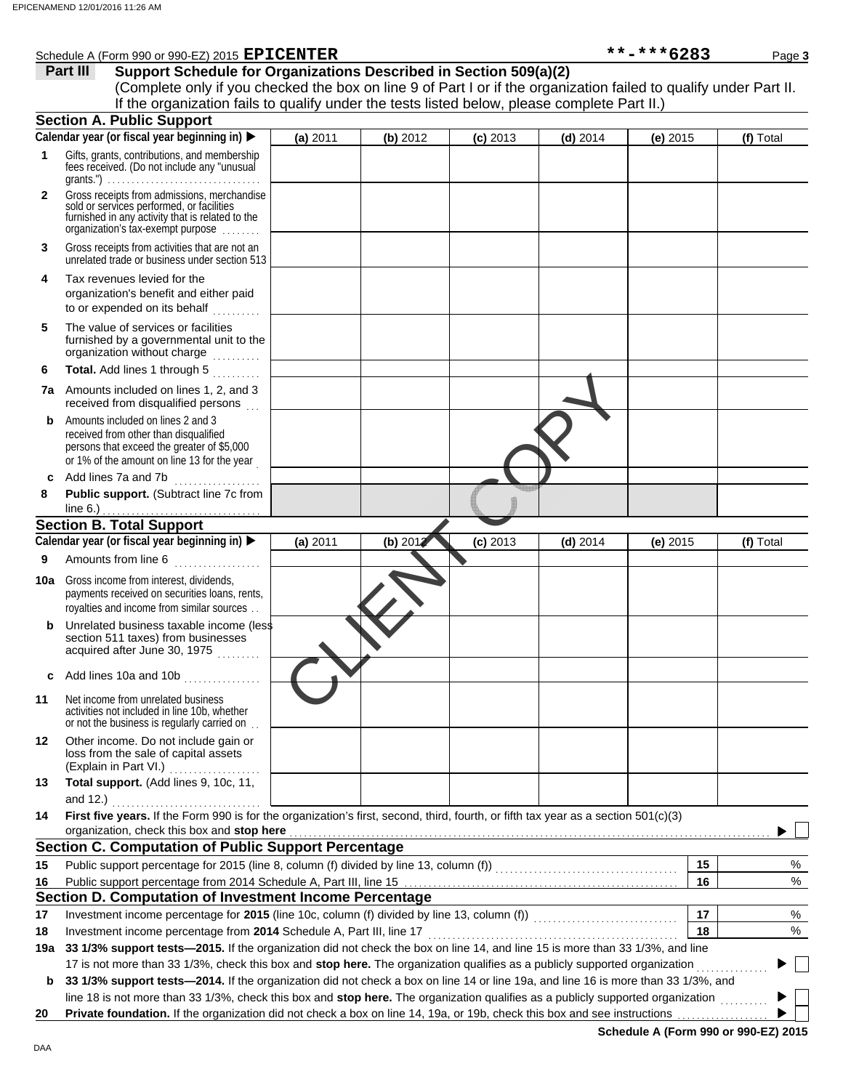|              | **-***6283<br>Schedule A (Form 990 or 990-EZ) 2015 EPICENTER<br>Page 3                                                                                                                                                                                |          |          |            |            |            |           |
|--------------|-------------------------------------------------------------------------------------------------------------------------------------------------------------------------------------------------------------------------------------------------------|----------|----------|------------|------------|------------|-----------|
|              | Part III<br>Support Schedule for Organizations Described in Section 509(a)(2)                                                                                                                                                                         |          |          |            |            |            |           |
|              | (Complete only if you checked the box on line 9 of Part I or if the organization failed to qualify under Part II.                                                                                                                                     |          |          |            |            |            |           |
|              | If the organization fails to qualify under the tests listed below, please complete Part II.)                                                                                                                                                          |          |          |            |            |            |           |
|              | <b>Section A. Public Support</b>                                                                                                                                                                                                                      |          |          |            |            |            |           |
|              | Calendar year (or fiscal year beginning in) $\blacktriangleright$                                                                                                                                                                                     | (a) 2011 | (b) 2012 | $(c)$ 2013 | $(d)$ 2014 | $(e)$ 2015 | (f) Total |
| 1            | Gifts, grants, contributions, and membership<br>fees received. (Do not include any "unusual                                                                                                                                                           |          |          |            |            |            |           |
| $\mathbf{2}$ | Gross receipts from admissions, merchandise<br>sold or services performed, or facilities<br>furnished in any activity that is related to the<br>organization's fax-exempt purpose                                                                     |          |          |            |            |            |           |
| 3            | Gross receipts from activities that are not an<br>unrelated trade or business under section 513                                                                                                                                                       |          |          |            |            |            |           |
| 4            | Tax revenues levied for the<br>organization's benefit and either paid<br>to or expended on its behalf                                                                                                                                                 |          |          |            |            |            |           |
| 5            | The value of services or facilities<br>furnished by a governmental unit to the<br>organization without charge                                                                                                                                         |          |          |            |            |            |           |
| 6            | Total. Add lines 1 through 5                                                                                                                                                                                                                          |          |          |            |            |            |           |
|              | 7a Amounts included on lines 1, 2, and 3<br>received from disqualified persons                                                                                                                                                                        |          |          |            |            |            |           |
| b            | Amounts included on lines 2 and 3<br>received from other than disqualified<br>persons that exceed the greater of \$5,000<br>or 1% of the amount on line 13 for the year                                                                               |          |          |            |            |            |           |
|              | c Add lines 7a and 7b                                                                                                                                                                                                                                 |          |          |            |            |            |           |
| 8            | Public support. (Subtract line 7c from                                                                                                                                                                                                                |          |          |            |            |            |           |
|              | line $6.$ )                                                                                                                                                                                                                                           |          |          |            |            |            |           |
|              | <b>Section B. Total Support</b>                                                                                                                                                                                                                       |          |          |            |            |            |           |
|              | Calendar year (or fiscal year beginning in)                                                                                                                                                                                                           | (a) 2011 | (b) 201  | $(c)$ 2013 | $(d)$ 2014 | (e) $2015$ | (f) Total |
| 9            | Amounts from line 6<br>and a complete state of the state of the state of the state of the state of the state of the state of the state of the state of the state of the state of the state of the state of the state of the state of the state of the |          |          |            |            |            |           |
| 10a          | Gross income from interest, dividends,<br>payments received on securities loans, rents,<br>royalties and income from similar sources                                                                                                                  |          |          |            |            |            |           |
| b            | Unrelated business taxable income (less<br>section 511 taxes) from businesses<br>acquired after June 30, 1975                                                                                                                                         |          |          |            |            |            |           |
|              | c Add lines 10a and 10b                                                                                                                                                                                                                               |          |          |            |            |            |           |
| 11           | Net income from unrelated business<br>activities not included in line 10b, whether<br>or not the business is regularly carried on                                                                                                                     |          |          |            |            |            |           |
| 12           | Other income. Do not include gain or<br>loss from the sale of capital assets<br>(Explain in Part VI.)<br>.                                                                                                                                            |          |          |            |            |            |           |
| 13           | Total support. (Add lines 9, 10c, 11,<br>and 12.)                                                                                                                                                                                                     |          |          |            |            |            |           |
| 14           | First five years. If the Form 990 is for the organization's first, second, third, fourth, or fifth tax year as a section 501(c)(3)                                                                                                                    |          |          |            |            |            |           |
|              | organization, check this box and stop here                                                                                                                                                                                                            |          |          |            |            |            |           |
|              | <b>Section C. Computation of Public Support Percentage</b>                                                                                                                                                                                            |          |          |            |            |            |           |
| 15           |                                                                                                                                                                                                                                                       |          |          |            |            | 15         | %         |
| 16           |                                                                                                                                                                                                                                                       |          |          |            |            | 16         | %         |
|              | Section D. Computation of Investment Income Percentage                                                                                                                                                                                                |          |          |            |            |            |           |
| 17           | Investment income percentage for 2015 (line 10c, column (f) divided by line 13, column (f)) [[[[[[[[[[[[[[[[[                                                                                                                                         |          |          |            |            | 17         | %         |
| 18           | Investment income percentage from 2014 Schedule A, Part III, line 17                                                                                                                                                                                  |          |          |            |            | 18         | %         |
|              | 19a 33 1/3% support tests-2015. If the organization did not check the box on line 14, and line 15 is more than 33 1/3%, and line                                                                                                                      |          |          |            |            |            |           |
|              | 17 is not more than 33 1/3%, check this box and stop here. The organization qualifies as a publicly supported organization                                                                                                                            |          |          |            |            |            |           |
| b            | 33 1/3% support tests-2014. If the organization did not check a box on line 14 or line 19a, and line 16 is more than 33 1/3%, and                                                                                                                     |          |          |            |            |            |           |
|              | line 18 is not more than 33 1/3%, check this box and stop here. The organization qualifies as a publicly supported organization                                                                                                                       |          |          |            |            |            |           |
| 20           | Private foundation. If the organization did not check a box on line 14, 19a, or 19b, check this box and see instructions                                                                                                                              |          |          |            |            |            |           |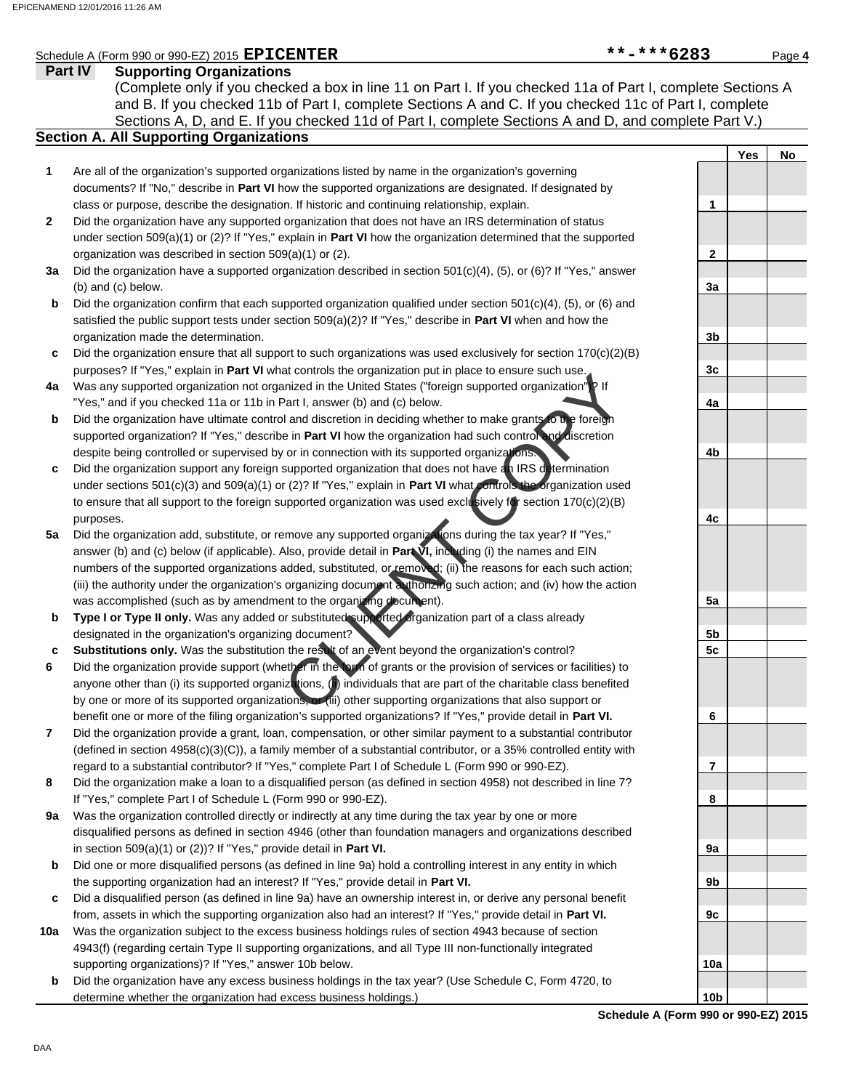|              | Schedule A (Form 990 or 990-EZ) 2015 $\texttt{EPICENTER}$                                                                | **-***6283 |            | Page 4 |
|--------------|--------------------------------------------------------------------------------------------------------------------------|------------|------------|--------|
|              | Part IV<br><b>Supporting Organizations</b>                                                                               |            |            |        |
|              | (Complete only if you checked a box in line 11 on Part I. If you checked 11a of Part I, complete Sections A              |            |            |        |
|              | and B. If you checked 11b of Part I, complete Sections A and C. If you checked 11c of Part I, complete                   |            |            |        |
|              | Sections A, D, and E. If you checked 11d of Part I, complete Sections A and D, and complete Part V.)                     |            |            |        |
|              | <b>Section A. All Supporting Organizations</b>                                                                           |            |            |        |
|              |                                                                                                                          |            | <b>Yes</b> | No     |
| 1            | Are all of the organization's supported organizations listed by name in the organization's governing                     |            |            |        |
|              | documents? If "No," describe in Part VI how the supported organizations are designated. If designated by                 |            |            |        |
|              | class or purpose, describe the designation. If historic and continuing relationship, explain.                            | 1          |            |        |
| $\mathbf{2}$ | Did the organization have any supported organization that does not have an IRS determination of status                   |            |            |        |
|              | under section $509(a)(1)$ or (2)? If "Yes," explain in Part VI how the organization determined that the supported        |            |            |        |
|              | organization was described in section 509(a)(1) or (2).                                                                  | 2          |            |        |
| За           | Did the organization have a supported organization described in section $501(c)(4)$ , (5), or (6)? If "Yes," answer      |            |            |        |
|              | (b) and (c) below.                                                                                                       | 3a         |            |        |
| b            | Did the organization confirm that each supported organization qualified under section $501(c)(4)$ , $(5)$ , or $(6)$ and |            |            |        |
|              | satisfied the public support tests under section $509(a)(2)$ ? If "Yes," describe in <b>Part VI</b> when and how the     |            |            |        |
|              | organization made the determination.                                                                                     | 3b         |            |        |
| c            | Did the organization ensure that all support to such organizations was used exclusively for section $170(c)(2)(B)$       |            |            |        |
|              | purposes? If "Yes," explain in Part VI what controls the organization put in place to ensure such use.                   | 3c         |            |        |
| 4a           | Was any supported organization not organized in the United States ("foreign supported organization")? If                 |            |            |        |
|              | "Yes," and if you checked 11a or 11b in Part I, answer (b) and (c) below.                                                | 4a         |            |        |
| b            | Did the organization have ultimate control and discretion in deciding whether to make grants to the foreign              |            |            |        |
|              | supported organization? If "Yes," describe in Part VI how the organization had such control and discretion               |            |            |        |
|              | despite being controlled or supervised by or in connection with its supported organizations.                             | 4b         |            |        |
| c            | Did the organization support any foreign supported organization that does not have an IRS determination                  |            |            |        |
|              | under sections $501(c)(3)$ and $509(a)(1)$ or (2)? If "Yes," explain in Part VI what controls the organization used      |            |            |        |
|              | to ensure that all support to the foreign supported organization was used exclusively for section 170(c)(2)(B)           |            |            |        |
|              | purposes.                                                                                                                | 4c         |            |        |
| 5a           | Did the organization add, substitute, or remove any supported organizations during the tax year? If "Yes,"               |            |            |        |
|              | answer (b) and (c) below (if applicable). Also, provide detail in Part VI, including (i) the names and EIN               |            |            |        |
|              | numbers of the supported organizations added, substituted, or removed; (ii) the reasons for each such action;            |            |            |        |
|              | (iii) the authority under the organization's organizing document a thorizing such action; and (iv) how the action        |            |            |        |
|              | was accomplished (such as by amendment to the organizing document).                                                      | 5a         |            |        |
| b            | Type I or Type II only. Was any added or substituted supported organization part of a class already                      |            |            |        |
|              | designated in the organization's organizing document?                                                                    | 5b         |            |        |
| c            | Substitutions only. Was the substitution the result of an event beyond the organization's control?                       | 5с         |            |        |
| 6            | Did the organization provide support (whether in the lorm of grants or the provision of services or facilities) to       |            |            |        |
|              | anyone other than (i) its supported organizations, (ii) individuals that are part of the charitable class benefited      |            |            |        |
|              | by one or more of its supported organizations, or (iii) other supporting organizations that also support or              |            |            |        |
|              | benefit one or more of the filing organization's supported organizations? If "Yes," provide detail in Part VI.           | 6          |            |        |
| 7            | Did the organization provide a grant, loan, compensation, or other similar payment to a substantial contributor          |            |            |        |
|              | (defined in section $4958(c)(3)(C)$ ), a family member of a substantial contributor, or a 35% controlled entity with     |            |            |        |
|              | regard to a substantial contributor? If "Yes," complete Part I of Schedule L (Form 990 or 990-EZ).                       | 7          |            |        |
| 8            | Did the organization make a loan to a disqualified person (as defined in section 4958) not described in line 7?          |            |            |        |
|              | If "Yes," complete Part I of Schedule L (Form 990 or 990-EZ).                                                            | 8          |            |        |
| 9a           | Was the organization controlled directly or indirectly at any time during the tax year by one or more                    |            |            |        |
|              | disqualified persons as defined in section 4946 (other than foundation managers and organizations described              |            |            |        |
|              | in section $509(a)(1)$ or $(2)$ ? If "Yes," provide detail in Part VI.                                                   | 9а         |            |        |
| b            | Did one or more disqualified persons (as defined in line 9a) hold a controlling interest in any entity in which          |            |            |        |
|              | the supporting organization had an interest? If "Yes," provide detail in Part VI.                                        | 9b         |            |        |
| c            | Did a disqualified person (as defined in line 9a) have an ownership interest in, or derive any personal benefit          |            |            |        |
|              | from, assets in which the supporting organization also had an interest? If "Yes," provide detail in Part VI.             | 9с         |            |        |
| 10a          | Was the organization subject to the excess business holdings rules of section 4943 because of section                    |            |            |        |
|              | 4943(f) (regarding certain Type II supporting organizations, and all Type III non-functionally integrated                |            |            |        |
|              | supporting organizations)? If "Yes," answer 10b below.                                                                   | 10a        |            |        |

Did the organization have any excess business holdings in the tax year? (Use Schedule C, Form 4720, to

determine whether the organization had excess business holdings.)

**Schedule A (Form 990 or 990-EZ) 2015**

**10b**

**b**

DAA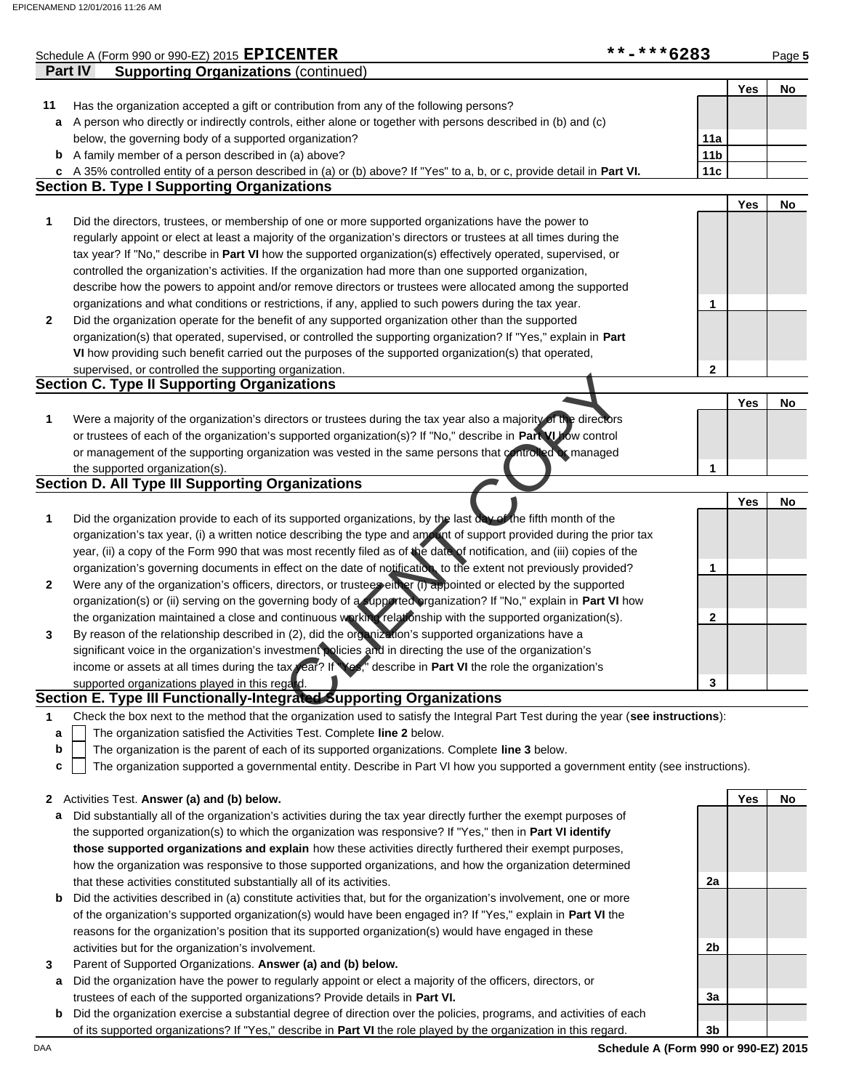|                  | Schedule A (Form 990 or 990-EZ) 2015 EPICENTER                                                                                    | **-***6283      |     | Page 5 |
|------------------|-----------------------------------------------------------------------------------------------------------------------------------|-----------------|-----|--------|
|                  | <b>Part IV</b><br><b>Supporting Organizations (continued)</b>                                                                     |                 |     |        |
|                  |                                                                                                                                   |                 | Yes | No     |
| 11               | Has the organization accepted a gift or contribution from any of the following persons?                                           |                 |     |        |
| a                | A person who directly or indirectly controls, either alone or together with persons described in (b) and (c)                      |                 |     |        |
|                  | below, the governing body of a supported organization?                                                                            | 11a             |     |        |
|                  | <b>b</b> A family member of a person described in (a) above?                                                                      | 11 <sub>b</sub> |     |        |
|                  | c A 35% controlled entity of a person described in (a) or (b) above? If "Yes" to a, b, or c, provide detail in Part VI.           | 11c             |     |        |
|                  | <b>Section B. Type I Supporting Organizations</b>                                                                                 |                 |     |        |
|                  |                                                                                                                                   |                 | Yes | No     |
| 1                | Did the directors, trustees, or membership of one or more supported organizations have the power to                               |                 |     |        |
|                  | regularly appoint or elect at least a majority of the organization's directors or trustees at all times during the                |                 |     |        |
|                  | tax year? If "No," describe in Part VI how the supported organization(s) effectively operated, supervised, or                     |                 |     |        |
|                  | controlled the organization's activities. If the organization had more than one supported organization,                           |                 |     |        |
|                  | describe how the powers to appoint and/or remove directors or trustees were allocated among the supported                         |                 |     |        |
|                  |                                                                                                                                   |                 |     |        |
|                  | organizations and what conditions or restrictions, if any, applied to such powers during the tax year.                            | 1               |     |        |
| $\boldsymbol{2}$ | Did the organization operate for the benefit of any supported organization other than the supported                               |                 |     |        |
|                  | organization(s) that operated, supervised, or controlled the supporting organization? If "Yes," explain in Part                   |                 |     |        |
|                  | VI how providing such benefit carried out the purposes of the supported organization(s) that operated,                            |                 |     |        |
|                  | supervised, or controlled the supporting organization.                                                                            | $\mathbf{2}$    |     |        |
|                  | <b>Section C. Type II Supporting Organizations</b>                                                                                |                 |     |        |
|                  |                                                                                                                                   |                 | Yes | No     |
| 1                | Were a majority of the organization's directors or trustees during the tax year also a majority of the directors                  |                 |     |        |
|                  | or trustees of each of the organization's supported organization(s)? If "No," describe in Part VU fow control                     |                 |     |        |
|                  | or management of the supporting organization was vested in the same persons that controlled or managed                            |                 |     |        |
|                  | the supported organization(s).                                                                                                    | 1               |     |        |
|                  | <b>Section D. All Type III Supporting Organizations</b>                                                                           |                 |     |        |
|                  |                                                                                                                                   |                 | Yes | No     |
| 1                | Did the organization provide to each of its supported organizations, by the last day of the fifth month of the                    |                 |     |        |
|                  | organization's tax year, (i) a written notice describing the type and amount of support provided during the prior tax             |                 |     |        |
|                  | year, (ii) a copy of the Form 990 that was most recently filed as of the date of notification, and (iii) copies of the            |                 |     |        |
|                  | organization's governing documents in effect on the date of notification to the extent not previously provided?                   | 1               |     |        |
| $\mathbf{2}$     | Were any of the organization's officers, directors, or trustees either (i) appointed or elected by the supported                  |                 |     |        |
|                  | organization(s) or (ii) serving on the governing body of a supported organization? If "No," explain in Part VI how                |                 |     |        |
|                  | the organization maintained a close and continuous working relationship with the supported organization(s).                       | 2               |     |        |
| 3                | By reason of the relationship described in (2), did the organization's supported organizations have a                             |                 |     |        |
|                  | significant voice in the organization's investment policies and in directing the use of the organization's                        |                 |     |        |
|                  | income or assets at all times during the tax year? If Yes," describe in Part VI the role the organization's                       |                 |     |        |
|                  | supported organizations played in this regard.                                                                                    | 3               |     |        |
|                  | Section E. Type III Functionally-Integrated Supporting Organizations                                                              |                 |     |        |
|                  |                                                                                                                                   |                 |     |        |
| 1                | Check the box next to the method that the organization used to satisfy the Integral Part Test during the year (see instructions): |                 |     |        |
| a                | The organization satisfied the Activities Test. Complete line 2 below.                                                            |                 |     |        |
| b                | The organization is the parent of each of its supported organizations. Complete line 3 below.                                     |                 |     |        |

The organization supported a governmental entity. Describe in Part VI how you supported a government entity (see instructions). **c**

## **2** Activities Test. **Answer (a) and (b) below.**

- **a** Did substantially all of the organization's activities during the tax year directly further the exempt purposes of the supported organization(s) to which the organization was responsive? If "Yes," then in **Part VI identify those supported organizations and explain** how these activities directly furthered their exempt purposes, how the organization was responsive to those supported organizations, and how the organization determined that these activities constituted substantially all of its activities.
- **b** Did the activities described in (a) constitute activities that, but for the organization's involvement, one or more of the organization's supported organization(s) would have been engaged in? If "Yes," explain in **Part VI** the reasons for the organization's position that its supported organization(s) would have engaged in these activities but for the organization's involvement.
- **3** Parent of Supported Organizations. **Answer (a) and (b) below.**
- **a** Did the organization have the power to regularly appoint or elect a majority of the officers, directors, or trustees of each of the supported organizations? Provide details in **Part VI.**
- **b** Did the organization exercise a substantial degree of direction over the policies, programs, and activities of each of its supported organizations? If "Yes," describe in **Part VI** the role played by the organization in this regard.

**Yes No**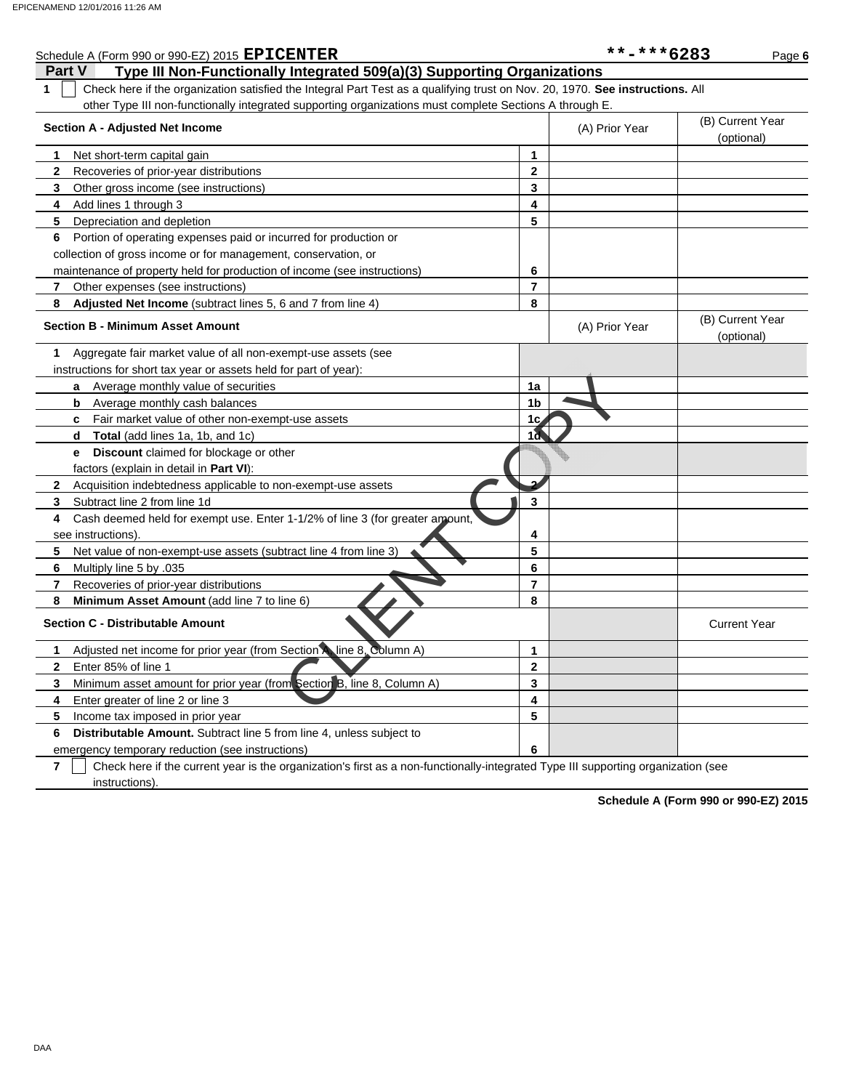| Schedule A (Form 990 or 990-EZ) 2015 EPICENTER                                                                                                |                         | **-***6283     | Page 6                         |
|-----------------------------------------------------------------------------------------------------------------------------------------------|-------------------------|----------------|--------------------------------|
| Type III Non-Functionally Integrated 509(a)(3) Supporting Organizations<br><b>Part V</b>                                                      |                         |                |                                |
| Check here if the organization satisfied the Integral Part Test as a qualifying trust on Nov. 20, 1970. See instructions. All<br>$\mathbf{1}$ |                         |                |                                |
| other Type III non-functionally integrated supporting organizations must complete Sections A through E.                                       |                         |                |                                |
| <b>Section A - Adjusted Net Income</b>                                                                                                        |                         | (A) Prior Year | (B) Current Year<br>(optional) |
| 1<br>Net short-term capital gain                                                                                                              | 1                       |                |                                |
| $\mathbf{2}$<br>Recoveries of prior-year distributions                                                                                        | $\mathbf{2}$            |                |                                |
| Other gross income (see instructions)<br>3                                                                                                    | 3                       |                |                                |
| Add lines 1 through 3<br>4                                                                                                                    | $\overline{\mathbf{4}}$ |                |                                |
| 5<br>Depreciation and depletion                                                                                                               | 5                       |                |                                |
| Portion of operating expenses paid or incurred for production or<br>6                                                                         |                         |                |                                |
| collection of gross income or for management, conservation, or                                                                                |                         |                |                                |
| maintenance of property held for production of income (see instructions)                                                                      | 6                       |                |                                |
| 7<br>Other expenses (see instructions)                                                                                                        | $\overline{7}$          |                |                                |
| 8<br>Adjusted Net Income (subtract lines 5, 6 and 7 from line 4)                                                                              | 8                       |                |                                |
| <b>Section B - Minimum Asset Amount</b>                                                                                                       |                         | (A) Prior Year | (B) Current Year<br>(optional) |
| Aggregate fair market value of all non-exempt-use assets (see<br>1                                                                            |                         |                |                                |
| instructions for short tax year or assets held for part of year):                                                                             |                         |                |                                |
| Average monthly value of securities<br>a                                                                                                      | 1a                      |                |                                |
| Average monthly cash balances<br>b                                                                                                            | 1 <sub>b</sub>          |                |                                |
| Fair market value of other non-exempt-use assets<br>c                                                                                         | 1c                      |                |                                |
| Total (add lines 1a, 1b, and 1c)<br>d                                                                                                         | 1 <sub>d</sub>          |                |                                |
| Discount claimed for blockage or other<br>е                                                                                                   |                         |                |                                |
| factors (explain in detail in Part VI):                                                                                                       |                         |                |                                |
| Acquisition indebtedness applicable to non-exempt-use assets<br>2                                                                             | ىم                      |                |                                |
| 3<br>Subtract line 2 from line 1d                                                                                                             | 3                       |                |                                |
| Cash deemed held for exempt use. Enter 1-1/2% of line 3 (for greater amount,<br>4                                                             |                         |                |                                |
| see instructions)                                                                                                                             | 4                       |                |                                |
| Net value of non-exempt-use assets (subtract line 4 from line 3)<br>5                                                                         | 5                       |                |                                |
| 6<br>Multiply line 5 by .035                                                                                                                  | 6                       |                |                                |
| 7<br>Recoveries of prior-year distributions                                                                                                   | $\overline{7}$          |                |                                |
| 8<br>Minimum Asset Amount (add line 7 to line 6)                                                                                              | 8                       |                |                                |
| <b>Section C - Distributable Amount</b>                                                                                                       |                         |                | <b>Current Year</b>            |
| Adjusted net income for prior year (from Section A) line 8. Column A)<br>1                                                                    | 1                       |                |                                |
| $\mathbf{2}$<br>Enter 85% of line 1                                                                                                           | $\mathbf{2}$            |                |                                |
| Minimum asset amount for prior year (from Section B, line 8, Column A)<br>3                                                                   | 3                       |                |                                |
| 4<br>Enter greater of line 2 or line 3                                                                                                        | 4                       |                |                                |
| 5<br>Income tax imposed in prior year                                                                                                         | 5                       |                |                                |
| 6<br><b>Distributable Amount.</b> Subtract line 5 from line 4, unless subject to                                                              |                         |                |                                |
| emergency temporary reduction (see instructions)                                                                                              | 6                       |                |                                |
|                                                                                                                                               |                         |                |                                |

**7**  $\Box$  Check here if the current year is the organization's first as a non-functionally-integrated Type III supporting organization (see instructions).

**Schedule A (Form 990 or 990-EZ) 2015**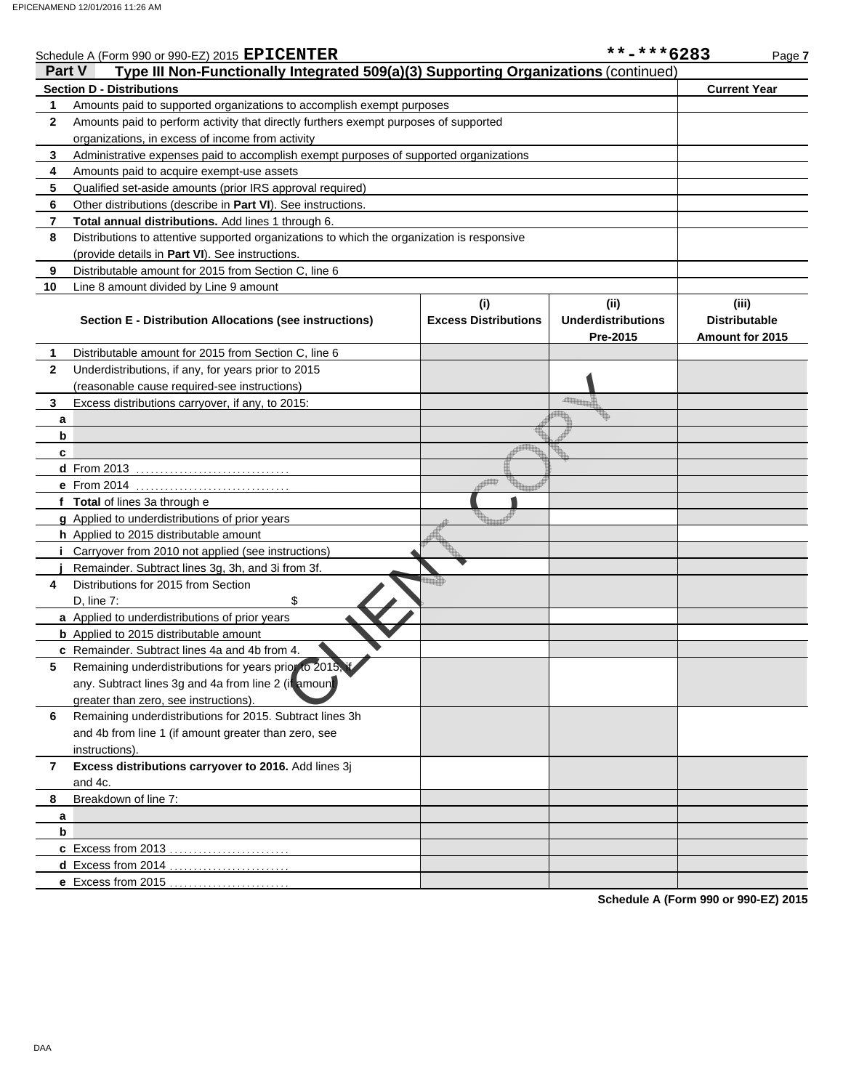|              | Schedule A (Form 990 or 990-EZ) 2015 EPICENTER<br>Part V                                          |                                    | **-***6283                                   | Page 7                                                  |
|--------------|---------------------------------------------------------------------------------------------------|------------------------------------|----------------------------------------------|---------------------------------------------------------|
|              | Type III Non-Functionally Integrated 509(a)(3) Supporting Organizations (continued)               |                                    |                                              |                                                         |
|              | <b>Section D - Distributions</b>                                                                  |                                    |                                              | <b>Current Year</b>                                     |
| 1            | Amounts paid to supported organizations to accomplish exempt purposes                             |                                    |                                              |                                                         |
| $\mathbf{2}$ | Amounts paid to perform activity that directly furthers exempt purposes of supported              |                                    |                                              |                                                         |
|              | organizations, in excess of income from activity                                                  |                                    |                                              |                                                         |
| 3<br>4       | Administrative expenses paid to accomplish exempt purposes of supported organizations             |                                    |                                              |                                                         |
|              | Amounts paid to acquire exempt-use assets                                                         |                                    |                                              |                                                         |
| 5            | Qualified set-aside amounts (prior IRS approval required)                                         |                                    |                                              |                                                         |
| 6            | Other distributions (describe in <b>Part VI</b> ). See instructions.                              |                                    |                                              |                                                         |
| 7            | Total annual distributions. Add lines 1 through 6.                                                |                                    |                                              |                                                         |
| 8            | Distributions to attentive supported organizations to which the organization is responsive        |                                    |                                              |                                                         |
|              | (provide details in Part VI). See instructions.                                                   |                                    |                                              |                                                         |
| 9            | Distributable amount for 2015 from Section C, line 6                                              |                                    |                                              |                                                         |
| 10           | Line 8 amount divided by Line 9 amount<br>Section E - Distribution Allocations (see instructions) | (i)<br><b>Excess Distributions</b> | (i)<br><b>Underdistributions</b><br>Pre-2015 | (iii)<br><b>Distributable</b><br><b>Amount for 2015</b> |
| 1            | Distributable amount for 2015 from Section C, line 6                                              |                                    |                                              |                                                         |
| 2            | Underdistributions, if any, for years prior to 2015                                               |                                    |                                              |                                                         |
|              | (reasonable cause required-see instructions)                                                      |                                    |                                              |                                                         |
| 3            | Excess distributions carryover, if any, to 2015:                                                  |                                    |                                              |                                                         |
| a            |                                                                                                   |                                    |                                              |                                                         |
| b            |                                                                                                   |                                    |                                              |                                                         |
| c            |                                                                                                   |                                    |                                              |                                                         |
|              |                                                                                                   |                                    |                                              |                                                         |
|              | e From 2014                                                                                       |                                    |                                              |                                                         |
|              | f Total of lines 3a through e                                                                     |                                    |                                              |                                                         |
|              | g Applied to underdistributions of prior years                                                    |                                    |                                              |                                                         |
|              | h Applied to 2015 distributable amount                                                            |                                    |                                              |                                                         |
|              | Carryover from 2010 not applied (see instructions)                                                |                                    |                                              |                                                         |
|              | Remainder. Subtract lines 3g, 3h, and 3i from 3f.                                                 |                                    |                                              |                                                         |
| 4            | Distributions for 2015 from Section                                                               |                                    |                                              |                                                         |
|              | \$<br>$D$ , line $7$ :                                                                            |                                    |                                              |                                                         |
|              | a Applied to underdistributions of prior years                                                    |                                    |                                              |                                                         |
|              | <b>b</b> Applied to 2015 distributable amount                                                     |                                    |                                              |                                                         |
|              | <b>c</b> Remainder. Subtract lines 4a and 4b from 4.                                              |                                    |                                              |                                                         |
| 5            | Remaining underdistributions for years prior to 2015, it                                          |                                    |                                              |                                                         |
|              | any. Subtract lines 3g and 4a from line 2 (if amount                                              |                                    |                                              |                                                         |
|              | greater than zero, see instructions).                                                             |                                    |                                              |                                                         |
| 6            | Remaining underdistributions for 2015. Subtract lines 3h                                          |                                    |                                              |                                                         |
|              | and 4b from line 1 (if amount greater than zero, see                                              |                                    |                                              |                                                         |
|              | instructions).                                                                                    |                                    |                                              |                                                         |
| 7            | Excess distributions carryover to 2016. Add lines 3j                                              |                                    |                                              |                                                         |
|              | and 4c.                                                                                           |                                    |                                              |                                                         |
| 8            | Breakdown of line 7:                                                                              |                                    |                                              |                                                         |
| a            |                                                                                                   |                                    |                                              |                                                         |
| b            |                                                                                                   |                                    |                                              |                                                         |
|              | c Excess from 2013                                                                                |                                    |                                              |                                                         |
|              | <b>d</b> Excess from 2014                                                                         |                                    |                                              |                                                         |
|              | e Excess from 2015                                                                                |                                    |                                              |                                                         |

**Schedule A (Form 990 or 990-EZ) 2015**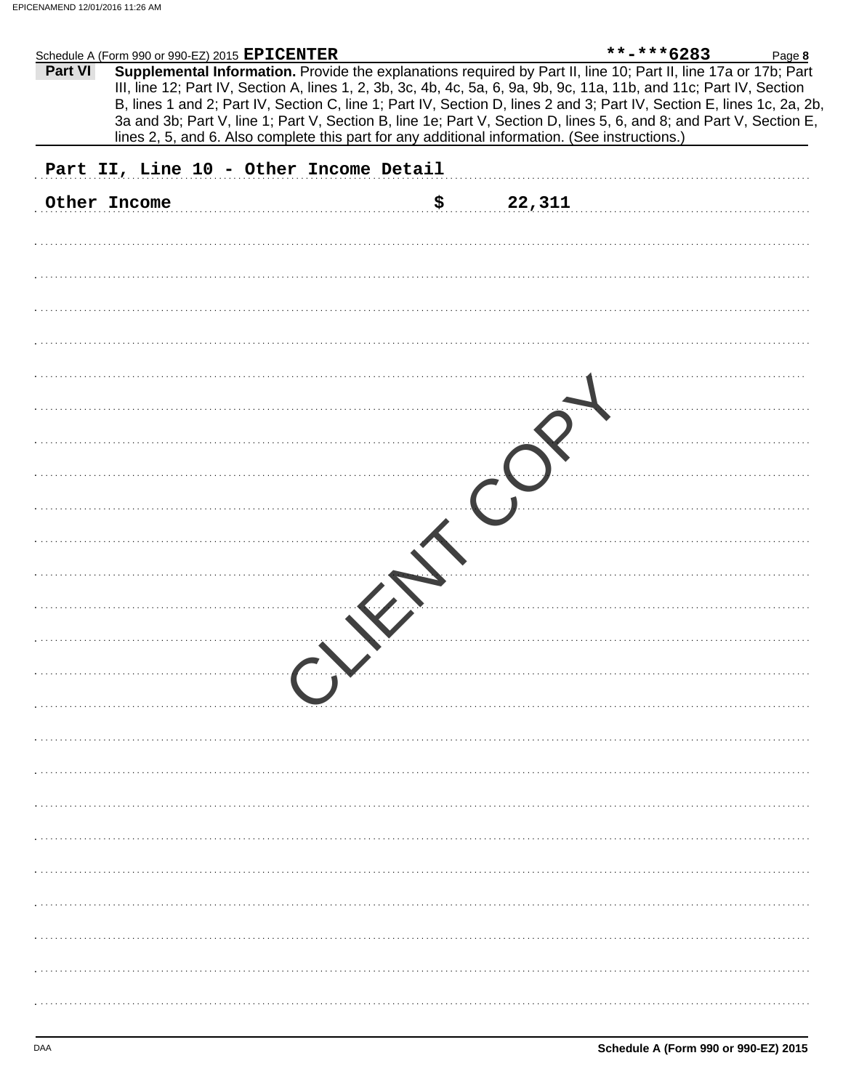|         | Schedule A (Form 990 or 990-EZ) 2015 EPICENTER                                                 | $***$ -***6283<br>Page 8                                                                                                                                                                                                                                                                                                                                          |
|---------|------------------------------------------------------------------------------------------------|-------------------------------------------------------------------------------------------------------------------------------------------------------------------------------------------------------------------------------------------------------------------------------------------------------------------------------------------------------------------|
| Part VI |                                                                                                | Supplemental Information. Provide the explanations required by Part II, line 10; Part II, line 17a or 17b; Part<br>III, line 12; Part IV, Section A, lines 1, 2, 3b, 3c, 4b, 4c, 5a, 6, 9a, 9b, 9c, 11a, 11b, and 11c; Part IV, Section<br>B, lines 1 and 2; Part IV, Section C, line 1; Part IV, Section D, lines 2 and 3; Part IV, Section E, lines 1c, 2a, 2b, |
|         | lines 2, 5, and 6. Also complete this part for any additional information. (See instructions.) | 3a and 3b; Part V, line 1; Part V, Section B, line 1e; Part V, Section D, lines 5, 6, and 8; and Part V, Section E,                                                                                                                                                                                                                                               |
|         | Part II, Line 10 - Other Income Detail                                                         |                                                                                                                                                                                                                                                                                                                                                                   |
|         | \$<br>Other Income                                                                             | 22,311                                                                                                                                                                                                                                                                                                                                                            |
|         |                                                                                                |                                                                                                                                                                                                                                                                                                                                                                   |
|         |                                                                                                |                                                                                                                                                                                                                                                                                                                                                                   |
|         |                                                                                                |                                                                                                                                                                                                                                                                                                                                                                   |
|         |                                                                                                |                                                                                                                                                                                                                                                                                                                                                                   |
|         |                                                                                                |                                                                                                                                                                                                                                                                                                                                                                   |
|         |                                                                                                |                                                                                                                                                                                                                                                                                                                                                                   |
|         |                                                                                                |                                                                                                                                                                                                                                                                                                                                                                   |
|         |                                                                                                |                                                                                                                                                                                                                                                                                                                                                                   |
|         |                                                                                                |                                                                                                                                                                                                                                                                                                                                                                   |
|         |                                                                                                |                                                                                                                                                                                                                                                                                                                                                                   |
|         |                                                                                                |                                                                                                                                                                                                                                                                                                                                                                   |
|         |                                                                                                |                                                                                                                                                                                                                                                                                                                                                                   |
|         |                                                                                                |                                                                                                                                                                                                                                                                                                                                                                   |
|         |                                                                                                |                                                                                                                                                                                                                                                                                                                                                                   |
|         |                                                                                                |                                                                                                                                                                                                                                                                                                                                                                   |
|         |                                                                                                |                                                                                                                                                                                                                                                                                                                                                                   |
|         |                                                                                                |                                                                                                                                                                                                                                                                                                                                                                   |
|         |                                                                                                |                                                                                                                                                                                                                                                                                                                                                                   |
|         |                                                                                                |                                                                                                                                                                                                                                                                                                                                                                   |
|         |                                                                                                |                                                                                                                                                                                                                                                                                                                                                                   |
|         |                                                                                                |                                                                                                                                                                                                                                                                                                                                                                   |
|         |                                                                                                |                                                                                                                                                                                                                                                                                                                                                                   |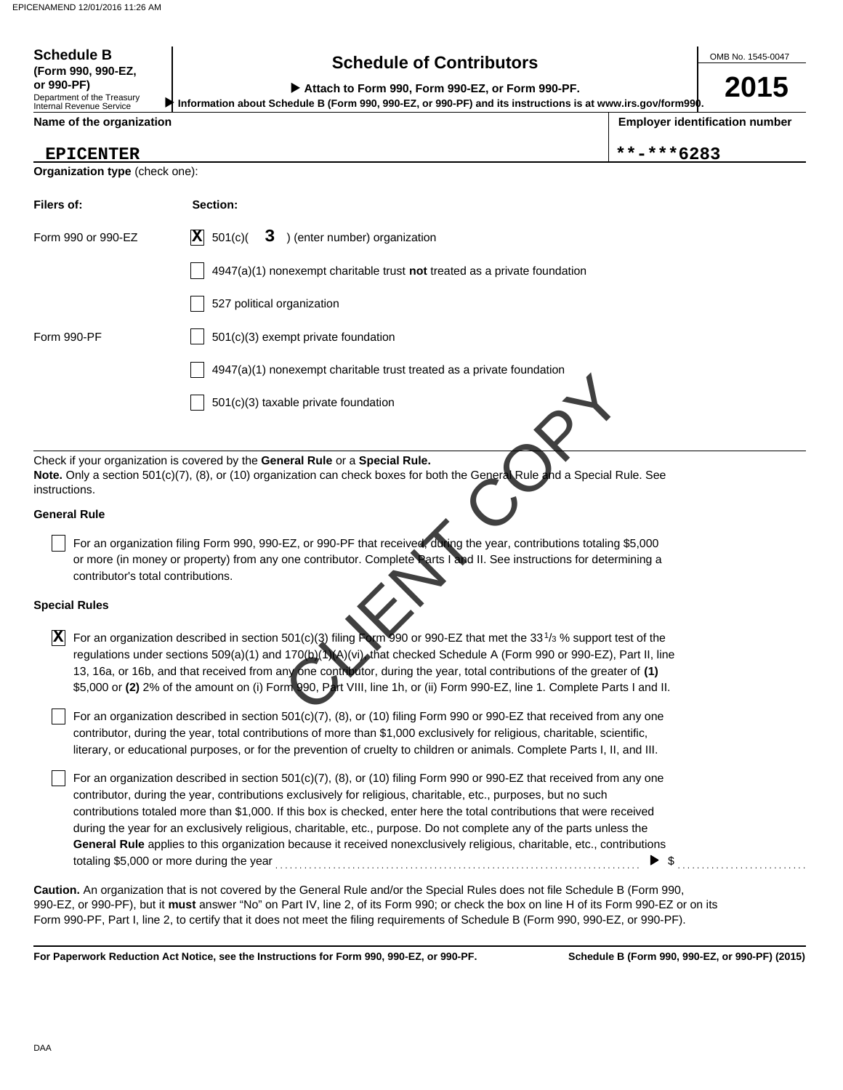# **Schedule of Contributors Schedule B**

OMB No. 1545-0047

| <b>OCTICAMIC OF COLININATION</b><br>(Form 990, 990-EZ,<br>or 990-PF)                                                                                                                                                                                                                                                                                                                                                                                                                                                                                                                                                         |                                                                                                                                                                                                                                                                                                                                                                                                                                                                                                                                  |            | 2015                                  |  |
|------------------------------------------------------------------------------------------------------------------------------------------------------------------------------------------------------------------------------------------------------------------------------------------------------------------------------------------------------------------------------------------------------------------------------------------------------------------------------------------------------------------------------------------------------------------------------------------------------------------------------|----------------------------------------------------------------------------------------------------------------------------------------------------------------------------------------------------------------------------------------------------------------------------------------------------------------------------------------------------------------------------------------------------------------------------------------------------------------------------------------------------------------------------------|------------|---------------------------------------|--|
| Department of the Treasury<br>Internal Revenue Service                                                                                                                                                                                                                                                                                                                                                                                                                                                                                                                                                                       | Attach to Form 990, Form 990-EZ, or Form 990-PF.<br>Information about Schedule B (Form 990, 990-EZ, or 990-PF) and its instructions is at www.irs.gov/form990.                                                                                                                                                                                                                                                                                                                                                                   |            |                                       |  |
| Name of the organization                                                                                                                                                                                                                                                                                                                                                                                                                                                                                                                                                                                                     |                                                                                                                                                                                                                                                                                                                                                                                                                                                                                                                                  |            | <b>Employer identification number</b> |  |
| <b>EPICENTER</b>                                                                                                                                                                                                                                                                                                                                                                                                                                                                                                                                                                                                             |                                                                                                                                                                                                                                                                                                                                                                                                                                                                                                                                  | **-***6283 |                                       |  |
| Organization type (check one):                                                                                                                                                                                                                                                                                                                                                                                                                                                                                                                                                                                               |                                                                                                                                                                                                                                                                                                                                                                                                                                                                                                                                  |            |                                       |  |
| Filers of:                                                                                                                                                                                                                                                                                                                                                                                                                                                                                                                                                                                                                   | Section:                                                                                                                                                                                                                                                                                                                                                                                                                                                                                                                         |            |                                       |  |
| Form 990 or 990-EZ                                                                                                                                                                                                                                                                                                                                                                                                                                                                                                                                                                                                           | 3 ) (enter number) organization<br>$ \mathbf{X} $ 501(c)(                                                                                                                                                                                                                                                                                                                                                                                                                                                                        |            |                                       |  |
|                                                                                                                                                                                                                                                                                                                                                                                                                                                                                                                                                                                                                              | $4947(a)(1)$ nonexempt charitable trust not treated as a private foundation                                                                                                                                                                                                                                                                                                                                                                                                                                                      |            |                                       |  |
|                                                                                                                                                                                                                                                                                                                                                                                                                                                                                                                                                                                                                              | 527 political organization                                                                                                                                                                                                                                                                                                                                                                                                                                                                                                       |            |                                       |  |
| Form 990-PF                                                                                                                                                                                                                                                                                                                                                                                                                                                                                                                                                                                                                  | $501(c)(3)$ exempt private foundation                                                                                                                                                                                                                                                                                                                                                                                                                                                                                            |            |                                       |  |
|                                                                                                                                                                                                                                                                                                                                                                                                                                                                                                                                                                                                                              | $4947(a)(1)$ nonexempt charitable trust treated as a private foundation                                                                                                                                                                                                                                                                                                                                                                                                                                                          |            |                                       |  |
|                                                                                                                                                                                                                                                                                                                                                                                                                                                                                                                                                                                                                              | 501(c)(3) taxable private foundation                                                                                                                                                                                                                                                                                                                                                                                                                                                                                             |            |                                       |  |
|                                                                                                                                                                                                                                                                                                                                                                                                                                                                                                                                                                                                                              |                                                                                                                                                                                                                                                                                                                                                                                                                                                                                                                                  |            |                                       |  |
| instructions.                                                                                                                                                                                                                                                                                                                                                                                                                                                                                                                                                                                                                | Check if your organization is covered by the General Rule or a Special Rule.<br>Note. Only a section 501(c)(7), (8), or (10) organization can check boxes for both the General Rule and a Special Rule. See                                                                                                                                                                                                                                                                                                                      |            |                                       |  |
| <b>General Rule</b>                                                                                                                                                                                                                                                                                                                                                                                                                                                                                                                                                                                                          |                                                                                                                                                                                                                                                                                                                                                                                                                                                                                                                                  |            |                                       |  |
| contributor's total contributions.                                                                                                                                                                                                                                                                                                                                                                                                                                                                                                                                                                                           | For an organization filing Form 990, 990-EZ, or 990-PF that received, during the year, contributions totaling \$5,000<br>or more (in money or property) from any one contributor. Complete Parts Land II. See instructions for determining a                                                                                                                                                                                                                                                                                     |            |                                       |  |
| <b>Special Rules</b>                                                                                                                                                                                                                                                                                                                                                                                                                                                                                                                                                                                                         |                                                                                                                                                                                                                                                                                                                                                                                                                                                                                                                                  |            |                                       |  |
| $ \mathbf{X} $                                                                                                                                                                                                                                                                                                                                                                                                                                                                                                                                                                                                               | For an organization described in section 501(c)(3) filing Form 990 or 990-EZ that met the 33 <sup>1</sup> / <sub>3</sub> % support test of the<br>regulations under sections 509(a)(1) and 170(b)(1)(A)(vi) that checked Schedule A (Form 990 or 990-EZ), Part II, line<br>13, 16a, or 16b, and that received from any one contributor, during the year, total contributions of the greater of (1)<br>\$5,000 or (2) 2% of the amount on (i) Form 290, Part VIII, line 1h, or (ii) Form 990-EZ, line 1. Complete Parts I and II. |            |                                       |  |
|                                                                                                                                                                                                                                                                                                                                                                                                                                                                                                                                                                                                                              | For an organization described in section 501(c)(7), (8), or (10) filing Form 990 or 990-EZ that received from any one<br>contributor, during the year, total contributions of more than \$1,000 exclusively for religious, charitable, scientific,<br>literary, or educational purposes, or for the prevention of cruelty to children or animals. Complete Parts I, II, and III.                                                                                                                                                 |            |                                       |  |
| For an organization described in section $501(c)(7)$ , (8), or (10) filing Form 990 or 990-EZ that received from any one<br>contributor, during the year, contributions exclusively for religious, charitable, etc., purposes, but no such<br>contributions totaled more than \$1,000. If this box is checked, enter here the total contributions that were received<br>during the year for an exclusively religious, charitable, etc., purpose. Do not complete any of the parts unless the<br>General Rule applies to this organization because it received nonexclusively religious, charitable, etc., contributions<br>S |                                                                                                                                                                                                                                                                                                                                                                                                                                                                                                                                  |            |                                       |  |
|                                                                                                                                                                                                                                                                                                                                                                                                                                                                                                                                                                                                                              | Caution, An erganization that is not covered by the Coneral Pule and/or the Special Pules does not file Schodule B (Form 000                                                                                                                                                                                                                                                                                                                                                                                                     |            |                                       |  |

990-EZ, or 990-PF), but it **must** answer "No" on Part IV, line 2, of its Form 990; or check the box on line H of its Form 990-EZ or on its Form 990-PF, Part I, line 2, to certify that it does not meet the filing requirements of Schedule B (Form 990, 990-EZ, or 990-PF). **Caution.** An organization that is not covered by the General Rule and/or the Special Rules does not file Schedule B (Form 990,

**For Paperwork Reduction Act Notice, see the Instructions for Form 990, 990-EZ, or 990-PF.**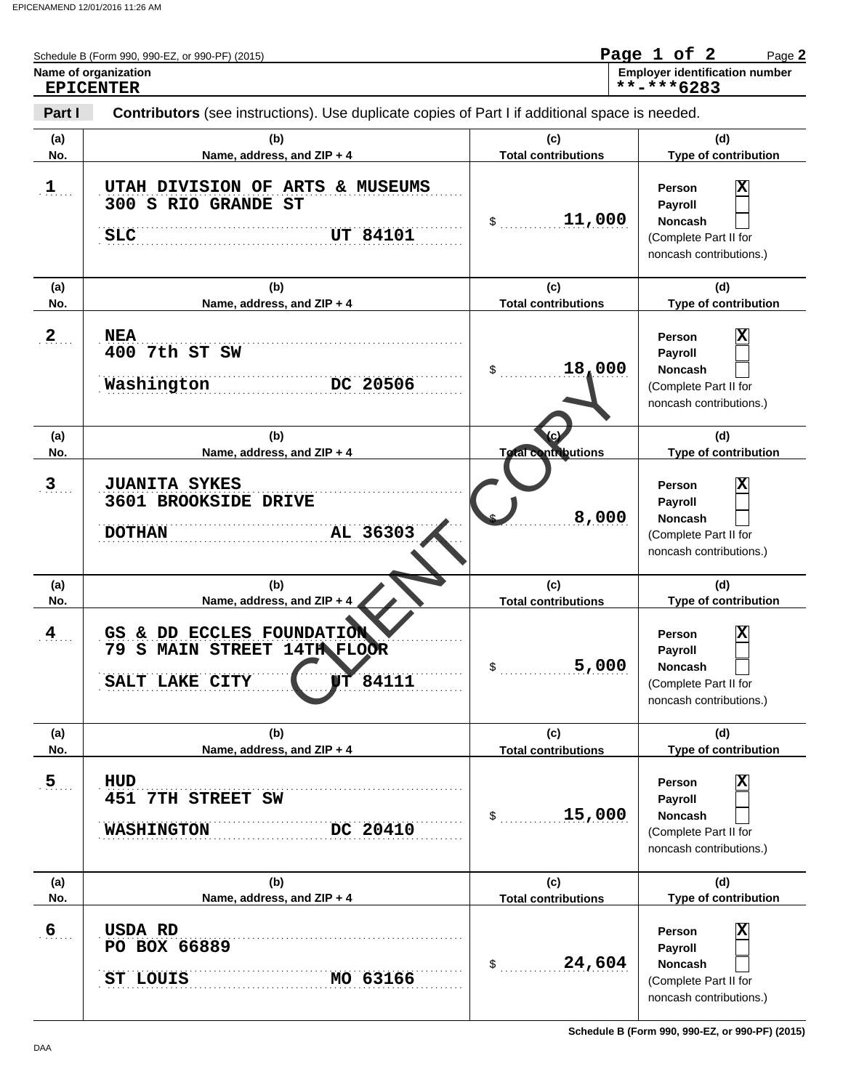| Name of organization<br><b>EPICENTER</b> | Schedule B (Form 990, 990-EZ, or 990-PF) (2015)                                                    | Page 1 of 2<br>Page 2<br><b>Employer identification number</b><br>**-***6283 |                                                                                                                    |  |
|------------------------------------------|----------------------------------------------------------------------------------------------------|------------------------------------------------------------------------------|--------------------------------------------------------------------------------------------------------------------|--|
| Part I                                   | Contributors (see instructions). Use duplicate copies of Part I if additional space is needed.     |                                                                              |                                                                                                                    |  |
| (a)<br>No.                               | (b)<br>Name, address, and ZIP + 4                                                                  | (c)<br><b>Total contributions</b>                                            | (d)<br>Type of contribution                                                                                        |  |
| 1                                        | UTAH DIVISION OF ARTS & MUSEUMS<br>300 S RIO GRANDE ST<br><b>UT 84101</b><br>SLC                   | 11,000<br>\$                                                                 | X<br>Person<br>Payroll<br><b>Noncash</b><br>(Complete Part II for<br>noncash contributions.)                       |  |
| (a)<br>No.                               | (b)<br>Name, address, and ZIP + 4                                                                  | (c)<br><b>Total contributions</b>                                            | (d)<br>Type of contribution                                                                                        |  |
| $\mathbf{2}$                             | <b>NEA</b><br>400 7th ST SW<br>Washington<br>DC 20506                                              | 18,000<br>\$                                                                 | $\overline{\mathbf{x}}$<br>Person<br>Payroll<br><b>Noncash</b><br>(Complete Part II for<br>noncash contributions.) |  |
| (a)<br>No.                               | (b)<br>Name, address, and ZIP + 4                                                                  | <b>Total contributions</b>                                                   | (d)<br>Type of contribution                                                                                        |  |
| $\mathbf{3}$                             | <b>JUANITA SYKES</b><br>3601 BROOKSIDE DRIVE<br>AL 36303<br><b>DOTHAN</b>                          | 8,000                                                                        | x<br><b>Person</b><br>Payroll<br><b>Noncash</b><br>(Complete Part II for<br>noncash contributions.)                |  |
| (a)<br>No.                               | (b)<br>Name, address, and ZIP + 4                                                                  | (c)<br><b>Total contributions</b>                                            | (d)<br>Type of contribution                                                                                        |  |
| 4                                        | <b>ECCLES FOUNDATION</b><br>GS<br>כנס<br>S MAIN STREET 14TH FLOOR<br>79<br>84111<br>SALT LAKE CITY | \$<br>5,000                                                                  | X<br>Person<br>Payroll<br><b>Noncash</b><br>(Complete Part II for<br>noncash contributions.)                       |  |
| (a)<br>No.                               | (b)<br>Name, address, and ZIP + 4                                                                  | (c)<br><b>Total contributions</b>                                            | (d)<br>Type of contribution                                                                                        |  |
| $\overline{5}$                           | <b>HUD</b><br>451 7TH STREET SW<br>DC 20410<br><b>WASHINGTON</b>                                   | 15,000<br>$\frac{1}{2}$                                                      | X<br>Person<br>Payroll<br>Noncash<br>(Complete Part II for<br>noncash contributions.)                              |  |
| (a)<br>No.                               | (b)<br>Name, address, and ZIP + 4                                                                  | (c)<br><b>Total contributions</b>                                            | (d)<br>Type of contribution                                                                                        |  |
| 6                                        | <b>USDA RD</b><br>PO BOX 66889<br>ST LOUIS<br>MO 63166                                             | 24,604<br>$\sim$                                                             | X<br>Person<br>Payroll<br>Noncash<br>(Complete Part II for<br>noncash contributions.)                              |  |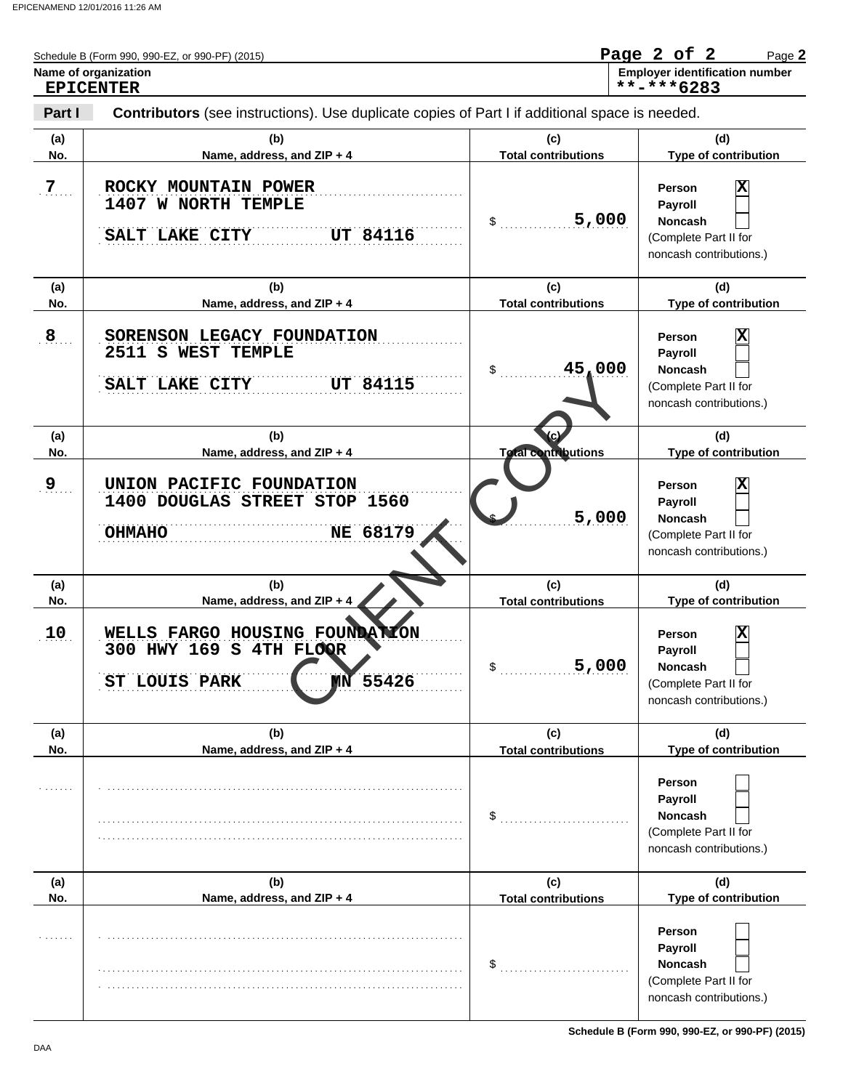| Name of organization       | Schedule B (Form 990, 990-EZ, or 990-PF) (2015)                                                | Page 2 of 2<br>Page 2<br><b>Employer identification number</b> |                                                                                                                           |  |
|----------------------------|------------------------------------------------------------------------------------------------|----------------------------------------------------------------|---------------------------------------------------------------------------------------------------------------------------|--|
| <b>EPICENTER</b><br>Part I | Contributors (see instructions). Use duplicate copies of Part I if additional space is needed. |                                                                | **-***6283                                                                                                                |  |
| (a)<br>No.                 | (b)<br>Name, address, and ZIP + 4                                                              | (c)<br><b>Total contributions</b>                              | (d)<br>Type of contribution                                                                                               |  |
| $7\phantom{.}$             | ROCKY MOUNTAIN POWER<br>1407 W NORTH TEMPLE<br><b>UT 84116</b><br>SALT LAKE CITY               | 5,000<br>\$                                                    | $\overline{\mathbf{x}}$<br>Person<br>Payroll<br><b>Noncash</b><br>(Complete Part II for<br>noncash contributions.)        |  |
| (a)<br>No.                 | (b)<br>Name, address, and ZIP + 4                                                              | (c)<br><b>Total contributions</b>                              | (d)<br>Type of contribution                                                                                               |  |
| 8                          | SORENSON LEGACY FOUNDATION<br>2511 S WEST TEMPLE<br><b>UT 84115</b><br>SALT LAKE CITY          | 45,000<br>\$                                                   | $\overline{\mathbf{x}}$<br>Person<br>Payroll<br><b>Noncash</b><br>(Complete Part II for<br>noncash contributions.)        |  |
| (a)<br>No.                 | (b)<br>Name, address, and ZIP + 4                                                              | <b>Total contributions</b>                                     | (d)<br>Type of contribution                                                                                               |  |
| 9                          | UNION PACIFIC FOUNDATION<br>1400 DOUGLAS STREET STOP 1560<br>NE 68179<br><b>OHMAHO</b>         | 5,000                                                          | $\overline{\mathbf{x}}$<br><b>Person</b><br>Payroll<br><b>Noncash</b><br>(Complete Part II for<br>noncash contributions.) |  |
| (a)<br>No.                 | (b)<br>Name, address, and ZIP + 4                                                              | (c)<br><b>Total contributions</b>                              | (d)<br>Type of contribution                                                                                               |  |
| 10                         | WELLS FARGO HOUSING FOUNDATION<br>300 HWY 169 S 4TH FLOOR<br>55426<br>ST LOUIS PARK            | 5,000                                                          | x<br>Person<br>Payroll<br>Noncash<br>(Complete Part II for<br>noncash contributions.)                                     |  |
| (a)<br>No.                 | (b)<br>Name, address, and ZIP + 4                                                              | (c)<br><b>Total contributions</b>                              | (d)<br>Type of contribution                                                                                               |  |
|                            |                                                                                                | \$                                                             | Person<br>Payroll<br><b>Noncash</b><br>(Complete Part II for<br>noncash contributions.)                                   |  |
| (a)<br>No.                 | (b)<br>Name, address, and ZIP + 4                                                              | (c)<br><b>Total contributions</b>                              | (d)<br>Type of contribution                                                                                               |  |
|                            |                                                                                                | \$                                                             | Person<br>Payroll<br><b>Noncash</b><br>(Complete Part II for<br>noncash contributions.)                                   |  |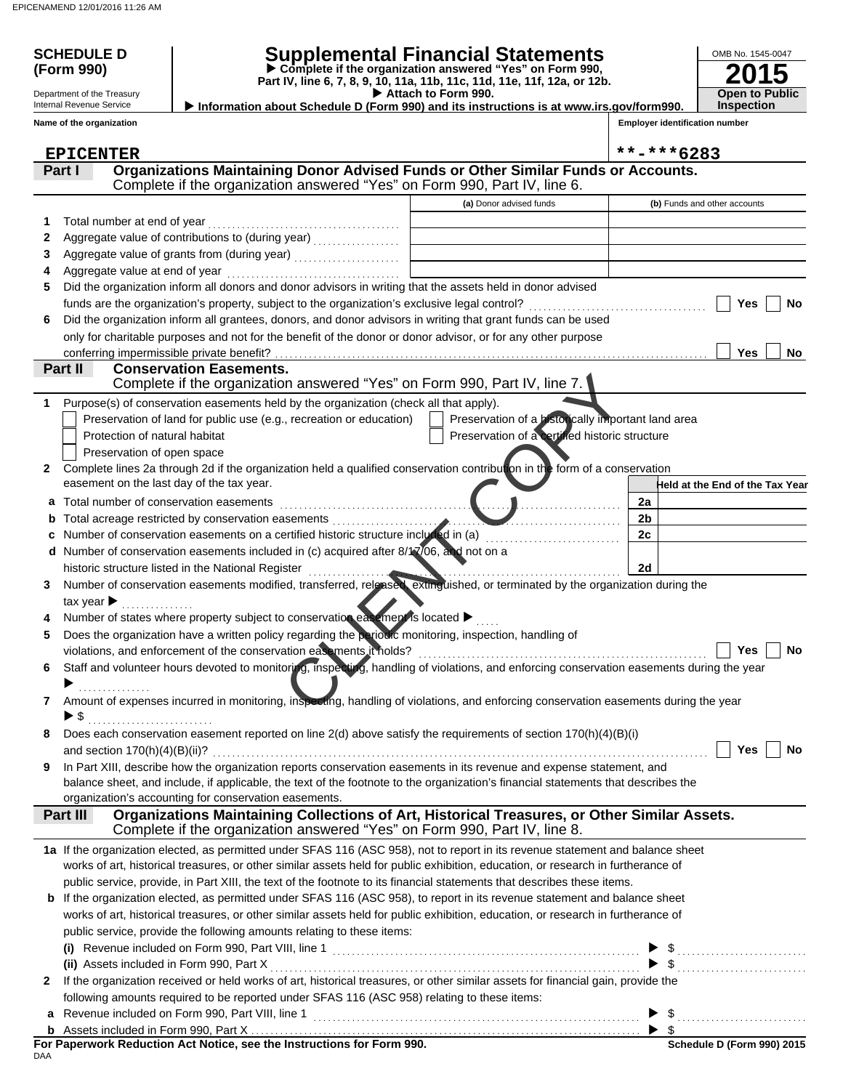### Contrast Contrast Contrast Contrast Contrast Contrast Contrast Contrast Contrast Contrast Contrast Contrast Contrast Contrast Contrast Contrast Contrast Contrast Contrast Contrast Contrast Contrast Contrast Contrast Contr **Part IV, line 6, 7, 8, 9, 10, 11a, 11b, 11c, 11d, 11e, 11f, 12a, or 12b.**<br>▶ Attach to Form 990. **Conservation Easements.**  Does each conservation easement reported on line 2(d) above satisfy the requirements of section 170(h)(4)(B)(i) Number of states where property subject to conservation easement is located  $\blacktriangleright$  ..... If the organization received or held works of art, historical treasures, or other similar assets for financial gain, provide the **2015 SCHEDULE D Supplemental Financial Statements Part I Condity Construst Construst Part III Construst** Punds or Similar Funds or Accounts. **(Form 990) Part IV, line 6, 7, 8, 9, 10, 11a, 11b, 11c, 11d, 11e, 11f, 12a, or 12b. Complete if the organization answered "Yes" on Form 990, Employer identification number** OMB No. 1545-0047 Department of the Treasury Internal Revenue Service **Name of the organization (a)** Donor advised funds **(b)** Funds and other accounts **a** Total number of conservation easements . . . . . . . . . . . . . . . . . . . . . . . . . . . . . . . . . . . . . . . . . . . . . . . . . . . . . . . . . . . . . . . . . . . . . . . **b** Total acreage restricted by conservation easements . . . . . . . . . . . . . . . . . . . . . . . . . . . . . . . . . . . . . . . . . . . . . . . . . . . . . . . . . . . . **c** Number of conservation easements on a certified historic structure included in (a) . . . . . . . . . . . . . . . . . . . . . . . . . . . . **d** Number of conservation easements included in (c) acquired after 8/17/06, and not on a Assets included in Form 990, Part X . . . . . . . . . . . . . . . . . . . . . . . . . . . . . . . . . . . . . . . . . . . . . . . . . . . . . . . . . . . . . . . . . . . . . . . . . . . . . **(ii)** Revenue included on Form 990, Part VIII, line 1 . . . . . . . . . . . . . . . . . . . . . . . . . . . . . . . . . . . . . . . . . . . . . . . . . . . . . . . . . . . . . . . . . . . . **Held at the End of the Tax Year** Complete if the organization answered "Yes" on Form 990, Part IV, line 6. works of art, historical treasures, or other similar assets held for public exhibition, education, or research in furtherance of public service, provide, in Part XIII, the text of the footnote to its financial statements that describes these items. **b** If the organization elected, as permitted under SFAS 116 (ASC 958), to report in its revenue statement and balance sheet works of art, historical treasures, or other similar assets held for public exhibition, education, or research in furtherance of public service, provide the following amounts relating to these items: **(i)** Revenue included on Form 990, Part VIII, line 1 . . . . . . . . . . . . . . . . . . . . . . . . . . . . . . . . . . . . . . . . . . . . . . . . . . . . . . . . . . . . . . . . **1 2 3 4 5 6** Total number at end of year . . . . . . . . . . . . . . . . . . . . . . . . . . . . . . . . . . . . . . . . Aggregate value of contributions to (during year) . . . . . . . . . . . . . . . . . . Aggregate value of grants from (during year) ....................... Aggregate value at end of year . . . . . . . . . . . . . . . . . . . . . . . . . . . . . . . . . . . . Did the organization inform all donors and donor advisors in writing that the assets held in donor advised funds are the organization's property, subject to the organization's exclusive legal control? Did the organization inform all grantees, donors, and donor advisors in writing that grant funds can be used only for charitable purposes and not for the benefit of the donor or donor advisor, or for any other purpose **Yes Yes No No Part II** Complete lines 2a through 2d if the organization held a qualified conservation contribution in the form of a conservation Purpose(s) of conservation easements held by the organization (check all that apply). **2 1** easement on the last day of the tax year. Preservation of land for public use (e.g., recreation or education) Protection of natural habitat Preservation of open space Preservation of a certified historic structure Preservation of a historically important land area **Open to Public Inspection** tax year  $\blacktriangleright$  ............... **3** Number of conservation easements modified, transferred, released, extinguished, or terminated by the organization during the **4 5** Does the organization have a written policy regarding the periodic monitoring, inspection, handling of violations, and enforcement of the conservation easements it holds? . . . . . . . . . . . . . . . . . . . . . . . . . . . . . . . . . . . . . . . . . . . . . . . . . . . . . . . . . . . . **6** Staff and volunteer hours devoted to monitoring, inspecting, handling of violations, and enforcing conservation easements during the year **7** Amount of expenses incurred in monitoring, inspecting, handling of violations, and enforcing conservation easements during the year **8** and section 170(h)(4)(B)(ii)? . . . . . . . . . . . . . . . . . . . . . . . . . . . . . . . . . . . . . . . . . . . . . . . . . . . . . . . . . . . . . . . . . . . . . . . . . . . . . . . . . . . . . . . . . . . . . . . . . . . . . . . balance sheet, and include, if applicable, the text of the footnote to the organization's financial statements that describes the **9** In Part XIII, describe how the organization reports conservation easements in its revenue and expense statement, and organization's accounting for conservation easements. **Yes No Yes No** Complete if the organization answered "Yes" on Form 990, Part IV, line 8. **Part III Organizations Maintaining Collections of Art, Historical Treasures, or Other Similar Assets. 1a** If the organization elected, as permitted under SFAS 116 (ASC 958), not to report in its revenue statement and balance sheet **2** following amounts required to be reported under SFAS 116 (ASC 958) relating to these items: **a** \$ . . . . . . . . . . . . . . . . . . . . . . . . . . . \$ . . . . . . . . . . . . . . . . . . . . . . . . . . . \$ . . . . . . . . . . . . . . . . . . . . . . . . . . . conferring impermissible private benefit? **2a 2b 2c 2d** . . . . . . . . . . . . . . . \$ . . . . . . . . . . . . . . . . . . . . . . . . . . ▶ ▶ historic structure listed in the National Register ............  **Information about Schedule D (Form 990) and its instructions is at www.irs.gov/form990.** Complete if the organization answered "Yes" on Form 990, Part IV, line 7. **EPICENTER \*\*-\*\*\*6283**

| For Paperwork Reduction Act Notice, see the Instructions for Form 990. |  |  |
|------------------------------------------------------------------------|--|--|
| DAA                                                                    |  |  |

Assets included in Form 990, Part X..

**b**

\$

 $\blacktriangleright$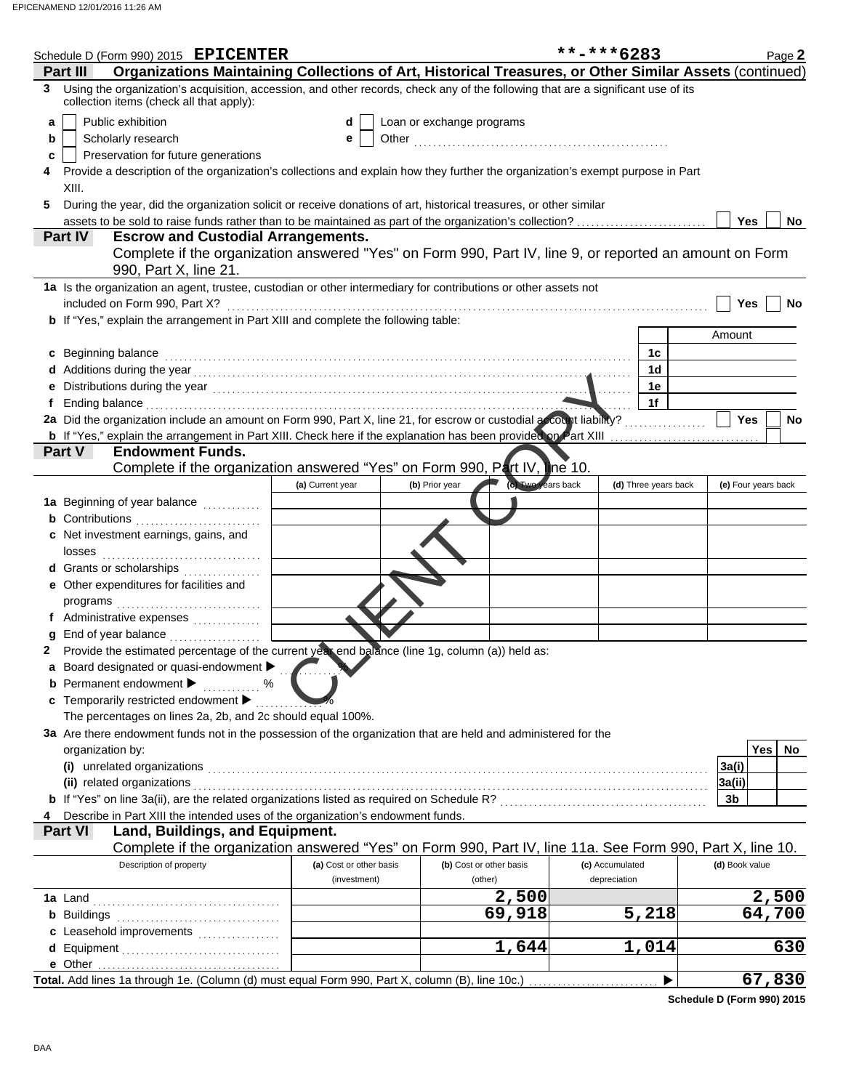| Schedule D (Form 990) 2015 EPICENTER                                                                                                                                                                                            |                         |                                      | **-***6283           | Page 2              |
|---------------------------------------------------------------------------------------------------------------------------------------------------------------------------------------------------------------------------------|-------------------------|--------------------------------------|----------------------|---------------------|
| Organizations Maintaining Collections of Art, Historical Treasures, or Other Similar Assets (continued)<br>Part II                                                                                                              |                         |                                      |                      |                     |
| Using the organization's acquisition, accession, and other records, check any of the following that are a significant use of its<br>collection items (check all that apply):                                                    |                         |                                      |                      |                     |
| Public exhibition<br>a                                                                                                                                                                                                          | d                       | Loan or exchange programs            |                      |                     |
| Scholarly research<br>b                                                                                                                                                                                                         | е                       |                                      |                      |                     |
| Preservation for future generations<br>c                                                                                                                                                                                        |                         |                                      |                      |                     |
| Provide a description of the organization's collections and explain how they further the organization's exempt purpose in Part                                                                                                  |                         |                                      |                      |                     |
| XIII.                                                                                                                                                                                                                           |                         |                                      |                      |                     |
| During the year, did the organization solicit or receive donations of art, historical treasures, or other similar                                                                                                               |                         |                                      |                      |                     |
| assets to be sold to raise funds rather than to be maintained as part of the organization's collection?                                                                                                                         |                         |                                      |                      | Yes<br>No.          |
| <b>Escrow and Custodial Arrangements.</b><br>Part IV                                                                                                                                                                            |                         |                                      |                      |                     |
| Complete if the organization answered "Yes" on Form 990, Part IV, line 9, or reported an amount on Form                                                                                                                         |                         |                                      |                      |                     |
| 990, Part X, line 21.                                                                                                                                                                                                           |                         |                                      |                      |                     |
| 1a Is the organization an agent, trustee, custodian or other intermediary for contributions or other assets not                                                                                                                 |                         |                                      |                      |                     |
| included on Form 990, Part X?                                                                                                                                                                                                   |                         |                                      |                      | Yes<br>No           |
| <b>b</b> If "Yes," explain the arrangement in Part XIII and complete the following table:                                                                                                                                       |                         |                                      |                      |                     |
|                                                                                                                                                                                                                                 |                         |                                      |                      | Amount              |
| c Beginning balance                                                                                                                                                                                                             |                         |                                      | 1c                   |                     |
| d Additions during the year<br>experience and the contract of the set of the set of the set of the set of the set of the set of the set of the set of the set of the set of the set of the set of the set of the set of the set |                         |                                      | 1 <sub>d</sub>       |                     |
| Distributions during the year [1, 2003] [1, 2014] [1, 2014] [1, 2014] [1, 2014] [1, 2014] [1, 2014] [1, 2014] [                                                                                                                 |                         |                                      | 1e                   |                     |
|                                                                                                                                                                                                                                 |                         |                                      | 1f                   |                     |
| 2a Did the organization include an amount on Form 990, Part X, line 21, for escrow or custodial account liability?                                                                                                              |                         |                                      |                      | <b>Yes</b><br>No    |
| b If "Yes," explain the arrangement in Part XIII. Check here if the explanation has been provided on Part XIII                                                                                                                  |                         |                                      |                      |                     |
| Part V<br><b>Endowment Funds.</b>                                                                                                                                                                                               |                         |                                      |                      |                     |
| Complete if the organization answered "Yes" on Form 990, Part IV, the 10.                                                                                                                                                       |                         |                                      |                      |                     |
|                                                                                                                                                                                                                                 | (a) Current year        | (c) Two years back<br>(b) Prior year | (d) Three years back | (e) Four years back |
|                                                                                                                                                                                                                                 |                         |                                      |                      |                     |
| 1a Beginning of year balance                                                                                                                                                                                                    |                         |                                      |                      |                     |
| <b>b</b> Contributions                                                                                                                                                                                                          |                         |                                      |                      |                     |
| c Net investment earnings, gains, and                                                                                                                                                                                           |                         |                                      |                      |                     |
| losses                                                                                                                                                                                                                          |                         |                                      |                      |                     |
| d Grants or scholarships                                                                                                                                                                                                        |                         |                                      |                      |                     |
| e Other expenditures for facilities and                                                                                                                                                                                         |                         |                                      |                      |                     |
| programs                                                                                                                                                                                                                        |                         |                                      |                      |                     |
| f Administrative expenses                                                                                                                                                                                                       |                         |                                      |                      |                     |
| g End of year balance                                                                                                                                                                                                           |                         |                                      |                      |                     |
| Provide the estimated percentage of the current year end balance (line 1g, column (a)) held as:                                                                                                                                 |                         |                                      |                      |                     |
| Board designated or quasi-endowment                                                                                                                                                                                             |                         |                                      |                      |                     |
| <b>b</b> Permanent endowment<br>%                                                                                                                                                                                               |                         |                                      |                      |                     |
| c Temporarily restricted endowment                                                                                                                                                                                              |                         |                                      |                      |                     |
| The percentages on lines 2a, 2b, and 2c should equal 100%.                                                                                                                                                                      |                         |                                      |                      |                     |
| 3a Are there endowment funds not in the possession of the organization that are held and administered for the                                                                                                                   |                         |                                      |                      |                     |
| organization by:                                                                                                                                                                                                                |                         |                                      |                      | <b>Yes</b><br>No    |
| (i) unrelated organizations                                                                                                                                                                                                     |                         |                                      |                      | 3a(i)               |
| (ii) related organizations                                                                                                                                                                                                      |                         |                                      |                      |                     |
|                                                                                                                                                                                                                                 |                         |                                      |                      | 3a(ii)              |
|                                                                                                                                                                                                                                 |                         |                                      |                      | 3 <sub>b</sub>      |
| Describe in Part XIII the intended uses of the organization's endowment funds.                                                                                                                                                  |                         |                                      |                      |                     |
| Part VI<br>Land, Buildings, and Equipment.                                                                                                                                                                                      |                         |                                      |                      |                     |
| Complete if the organization answered "Yes" on Form 990, Part IV, line 11a. See Form 990, Part X, line 10.                                                                                                                      |                         |                                      |                      |                     |
| Description of property                                                                                                                                                                                                         | (a) Cost or other basis | (b) Cost or other basis              | (c) Accumulated      | (d) Book value      |
|                                                                                                                                                                                                                                 | (investment)            | (other)                              | depreciation         |                     |
| 1a Land                                                                                                                                                                                                                         |                         | 2,500                                |                      | 2,500               |
| <b>b</b> Buildings                                                                                                                                                                                                              |                         | 69,918                               | 5,218                | 64,700              |
| c Leasehold improvements                                                                                                                                                                                                        |                         |                                      |                      |                     |
|                                                                                                                                                                                                                                 |                         | 1,644                                | 1,014                | 630                 |
|                                                                                                                                                                                                                                 |                         |                                      |                      |                     |
|                                                                                                                                                                                                                                 |                         |                                      |                      | 67,830              |
|                                                                                                                                                                                                                                 |                         |                                      |                      |                     |

**Schedule D (Form 990) 2015**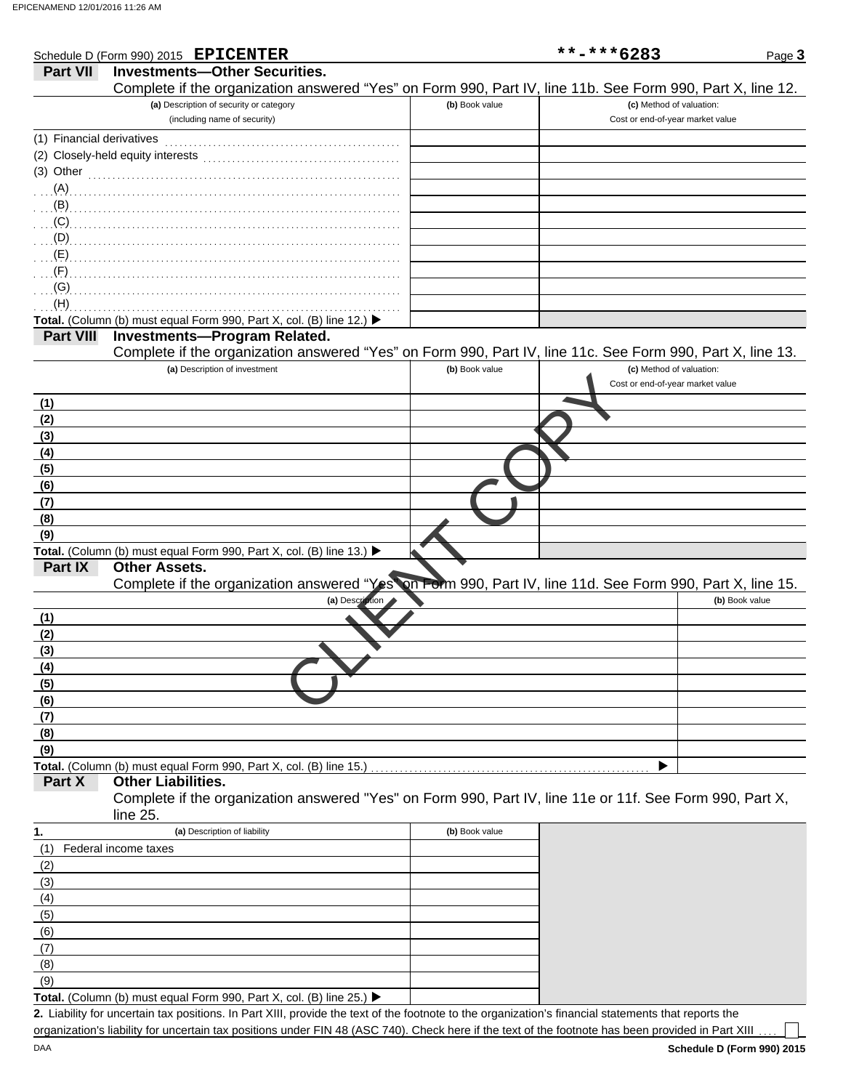|                           | Schedule D (Form 990) 2015 EPICENTER                                                                       |                 |                | **-***6283                                                   | Page 3         |
|---------------------------|------------------------------------------------------------------------------------------------------------|-----------------|----------------|--------------------------------------------------------------|----------------|
| Part VII                  | <b>Investments-Other Securities.</b>                                                                       |                 |                |                                                              |                |
|                           | Complete if the organization answered "Yes" on Form 990, Part IV, line 11b. See Form 990, Part X, line 12. |                 |                |                                                              |                |
|                           | (a) Description of security or category                                                                    |                 | (b) Book value | (c) Method of valuation:                                     |                |
|                           | (including name of security)                                                                               |                 |                | Cost or end-of-year market value                             |                |
| (1) Financial derivatives |                                                                                                            |                 |                |                                                              |                |
|                           | (2) Closely-held equity interests                                                                          |                 |                |                                                              |                |
| (3) Other                 | <u> 1986 - Johann Barbara, martin a</u>                                                                    |                 |                |                                                              |                |
| $(A)$                     |                                                                                                            |                 |                |                                                              |                |
| (B)                       |                                                                                                            |                 |                |                                                              |                |
| (C)                       |                                                                                                            |                 |                |                                                              |                |
| (D)                       |                                                                                                            |                 |                |                                                              |                |
| (E)                       |                                                                                                            |                 |                |                                                              |                |
| (F)                       |                                                                                                            |                 |                |                                                              |                |
| (G)                       |                                                                                                            |                 |                |                                                              |                |
| (H)                       |                                                                                                            |                 |                |                                                              |                |
|                           | Total. (Column (b) must equal Form 990, Part X, col. (B) line 12.) ▶                                       |                 |                |                                                              |                |
| <b>Part VIII</b>          | <b>Investments-Program Related.</b>                                                                        |                 |                |                                                              |                |
|                           | Complete if the organization answered "Yes" on Form 990, Part IV, line 11c. See Form 990, Part X, line 13. |                 |                |                                                              |                |
|                           | (a) Description of investment                                                                              |                 | (b) Book value | (c) Method of valuation:<br>Cost or end-of-year market value |                |
| (1)                       |                                                                                                            |                 |                |                                                              |                |
| (2)                       |                                                                                                            |                 |                |                                                              |                |
| (3)                       |                                                                                                            |                 |                |                                                              |                |
| (4)                       |                                                                                                            |                 |                |                                                              |                |
| (5)                       |                                                                                                            |                 |                |                                                              |                |
| (6)                       |                                                                                                            |                 |                |                                                              |                |
| (7)                       |                                                                                                            |                 |                |                                                              |                |
| (8)                       |                                                                                                            |                 |                |                                                              |                |
| (9)                       |                                                                                                            |                 |                |                                                              |                |
|                           | Total. (Column (b) must equal Form 990, Part X, col. (B) line 13.) ▶                                       |                 |                |                                                              |                |
| Part IX                   | <b>Other Assets.</b>                                                                                       |                 |                |                                                              |                |
|                           | Complete if the organization answered "Yes" on Form 990, Part IV, line 11d. See Form 990, Part X, line 15. |                 |                |                                                              |                |
|                           |                                                                                                            | (a) Description |                |                                                              | (b) Book value |
| (1)                       |                                                                                                            |                 |                |                                                              |                |
| (2)                       |                                                                                                            |                 |                |                                                              |                |
| (3)                       |                                                                                                            |                 |                |                                                              |                |
| (4)                       |                                                                                                            |                 |                |                                                              |                |
| (5)                       |                                                                                                            |                 |                |                                                              |                |
| (6)<br>(7)                |                                                                                                            |                 |                |                                                              |                |
| (8)                       |                                                                                                            |                 |                |                                                              |                |
| (9)                       |                                                                                                            |                 |                |                                                              |                |
|                           | Total. (Column (b) must equal Form 990, Part X, col. (B) line 15.)                                         |                 |                |                                                              |                |
| Part X                    | <b>Other Liabilities.</b>                                                                                  |                 |                |                                                              |                |
|                           | Complete if the organization answered "Yes" on Form 990, Part IV, line 11e or 11f. See Form 990, Part X,   |                 |                |                                                              |                |
|                           | line 25.                                                                                                   |                 |                |                                                              |                |
| 1.                        | (a) Description of liability                                                                               |                 | (b) Book value |                                                              |                |
| (1)                       | Federal income taxes                                                                                       |                 |                |                                                              |                |
| (2)                       |                                                                                                            |                 |                |                                                              |                |
| (3)                       |                                                                                                            |                 |                |                                                              |                |
| (4)                       |                                                                                                            |                 |                |                                                              |                |
| (5)                       |                                                                                                            |                 |                |                                                              |                |
| (6)                       |                                                                                                            |                 |                |                                                              |                |
| (7)                       |                                                                                                            |                 |                |                                                              |                |
| (8)                       |                                                                                                            |                 |                |                                                              |                |

Total. (Column (b) must equal Form 990, Part X, col. (B) line 25.) ▶

Liability for uncertain tax positions. In Part XIII, provide the text of the footnote to the organization's financial statements that reports the **2.** organization's liability for uncertain tax positions under FIN 48 (ASC 740). Check here if the text of the footnote has been provided in Part XIII

(9)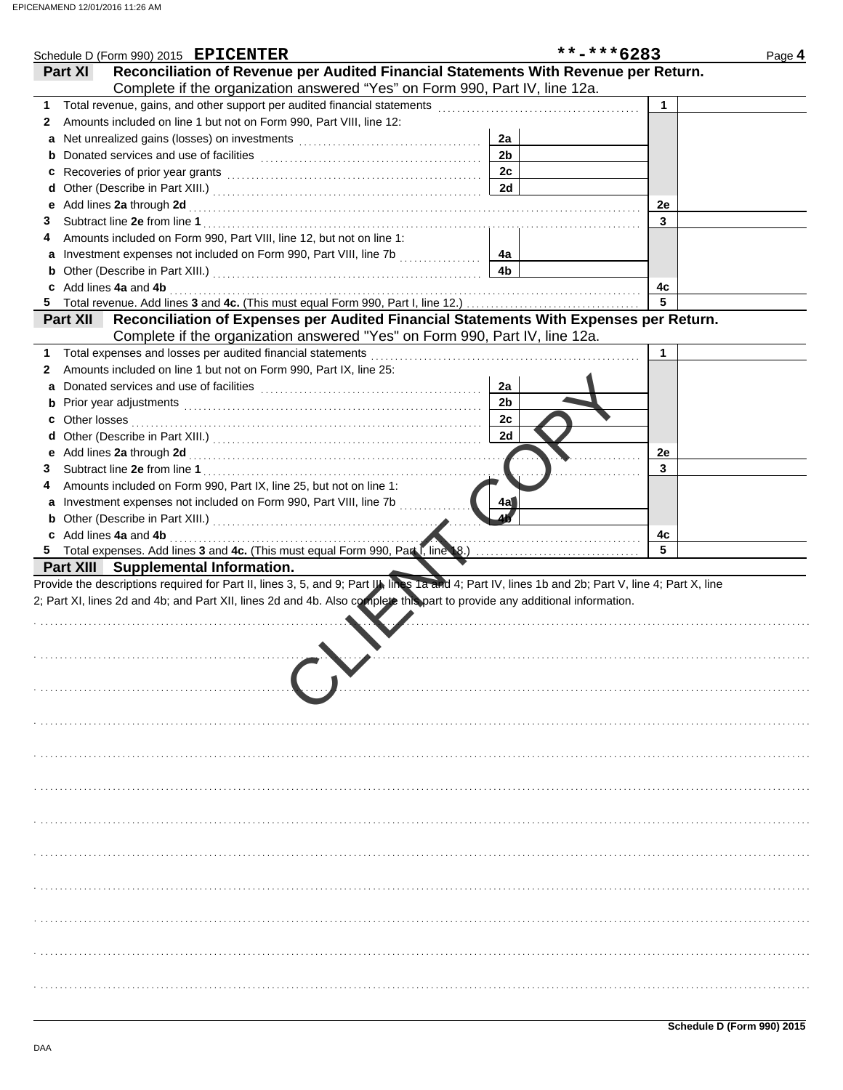|    |                       | Schedule D (Form 990) 2015 EPICENTER                                                                                                              |  |                | **-***6283 |    | Page 4 |
|----|-----------------------|---------------------------------------------------------------------------------------------------------------------------------------------------|--|----------------|------------|----|--------|
|    | Part XI               | Reconciliation of Revenue per Audited Financial Statements With Revenue per Return.                                                               |  |                |            |    |        |
|    |                       | Complete if the organization answered "Yes" on Form 990, Part IV, line 12a.                                                                       |  |                |            |    |        |
| 1. |                       |                                                                                                                                                   |  |                |            |    |        |
| 2  |                       | Amounts included on line 1 but not on Form 990, Part VIII, line 12:                                                                               |  |                |            |    |        |
| a  |                       |                                                                                                                                                   |  | 2a             |            |    |        |
| b  |                       |                                                                                                                                                   |  | 2 <sub>b</sub> |            |    |        |
|    |                       |                                                                                                                                                   |  | 2c             |            |    |        |
|    |                       |                                                                                                                                                   |  | 2d             |            |    |        |
| d  |                       |                                                                                                                                                   |  |                |            |    |        |
| е  |                       |                                                                                                                                                   |  |                |            | 2e |        |
| З  |                       |                                                                                                                                                   |  |                |            | 3  |        |
| 4  |                       | Amounts included on Form 990, Part VIII, line 12, but not on line 1:                                                                              |  |                |            |    |        |
| a  |                       |                                                                                                                                                   |  | 4a             |            |    |        |
| b  |                       |                                                                                                                                                   |  | 4b             |            |    |        |
|    | c Add lines 4a and 4b |                                                                                                                                                   |  |                |            | 4c |        |
| 5. |                       |                                                                                                                                                   |  |                |            | 5  |        |
|    | <b>Part XII</b>       | Reconciliation of Expenses per Audited Financial Statements With Expenses per Return.                                                             |  |                |            |    |        |
|    |                       | Complete if the organization answered "Yes" on Form 990, Part IV, line 12a.                                                                       |  |                |            |    |        |
| 1. |                       | Total expenses and losses per audited financial statements                                                                                        |  |                |            | 1  |        |
| 2  |                       | Amounts included on line 1 but not on Form 990, Part IX, line 25:                                                                                 |  |                |            |    |        |
| a  |                       |                                                                                                                                                   |  | 2a             |            |    |        |
|    |                       |                                                                                                                                                   |  | 2 <sub>b</sub> |            |    |        |
| b  |                       |                                                                                                                                                   |  | 2c             |            |    |        |
|    | <b>c</b> Other losses |                                                                                                                                                   |  |                |            |    |        |
| d  |                       |                                                                                                                                                   |  | 2d             |            |    |        |
| е  |                       |                                                                                                                                                   |  |                |            | 2e |        |
| З  |                       |                                                                                                                                                   |  |                |            | 3  |        |
| 4  |                       | Amounts included on Form 990, Part IX, line 25, but not on line 1:                                                                                |  |                |            |    |        |
| a  |                       | Investment expenses not included on Form 990, Part VIII, line 7b                                                                                  |  |                |            |    |        |
|    |                       |                                                                                                                                                   |  |                |            |    |        |
|    | c Add lines 4a and 4b |                                                                                                                                                   |  |                |            | 4c |        |
|    |                       | 5 Total expenses. Add lines 3 and 4c. (This must equal Form 990, Part I, line 18.)                                                                |  |                |            | 5  |        |
|    |                       | <b>Part XIII</b> Supplemental Information.                                                                                                        |  |                |            |    |        |
|    |                       | Provide the descriptions required for Part II, lines 3, 5, and 9; Part II, lines 1a and 4; Part IV, lines 1b and 2b; Part V, line 4; Part X, line |  |                |            |    |        |
|    |                       | 2; Part XI, lines 2d and 4b; and Part XII, lines 2d and 4b. Also complete this part to provide any additional information.                        |  |                |            |    |        |
|    |                       |                                                                                                                                                   |  |                |            |    |        |
|    |                       |                                                                                                                                                   |  |                |            |    |        |
|    |                       |                                                                                                                                                   |  |                |            |    |        |
|    |                       |                                                                                                                                                   |  |                |            |    |        |
|    |                       |                                                                                                                                                   |  |                |            |    |        |
|    |                       |                                                                                                                                                   |  |                |            |    |        |
|    |                       |                                                                                                                                                   |  |                |            |    |        |
|    |                       |                                                                                                                                                   |  |                |            |    |        |
|    |                       |                                                                                                                                                   |  |                |            |    |        |
|    |                       |                                                                                                                                                   |  |                |            |    |        |
|    |                       |                                                                                                                                                   |  |                |            |    |        |
|    |                       |                                                                                                                                                   |  |                |            |    |        |
|    |                       |                                                                                                                                                   |  |                |            |    |        |
|    |                       |                                                                                                                                                   |  |                |            |    |        |
|    |                       |                                                                                                                                                   |  |                |            |    |        |
|    |                       |                                                                                                                                                   |  |                |            |    |        |
|    |                       |                                                                                                                                                   |  |                |            |    |        |
|    |                       |                                                                                                                                                   |  |                |            |    |        |
|    |                       |                                                                                                                                                   |  |                |            |    |        |
|    |                       |                                                                                                                                                   |  |                |            |    |        |
|    |                       |                                                                                                                                                   |  |                |            |    |        |
|    |                       |                                                                                                                                                   |  |                |            |    |        |
|    |                       |                                                                                                                                                   |  |                |            |    |        |
|    |                       |                                                                                                                                                   |  |                |            |    |        |
|    |                       |                                                                                                                                                   |  |                |            |    |        |
|    |                       |                                                                                                                                                   |  |                |            |    |        |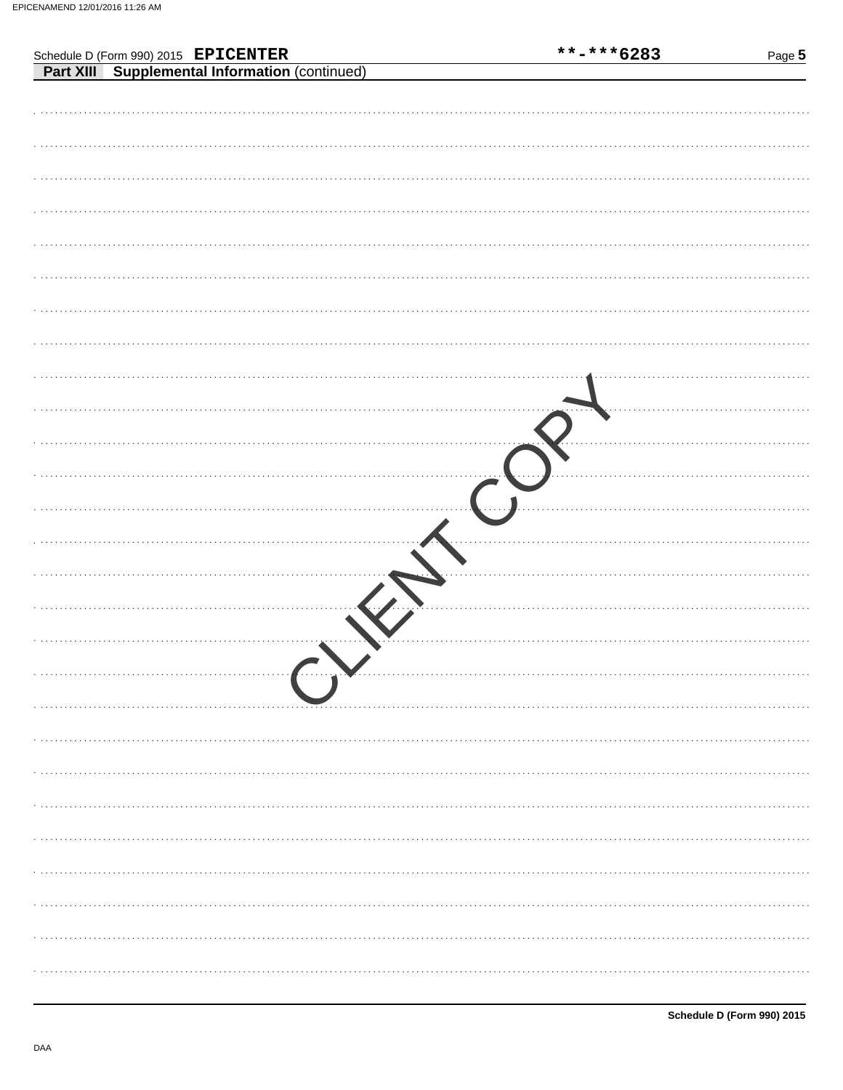|                                                                                        | **-***6283 | Page 5 |
|----------------------------------------------------------------------------------------|------------|--------|
| Schedule D (Form 990) 2015 EPICENTER<br>Part XIII Supplemental Information (continued) |            |        |
|                                                                                        |            |        |
|                                                                                        |            |        |
|                                                                                        |            |        |
|                                                                                        |            |        |
|                                                                                        |            |        |
|                                                                                        |            |        |
|                                                                                        |            |        |
|                                                                                        |            |        |
|                                                                                        |            |        |
|                                                                                        |            |        |
|                                                                                        |            |        |
|                                                                                        |            |        |
|                                                                                        |            |        |
|                                                                                        |            |        |
|                                                                                        |            |        |
|                                                                                        |            |        |
|                                                                                        |            |        |
|                                                                                        |            |        |
|                                                                                        |            |        |
|                                                                                        |            |        |
|                                                                                        |            |        |
|                                                                                        |            |        |
|                                                                                        |            |        |
|                                                                                        |            |        |
|                                                                                        |            |        |
|                                                                                        |            |        |
|                                                                                        |            |        |
|                                                                                        |            |        |
|                                                                                        |            |        |
|                                                                                        |            |        |
|                                                                                        |            |        |
|                                                                                        |            |        |
|                                                                                        |            |        |
|                                                                                        |            |        |
|                                                                                        |            |        |
|                                                                                        |            |        |
|                                                                                        |            |        |
|                                                                                        |            |        |
|                                                                                        |            |        |
|                                                                                        |            |        |
|                                                                                        |            |        |
|                                                                                        |            |        |
|                                                                                        |            |        |
|                                                                                        |            |        |
|                                                                                        |            |        |
|                                                                                        |            |        |
|                                                                                        |            |        |
|                                                                                        |            |        |
|                                                                                        |            |        |
|                                                                                        |            |        |
|                                                                                        |            |        |
|                                                                                        |            |        |
|                                                                                        |            |        |
|                                                                                        |            |        |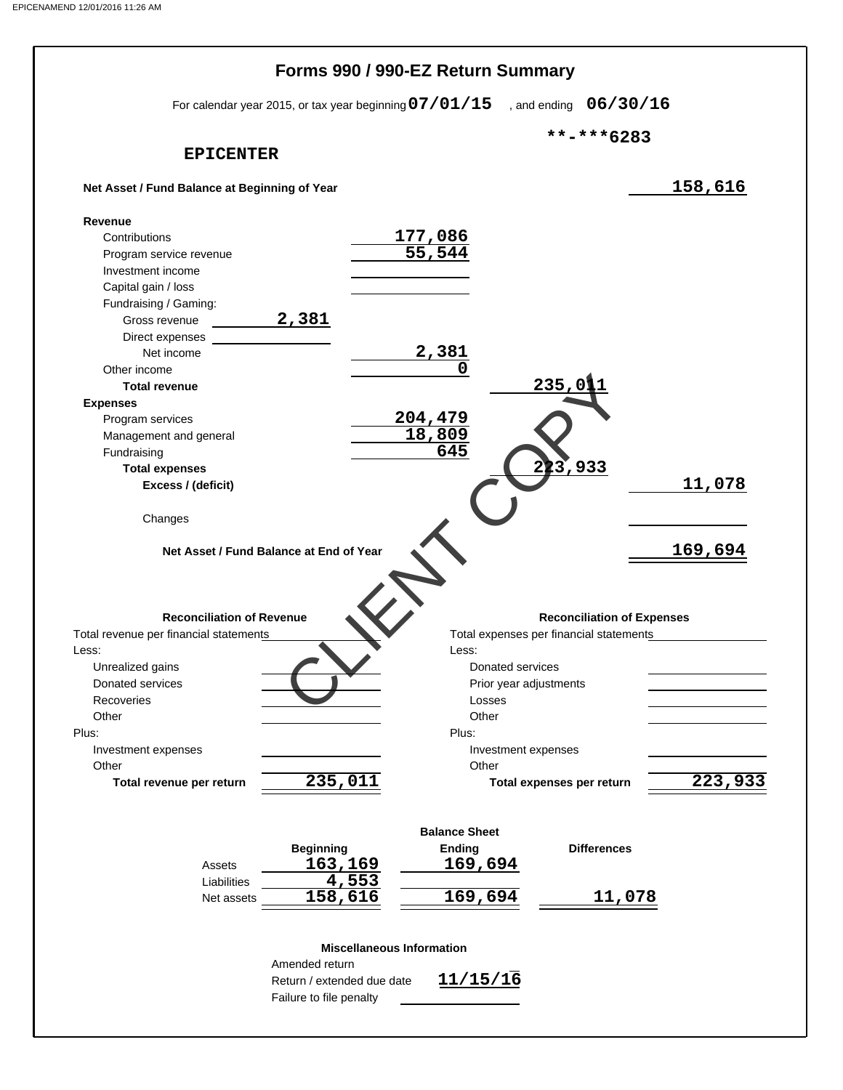|                                                                                                                             | Forms 990 / 990-EZ Return Summary                   |                                                                              |         |
|-----------------------------------------------------------------------------------------------------------------------------|-----------------------------------------------------|------------------------------------------------------------------------------|---------|
| For calendar year 2015, or tax year beginning $07/01/15$                                                                    |                                                     | , and ending $06/30/16$                                                      |         |
|                                                                                                                             |                                                     | **-***6283                                                                   |         |
| <b>EPICENTER</b>                                                                                                            |                                                     |                                                                              |         |
| Net Asset / Fund Balance at Beginning of Year                                                                               |                                                     |                                                                              | 158,616 |
| Revenue                                                                                                                     |                                                     |                                                                              |         |
| Contributions                                                                                                               | $\frac{177,086}{55,544}$                            |                                                                              |         |
| Program service revenue                                                                                                     |                                                     |                                                                              |         |
| Investment income                                                                                                           |                                                     |                                                                              |         |
| Capital gain / loss                                                                                                         |                                                     |                                                                              |         |
| Fundraising / Gaming:                                                                                                       |                                                     |                                                                              |         |
| 2,381<br>Gross revenue                                                                                                      |                                                     |                                                                              |         |
| Direct expenses                                                                                                             |                                                     |                                                                              |         |
| Net income                                                                                                                  | 2,381                                               |                                                                              |         |
| Other income                                                                                                                |                                                     | 235,0                                                                        |         |
| <b>Total revenue</b>                                                                                                        |                                                     |                                                                              |         |
| <b>Expenses</b>                                                                                                             |                                                     |                                                                              |         |
| Program services                                                                                                            | <u>204,479</u>                                      |                                                                              |         |
| Management and general                                                                                                      | 18,809<br>645                                       |                                                                              |         |
| Fundraising                                                                                                                 |                                                     | 223,933                                                                      |         |
| <b>Total expenses</b>                                                                                                       |                                                     |                                                                              | 11,078  |
| Excess / (deficit)                                                                                                          |                                                     |                                                                              |         |
| Changes                                                                                                                     |                                                     |                                                                              |         |
| Net Asset / Fund Balance at End of Year                                                                                     |                                                     |                                                                              |         |
| <b>Reconciliation of Revenue</b><br>Total revenue per financial statements<br>Less:<br>Unrealized gains<br>Donated services | Less:<br>Donated services<br>Prior year adjustments | <b>Reconciliation of Expenses</b><br>Total expenses per financial statements | 169,694 |
| Recoveries<br>Other                                                                                                         | Losses<br>Other                                     |                                                                              |         |
|                                                                                                                             | Plus:                                               |                                                                              |         |
| Investment expenses                                                                                                         | Investment expenses                                 |                                                                              |         |
| Other                                                                                                                       | Other                                               |                                                                              |         |
| 235,011<br>Total revenue per return                                                                                         |                                                     | Total expenses per return                                                    |         |
|                                                                                                                             |                                                     |                                                                              |         |
|                                                                                                                             | <b>Balance Sheet</b>                                |                                                                              |         |
| <b>Beginning</b>                                                                                                            | <b>Ending</b>                                       | <b>Differences</b>                                                           |         |
| 163,169<br>Assets                                                                                                           | 169,694                                             |                                                                              |         |
| 4,553<br>Liabilities                                                                                                        |                                                     |                                                                              |         |
| Plus:<br>158,616<br>Net assets                                                                                              | 169,694                                             | 11,078                                                                       |         |
| Amended return<br>Return / extended due date                                                                                | <b>Miscellaneous Information</b><br>11/15/16        |                                                                              | 223,933 |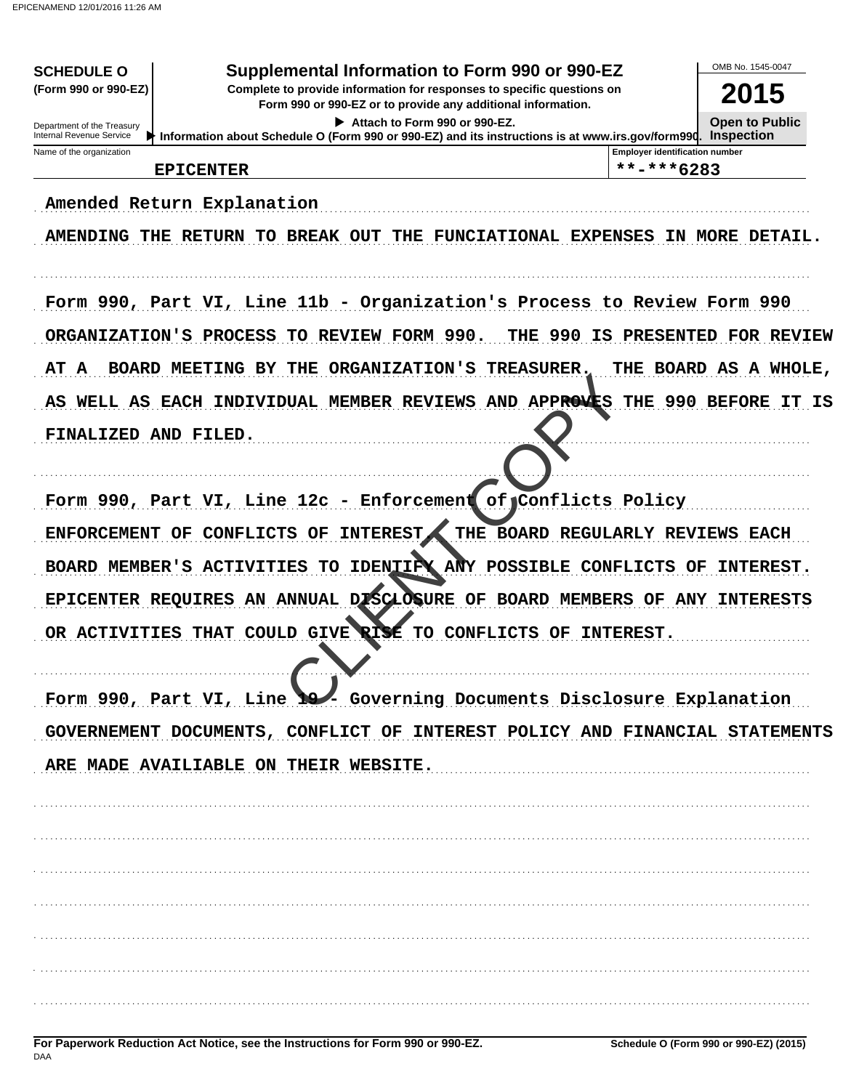| <b>SCHEDULE O</b><br>(Form 990 or 990-EZ)                                                                                              | Supplemental Information to Form 990 or 990-EZ                                                    |                                       |                                       | OMB No. 1545-0047                          |
|----------------------------------------------------------------------------------------------------------------------------------------|---------------------------------------------------------------------------------------------------|---------------------------------------|---------------------------------------|--------------------------------------------|
| Complete to provide information for responses to specific questions on<br>Form 990 or 990-EZ or to provide any additional information. |                                                                                                   |                                       |                                       | 2015                                       |
| Department of the Treasury<br>Internal Revenue Service                                                                                 | Information about Schedule O (Form 990 or 990-EZ) and its instructions is at www.irs.gov/form990. | Attach to Form 990 or 990-EZ.         |                                       | <b>Open to Public</b><br><b>Inspection</b> |
| Name of the organization                                                                                                               |                                                                                                   |                                       | <b>Employer identification number</b> |                                            |
| <b>EPICENTER</b>                                                                                                                       |                                                                                                   |                                       | **-***6283                            |                                            |
| Amended Return Explanation                                                                                                             |                                                                                                   |                                       |                                       |                                            |
|                                                                                                                                        | <b>AMENDING THE RETURN TO BREAK OUT</b><br>THE                                                    | <b>FUNCIATIONAL EXPENSES</b>          |                                       | IN MORE DETAIL.                            |
|                                                                                                                                        | Form 990, Part VI, Line 11b - Organization's Process to Review Form 990                           |                                       |                                       |                                            |
| ORGANIZATION'S PROCESS                                                                                                                 | TO REVIEW FORM 990.                                                                               | 990<br>THE<br>IS                      |                                       | <b>PRESENTED FOR REVIEW</b>                |
| AΤ<br>A<br><b>BOARD MEETING BY</b>                                                                                                     | THE<br><b>ORGANIZATION'S</b>                                                                      | <b>TREASURER.</b>                     |                                       | THE BOARD AS A WHOLE,                      |
| AS                                                                                                                                     | WELL AS EACH INDIVIDUAL MEMBER REVIEWS AND APPROVES THE 990 BEFORE                                |                                       |                                       | IT IS                                      |
| FINALIZED AND FILED.                                                                                                                   |                                                                                                   |                                       |                                       |                                            |
|                                                                                                                                        | Form 990, Part VI, Line 12c - Enforcement                                                         | of Conflicts Policy                   |                                       |                                            |
| ENFORCEMENT OF                                                                                                                         | <b>CONFLICTS OF</b><br><b>INTEREST</b>                                                            | THE BOARD REGULARLY REVIEWS EACH      |                                       |                                            |
| BOARD MEMBER'S ACTIVITIES                                                                                                              |                                                                                                   | TO IDENTIFY ANY POSSIBLE CONFLICTS OF |                                       | INTEREST.                                  |
| EPICENTER REQUIRES                                                                                                                     | AN ANNUAL DISCLOSURE OF BOARD MEMBERS OF ANY                                                      |                                       |                                       | <b>INTERESTS</b>                           |
| OR ACTIVITIES                                                                                                                          | COULD GIVE<br>RISE<br><b>THAT</b>                                                                 | TO<br>CONFLICTS OF INTEREST.          |                                       |                                            |
|                                                                                                                                        | Form 990, Part VI, Line 19 Governing Documents Disclosure Explanation                             |                                       |                                       |                                            |
|                                                                                                                                        | GOVERNEMENT DOCUMENTS, CONFLICT OF INTEREST POLICY AND FINANCIAL STATEMENTS                       |                                       |                                       |                                            |
|                                                                                                                                        | ARE MADE AVAILIABLE ON THEIR WEBSITE.                                                             |                                       |                                       |                                            |
|                                                                                                                                        |                                                                                                   |                                       |                                       |                                            |
|                                                                                                                                        |                                                                                                   |                                       |                                       |                                            |
|                                                                                                                                        |                                                                                                   |                                       |                                       |                                            |
|                                                                                                                                        |                                                                                                   |                                       |                                       |                                            |
|                                                                                                                                        |                                                                                                   |                                       |                                       |                                            |
|                                                                                                                                        |                                                                                                   |                                       |                                       |                                            |
|                                                                                                                                        |                                                                                                   |                                       |                                       |                                            |